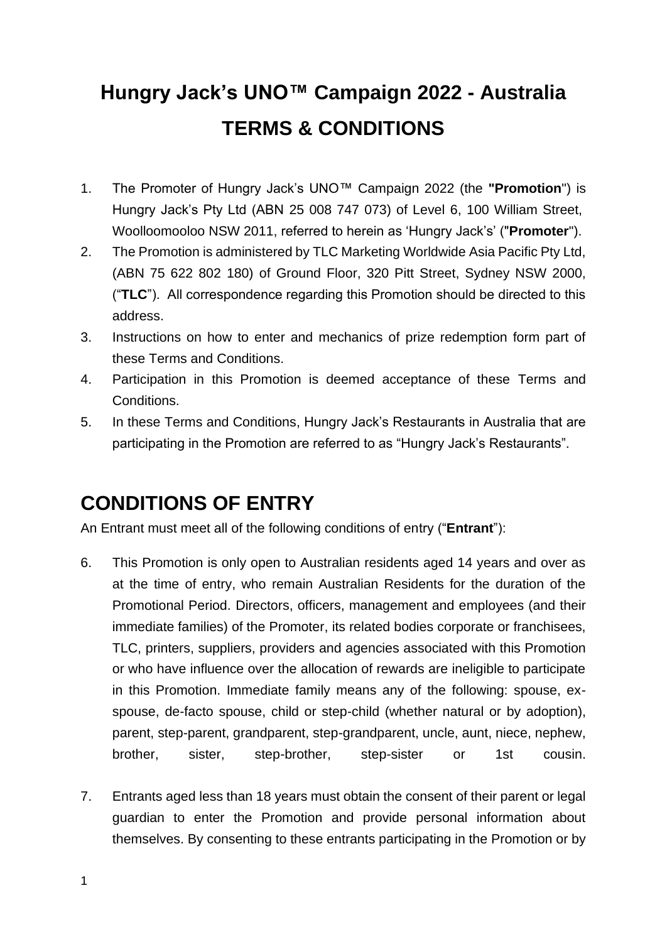# **Hungry Jack's UNO™ Campaign 2022 - Australia TERMS & CONDITIONS**

- 1. The Promoter of Hungry Jack's UNO™ Campaign 2022 (the **"Promotion**") is Hungry Jack's Pty Ltd (ABN 25 008 747 073) of Level 6, 100 William Street, Woolloomooloo NSW 2011, referred to herein as 'Hungry Jack's' ("**Promoter**").
- 2. The Promotion is administered by TLC Marketing Worldwide Asia Pacific Pty Ltd, (ABN 75 622 802 180) of Ground Floor, 320 Pitt Street, Sydney NSW 2000, ("**TLC**"). All correspondence regarding this Promotion should be directed to this address.
- 3. Instructions on how to enter and mechanics of prize redemption form part of these Terms and Conditions.
- 4. Participation in this Promotion is deemed acceptance of these Terms and Conditions.
- 5. In these Terms and Conditions, Hungry Jack's Restaurants in Australia that are participating in the Promotion are referred to as "Hungry Jack's Restaurants".

# **CONDITIONS OF ENTRY**

An Entrant must meet all of the following conditions of entry ("**Entrant**"):

- 6. This Promotion is only open to Australian residents aged 14 years and over as at the time of entry, who remain Australian Residents for the duration of the Promotional Period. Directors, officers, management and employees (and their immediate families) of the Promoter, its related bodies corporate or franchisees, TLC, printers, suppliers, providers and agencies associated with this Promotion or who have influence over the allocation of rewards are ineligible to participate in this Promotion. Immediate family means any of the following: spouse, exspouse, de-facto spouse, child or step-child (whether natural or by adoption), parent, step-parent, grandparent, step-grandparent, uncle, aunt, niece, nephew, brother, sister, step-brother, step-sister or 1st cousin.
- 7. Entrants aged less than 18 years must obtain the consent of their parent or legal guardian to enter the Promotion and provide personal information about themselves. By consenting to these entrants participating in the Promotion or by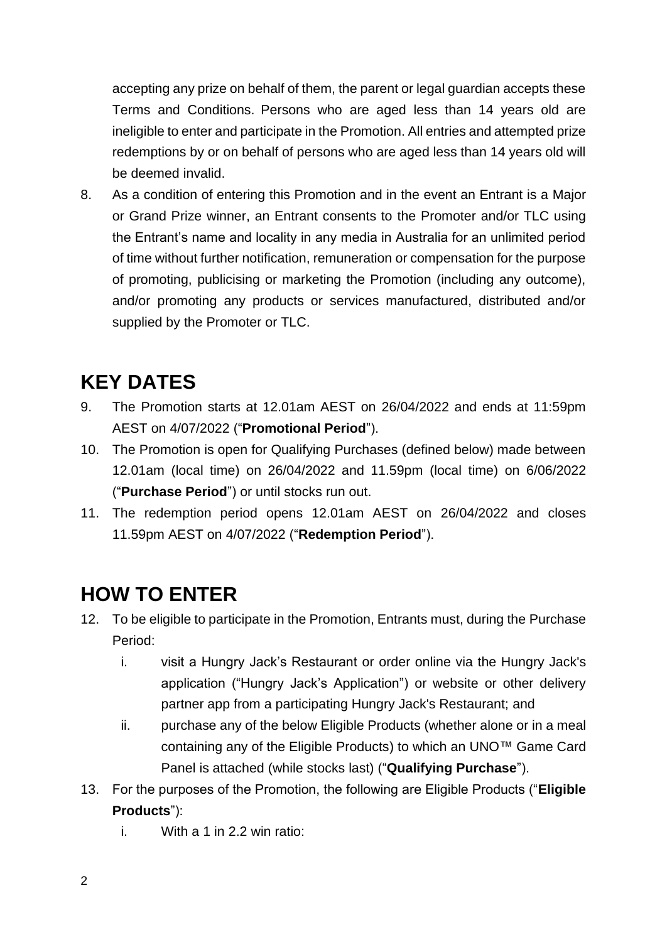accepting any prize on behalf of them, the parent or legal guardian accepts these Terms and Conditions. Persons who are aged less than 14 years old are ineligible to enter and participate in the Promotion. All entries and attempted prize redemptions by or on behalf of persons who are aged less than 14 years old will be deemed invalid.

8. As a condition of entering this Promotion and in the event an Entrant is a Major or Grand Prize winner, an Entrant consents to the Promoter and/or TLC using the Entrant's name and locality in any media in Australia for an unlimited period of time without further notification, remuneration or compensation for the purpose of promoting, publicising or marketing the Promotion (including any outcome), and/or promoting any products or services manufactured, distributed and/or supplied by the Promoter or TLC.

# **KEY DATES**

- 9. The Promotion starts at 12.01am AEST on 26/04/2022 and ends at 11:59pm AEST on 4/07/2022 ("**Promotional Period**").
- 10. The Promotion is open for Qualifying Purchases (defined below) made between 12.01am (local time) on 26/04/2022 and 11.59pm (local time) on 6/06/2022 ("**Purchase Period**") or until stocks run out.
- 11. The redemption period opens 12.01am AEST on 26/04/2022 and closes 11.59pm AEST on 4/07/2022 ("**Redemption Period**").

# **HOW TO ENTER**

- 12. To be eligible to participate in the Promotion, Entrants must, during the Purchase Period:
	- i. visit a Hungry Jack's Restaurant or order online via the Hungry Jack's application ("Hungry Jack's Application") or website or other delivery partner app from a participating Hungry Jack's Restaurant; and
	- ii. purchase any of the below Eligible Products (whether alone or in a meal containing any of the Eligible Products) to which an UNO™ Game Card Panel is attached (while stocks last) ("**Qualifying Purchase**").
- 13. For the purposes of the Promotion, the following are Eligible Products ("**Eligible Products**"):
	- i. With a 1 in 2.2 win ratio: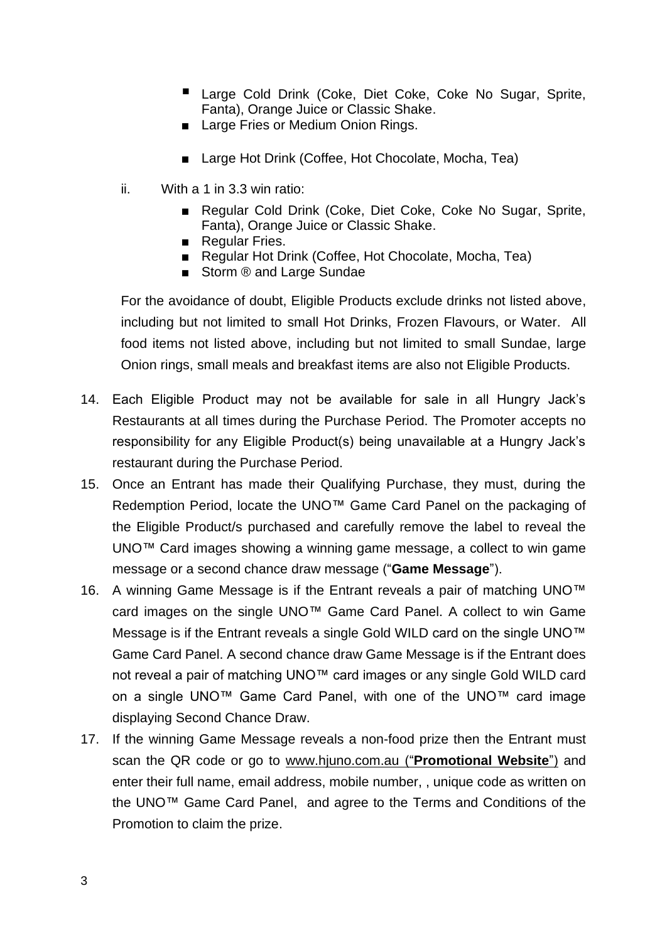- Large Cold Drink (Coke, Diet Coke, Coke No Sugar, Sprite, Fanta), Orange Juice or Classic Shake.
- Large Fries or Medium Onion Rings.
- Large Hot Drink (Coffee, Hot Chocolate, Mocha, Tea)
- ii. With a 1 in 3.3 win ratio:
	- Regular Cold Drink (Coke, Diet Coke, Coke No Sugar, Sprite, Fanta), Orange Juice or Classic Shake.
	- Regular Fries.
	- Regular Hot Drink (Coffee, Hot Chocolate, Mocha, Tea)
	- Storm <sup>®</sup> and Large Sundae

For the avoidance of doubt, Eligible Products exclude drinks not listed above, including but not limited to small Hot Drinks, Frozen Flavours, or Water. All food items not listed above, including but not limited to small Sundae, large Onion rings, small meals and breakfast items are also not Eligible Products.

- 14. Each Eligible Product may not be available for sale in all Hungry Jack's Restaurants at all times during the Purchase Period. The Promoter accepts no responsibility for any Eligible Product(s) being unavailable at a Hungry Jack's restaurant during the Purchase Period.
- 15. Once an Entrant has made their Qualifying Purchase, they must, during the Redemption Period, locate the UNO™ Game Card Panel on the packaging of the Eligible Product/s purchased and carefully remove the label to reveal the UNO™ Card images showing a winning game message, a collect to win game message or a second chance draw message ("**Game Message**").
- 16. A winning Game Message is if the Entrant reveals a pair of matching UNO™ card images on the single UNO™ Game Card Panel. A collect to win Game Message is if the Entrant reveals a single Gold WILD card on the single UNO™ Game Card Panel. A second chance draw Game Message is if the Entrant does not reveal a pair of matching UNO™ card images or any single Gold WILD card on a single UNO™ Game Card Panel, with one of the UNO™ card image displaying Second Chance Draw.
- 17. If the winning Game Message reveals a non-food prize then the Entrant must scan the QR code or go to [www.hjuno.com.au](http://www.hjuno.com.au/) ("**Promotional Website**") and enter their full name, email address, mobile number, , unique code as written on the UNO™ Game Card Panel, and agree to the Terms and Conditions of the Promotion to claim the prize.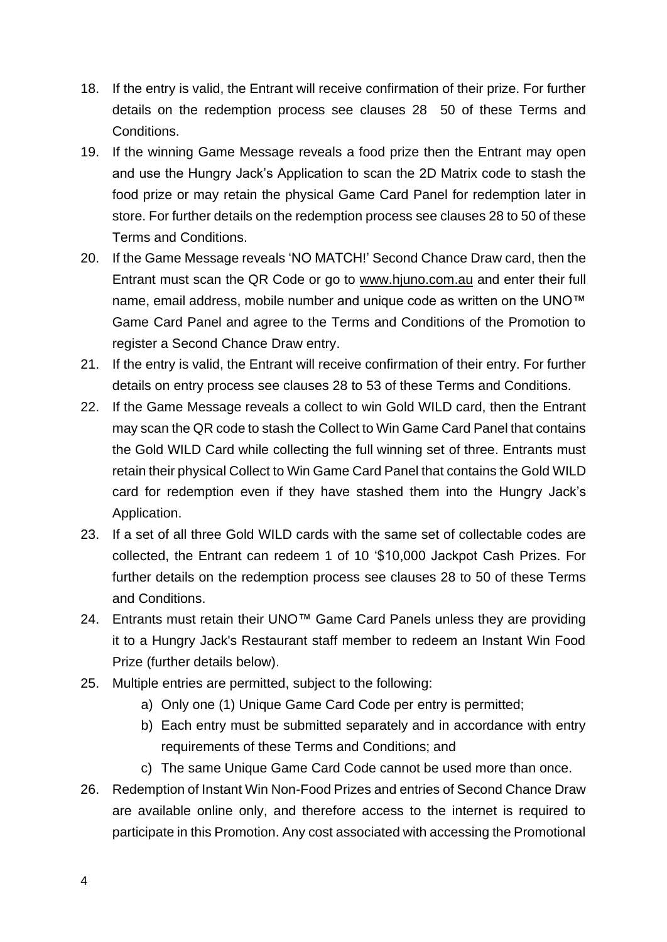- 18. If the entry is valid, the Entrant will receive confirmation of their prize. For further details on the redemption process see clauses 28 50 of these Terms and Conditions.
- 19. If the winning Game Message reveals a food prize then the Entrant may open and use the Hungry Jack's Application to scan the 2D Matrix code to stash the food prize or may retain the physical Game Card Panel for redemption later in store. For further details on the redemption process see clauses 28 to 50 of these Terms and Conditions.
- 20. If the Game Message reveals 'NO MATCH!' Second Chance Draw card, then the Entrant must scan the QR Code or go to [www.hjuno.com.au](http://www.hjuno.com.au/) and enter their full name, email address, mobile number and unique code as written on the UNO™ Game Card Panel and agree to the Terms and Conditions of the Promotion to register a Second Chance Draw entry.
- 21. If the entry is valid, the Entrant will receive confirmation of their entry. For further details on entry process see clauses 28 to 53 of these Terms and Conditions.
- 22. If the Game Message reveals a collect to win Gold WILD card, then the Entrant may scan the QR code to stash the Collect to Win Game Card Panel that contains the Gold WILD Card while collecting the full winning set of three. Entrants must retain their physical Collect to Win Game Card Panel that contains the Gold WILD card for redemption even if they have stashed them into the Hungry Jack's Application.
- 23. If a set of all three Gold WILD cards with the same set of collectable codes are collected, the Entrant can redeem 1 of 10 '\$10,000 Jackpot Cash Prizes. For further details on the redemption process see clauses 28 to 50 of these Terms and Conditions.
- 24. Entrants must retain their UNO™ Game Card Panels unless they are providing it to a Hungry Jack's Restaurant staff member to redeem an Instant Win Food Prize (further details below).
- 25. Multiple entries are permitted, subject to the following:
	- a) Only one (1) Unique Game Card Code per entry is permitted;
	- b) Each entry must be submitted separately and in accordance with entry requirements of these Terms and Conditions; and
	- c) The same Unique Game Card Code cannot be used more than once.
- 26. Redemption of Instant Win Non-Food Prizes and entries of Second Chance Draw are available online only, and therefore access to the internet is required to participate in this Promotion. Any cost associated with accessing the Promotional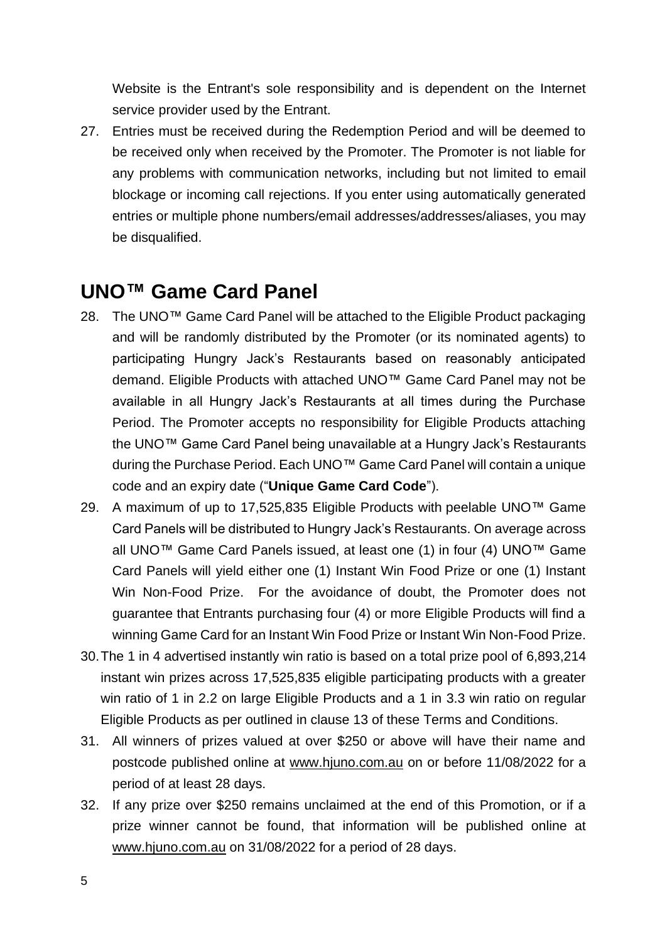Website is the Entrant's sole responsibility and is dependent on the Internet service provider used by the Entrant.

27. Entries must be received during the Redemption Period and will be deemed to be received only when received by the Promoter. The Promoter is not liable for any problems with communication networks, including but not limited to email blockage or incoming call rejections. If you enter using automatically generated entries or multiple phone numbers/email addresses/addresses/aliases, you may be disqualified.

# **UNO™ Game Card Panel**

- 28. The UNO™ Game Card Panel will be attached to the Eligible Product packaging and will be randomly distributed by the Promoter (or its nominated agents) to participating Hungry Jack's Restaurants based on reasonably anticipated demand. Eligible Products with attached UNO™ Game Card Panel may not be available in all Hungry Jack's Restaurants at all times during the Purchase Period. The Promoter accepts no responsibility for Eligible Products attaching the UNO™ Game Card Panel being unavailable at a Hungry Jack's Restaurants during the Purchase Period. Each UNO™ Game Card Panel will contain a unique code and an expiry date ("**Unique Game Card Code**").
- 29. A maximum of up to 17,525,835 Eligible Products with peelable UNO™ Game Card Panels will be distributed to Hungry Jack's Restaurants. On average across all UNO™ Game Card Panels issued, at least one (1) in four (4) UNO™ Game Card Panels will yield either one (1) Instant Win Food Prize or one (1) Instant Win Non-Food Prize. For the avoidance of doubt, the Promoter does not guarantee that Entrants purchasing four (4) or more Eligible Products will find a winning Game Card for an Instant Win Food Prize or Instant Win Non-Food Prize.
- 30.The 1 in 4 advertised instantly win ratio is based on a total prize pool of 6,893,214 instant win prizes across 17,525,835 eligible participating products with a greater win ratio of 1 in 2.2 on large Eligible Products and a 1 in 3.3 win ratio on regular Eligible Products as per outlined in clause 13 of these Terms and Conditions.
- 31. All winners of prizes valued at over \$250 or above will have their name and postcode published online at [www.hjuno.com.au](http://www.hjuno.com.au/) on or before 11/08/2022 for a period of at least 28 days.
- 32. If any prize over \$250 remains unclaimed at the end of this Promotion, or if a prize winner cannot be found, that information will be published online at [www.hjuno.com.au](http://www.hjuno.com.au/) on 31/08/2022 for a period of 28 days.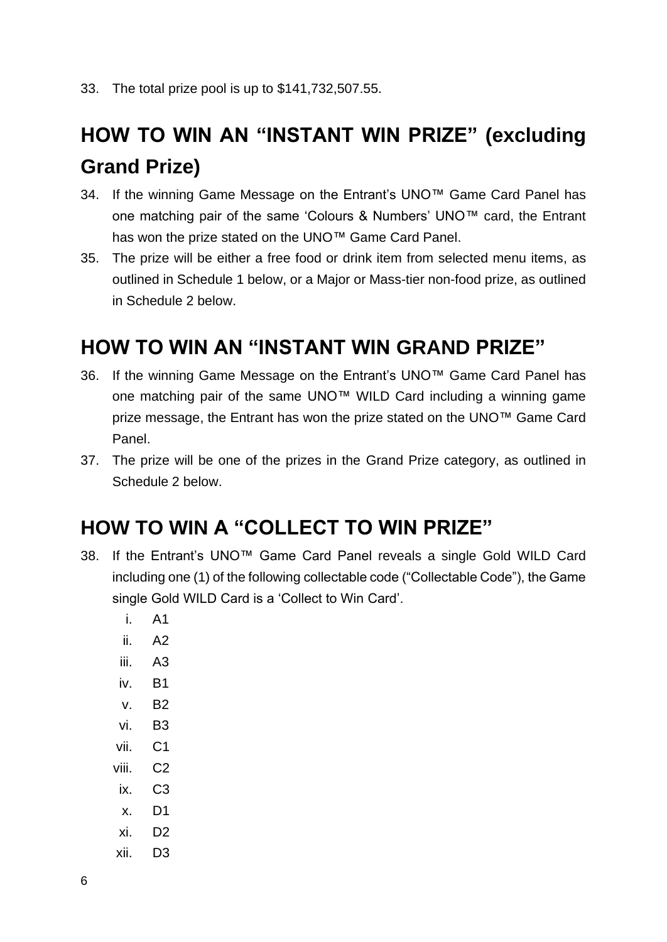# **HOW TO WIN AN "INSTANT WIN PRIZE" (excluding Grand Prize)**

- 34. If the winning Game Message on the Entrant's UNO™ Game Card Panel has one matching pair of the same 'Colours & Numbers' UNO™ card, the Entrant has won the prize stated on the UNO™ Game Card Panel.
- 35. The prize will be either a free food or drink item from selected menu items, as outlined in Schedule 1 below, or a Major or Mass-tier non-food prize, as outlined in Schedule 2 below.

# **HOW TO WIN AN "INSTANT WIN GRAND PRIZE"**

- 36. If the winning Game Message on the Entrant's UNO™ Game Card Panel has one matching pair of the same UNO™ WILD Card including a winning game prize message, the Entrant has won the prize stated on the UNO™ Game Card Panel.
- 37. The prize will be one of the prizes in the Grand Prize category, as outlined in Schedule 2 below.

# **HOW TO WIN A "COLLECT TO WIN PRIZE"**

- 38. If the Entrant's UNO™ Game Card Panel reveals a single Gold WILD Card including one (1) of the following collectable code ("Collectable Code"), the Game single Gold WILD Card is a 'Collect to Win Card'.
	- i. A1
	- ii. A2
	- iii. A3
	- iv. B1
	- v. B2
	- vi. B3
	-
	- vii. C1
	- viii. C2
	- ix. C3
	- x. D1
	- xi. D2
	- xii. D3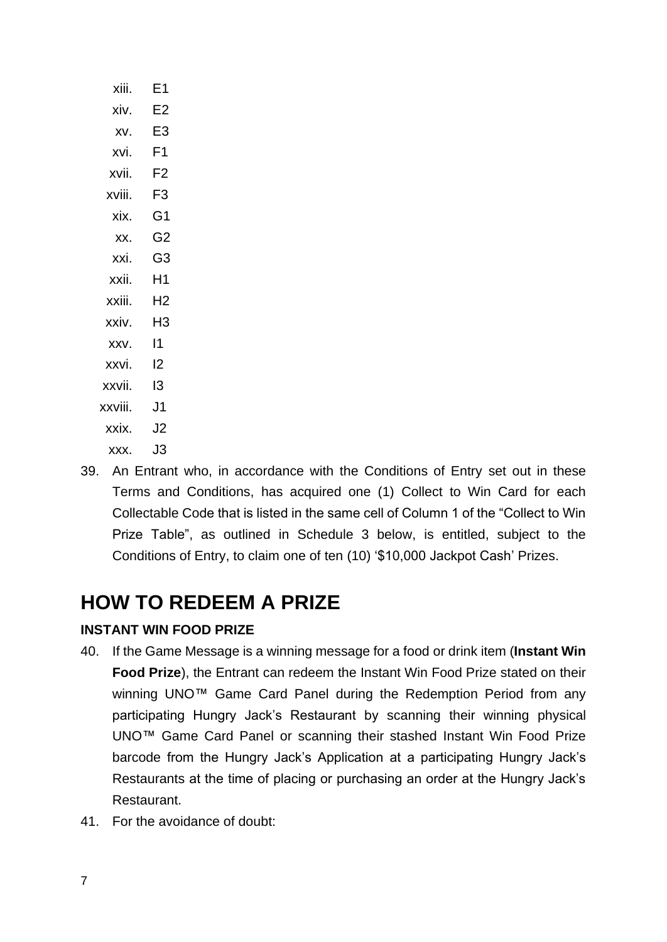| xiii.   | Ε1 |
|---------|----|
| xiv.    | E2 |
| XV.     | E3 |
| xvi.    | F1 |
| xvii.   | F2 |
| xviii.  | F3 |
| xix.    | G1 |
| XX.     | G2 |
| xxi.    | G3 |
| xxii.   | Η1 |
| xxiii.  | H2 |
| xxiv.   | H3 |
| XXV.    | 11 |
| xxvi.   | 12 |
| xxvii.  | I3 |
| xxviii. | J1 |
| xxix.   | J2 |
| XXX.    | J3 |

39. An Entrant who, in accordance with the Conditions of Entry set out in these Terms and Conditions, has acquired one (1) Collect to Win Card for each Collectable Code that is listed in the same cell of Column 1 of the "Collect to Win Prize Table", as outlined in Schedule 3 below, is entitled, subject to the

# **HOW TO REDEEM A PRIZE**

### **INSTANT WIN FOOD PRIZE**

40. If the Game Message is a winning message for a food or drink item (**Instant Win Food Prize**), the Entrant can redeem the Instant Win Food Prize stated on their winning UNO™ Game Card Panel during the Redemption Period from any participating Hungry Jack's Restaurant by scanning their winning physical UNO™ Game Card Panel or scanning their stashed Instant Win Food Prize barcode from the Hungry Jack's Application at a participating Hungry Jack's Restaurants at the time of placing or purchasing an order at the Hungry Jack's Restaurant.

Conditions of Entry, to claim one of ten (10) '\$10,000 Jackpot Cash' Prizes.

41. For the avoidance of doubt: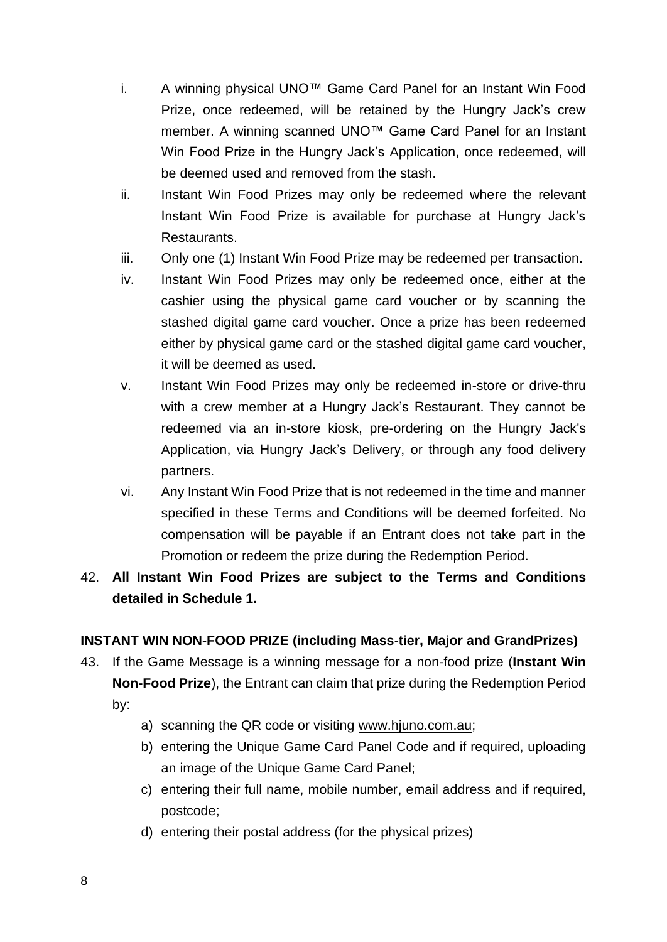- i. A winning physical UNO™ Game Card Panel for an Instant Win Food Prize, once redeemed, will be retained by the Hungry Jack's crew member. A winning scanned UNO™ Game Card Panel for an Instant Win Food Prize in the Hungry Jack's Application, once redeemed, will be deemed used and removed from the stash.
- ii. Instant Win Food Prizes may only be redeemed where the relevant Instant Win Food Prize is available for purchase at Hungry Jack's Restaurants.
- iii. Only one (1) Instant Win Food Prize may be redeemed per transaction.
- iv. Instant Win Food Prizes may only be redeemed once, either at the cashier using the physical game card voucher or by scanning the stashed digital game card voucher. Once a prize has been redeemed either by physical game card or the stashed digital game card voucher, it will be deemed as used.
- v. Instant Win Food Prizes may only be redeemed in-store or drive-thru with a crew member at a Hungry Jack's Restaurant. They cannot be redeemed via an in-store kiosk, pre-ordering on the Hungry Jack's Application, via Hungry Jack's Delivery, or through any food delivery partners.
- vi. Any Instant Win Food Prize that is not redeemed in the time and manner specified in these Terms and Conditions will be deemed forfeited. No compensation will be payable if an Entrant does not take part in the Promotion or redeem the prize during the Redemption Period.

# 42. **All Instant Win Food Prizes are subject to the Terms and Conditions detailed in Schedule 1.**

### **INSTANT WIN NON-FOOD PRIZE (including Mass-tier, Major and GrandPrizes)**

- 43. If the Game Message is a winning message for a non-food prize (**Instant Win Non-Food Prize**), the Entrant can claim that prize during the Redemption Period by:
	- a) scanning the QR code or visiting [www.hjuno.com.au;](http://www.hjuno.com.au/)
	- b) entering the Unique Game Card Panel Code and if required, uploading an image of the Unique Game Card Panel;
	- c) entering their full name, mobile number, email address and if required, postcode;
	- d) entering their postal address (for the physical prizes)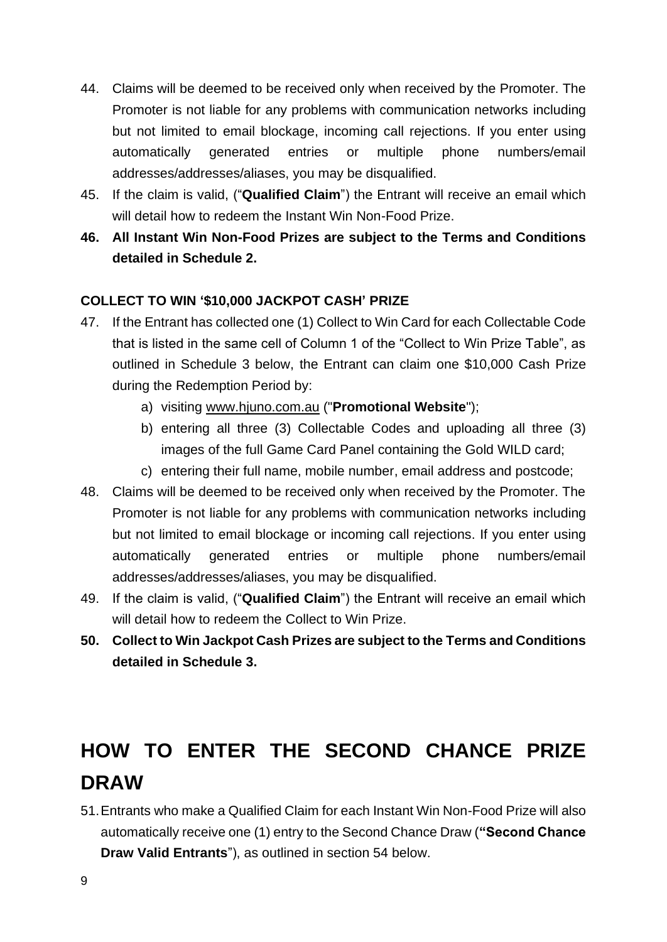- 44. Claims will be deemed to be received only when received by the Promoter. The Promoter is not liable for any problems with communication networks including but not limited to email blockage, incoming call rejections. If you enter using automatically generated entries or multiple phone numbers/email addresses/addresses/aliases, you may be disqualified.
- 45. If the claim is valid, ("**Qualified Claim**") the Entrant will receive an email which will detail how to redeem the Instant Win Non-Food Prize.
- **46. All Instant Win Non-Food Prizes are subject to the Terms and Conditions detailed in Schedule 2.**

### **COLLECT TO WIN '\$10,000 JACKPOT CASH' PRIZE**

- 47. If the Entrant has collected one (1) Collect to Win Card for each Collectable Code that is listed in the same cell of Column 1 of the "Collect to Win Prize Table", as outlined in Schedule 3 below, the Entrant can claim one \$10,000 Cash Prize during the Redemption Period by:
	- a) visiting [www.hjuno.com.au](http://www.hjuno.com.au/) ("**Promotional Website**");
	- b) entering all three (3) Collectable Codes and uploading all three (3) images of the full Game Card Panel containing the Gold WILD card;
	- c) entering their full name, mobile number, email address and postcode;
- 48. Claims will be deemed to be received only when received by the Promoter. The Promoter is not liable for any problems with communication networks including but not limited to email blockage or incoming call rejections. If you enter using automatically generated entries or multiple phone numbers/email addresses/addresses/aliases, you may be disqualified.
- 49. If the claim is valid, ("**Qualified Claim**") the Entrant will receive an email which will detail how to redeem the Collect to Win Prize.
- **50. Collect to Win Jackpot Cash Prizes are subject to the Terms and Conditions detailed in Schedule 3.**

# **HOW TO ENTER THE SECOND CHANCE PRIZE DRAW**

51.Entrants who make a Qualified Claim for each Instant Win Non-Food Prize will also automatically receive one (1) entry to the Second Chance Draw (**"Second Chance Draw Valid Entrants**"), as outlined in section 54 below.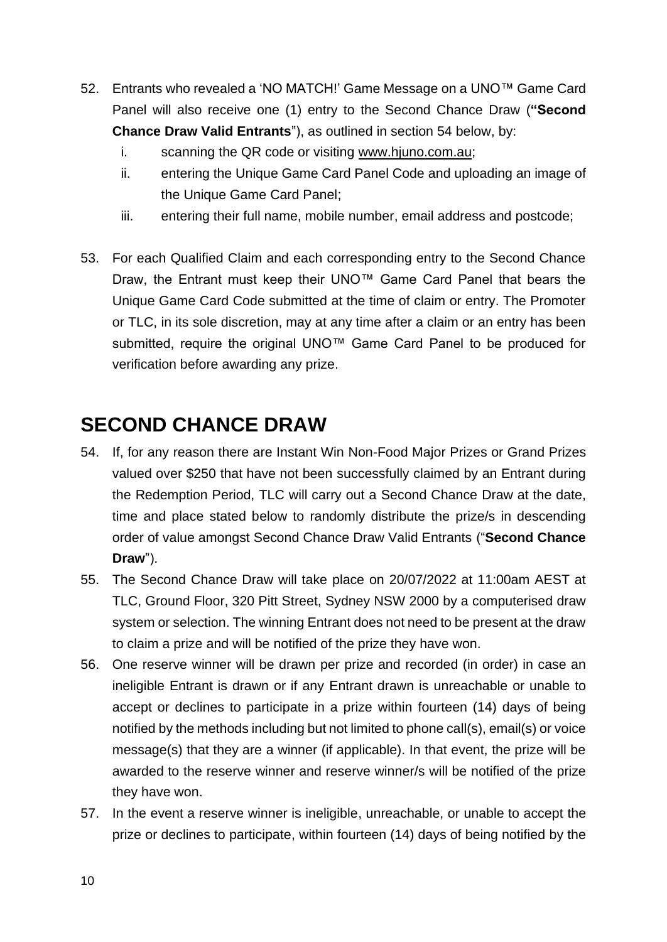- 52. Entrants who revealed a 'NO MATCH!' Game Message on a UNO™ Game Card Panel will also receive one (1) entry to the Second Chance Draw (**"Second Chance Draw Valid Entrants**"), as outlined in section 54 below, by:
	- i. scanning the QR code or visiting [www.hjuno.com.au;](http://www.hjuno.com.au/)
	- ii. entering the Unique Game Card Panel Code and uploading an image of the Unique Game Card Panel;
	- iii. entering their full name, mobile number, email address and postcode;
- 53. For each Qualified Claim and each corresponding entry to the Second Chance Draw, the Entrant must keep their UNO™ Game Card Panel that bears the Unique Game Card Code submitted at the time of claim or entry. The Promoter or TLC, in its sole discretion, may at any time after a claim or an entry has been submitted, require the original UNO<sup>™</sup> Game Card Panel to be produced for verification before awarding any prize.

# **SECOND CHANCE DRAW**

- 54. If, for any reason there are Instant Win Non-Food Major Prizes or Grand Prizes valued over \$250 that have not been successfully claimed by an Entrant during the Redemption Period, TLC will carry out a Second Chance Draw at the date, time and place stated below to randomly distribute the prize/s in descending order of value amongst Second Chance Draw Valid Entrants ("**Second Chance Draw**").
- 55. The Second Chance Draw will take place on 20/07/2022 at 11:00am AEST at TLC, Ground Floor, 320 Pitt Street, Sydney NSW 2000 by a computerised draw system or selection. The winning Entrant does not need to be present at the draw to claim a prize and will be notified of the prize they have won.
- 56. One reserve winner will be drawn per prize and recorded (in order) in case an ineligible Entrant is drawn or if any Entrant drawn is unreachable or unable to accept or declines to participate in a prize within fourteen (14) days of being notified by the methods including but not limited to phone call(s), email(s) or voice message(s) that they are a winner (if applicable). In that event, the prize will be awarded to the reserve winner and reserve winner/s will be notified of the prize they have won.
- 57. In the event a reserve winner is ineligible, unreachable, or unable to accept the prize or declines to participate, within fourteen (14) days of being notified by the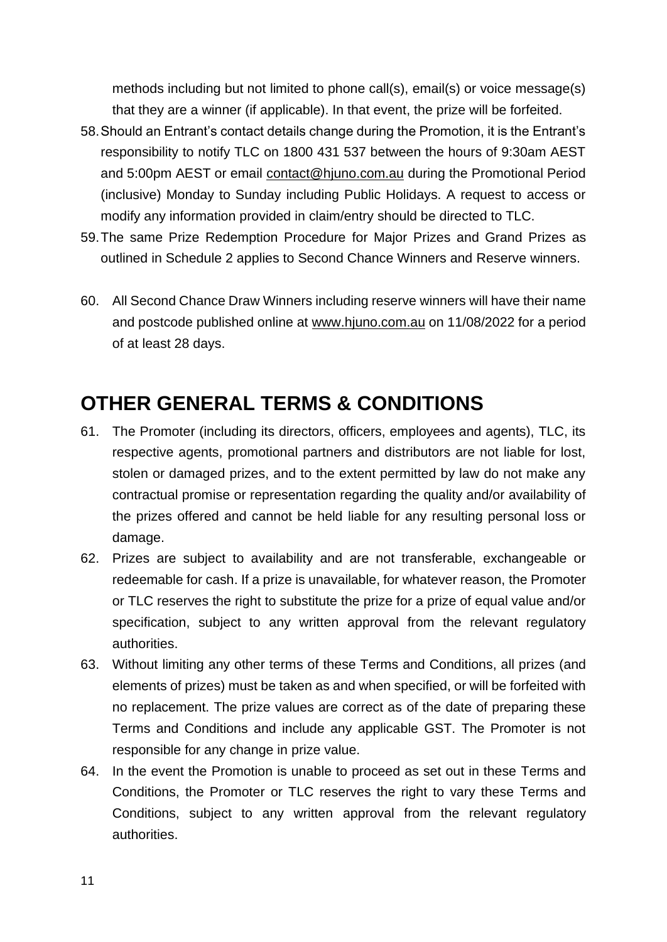methods including but not limited to phone call(s), email(s) or voice message(s) that they are a winner (if applicable). In that event, the prize will be forfeited.

- 58.Should an Entrant's contact details change during the Promotion, it is the Entrant's responsibility to notify TLC on 1800 431 537 between the hours of 9:30am AEST and 5:00pm AEST or email [contact@hjuno.com.au](file:///C:/NRPortbl/VICProduction1/JFL/contact@hjuno.com.au) during the Promotional Period (inclusive) Monday to Sunday including Public Holidays. A request to access or modify any information provided in claim/entry should be directed to TLC.
- 59.The same Prize Redemption Procedure for Major Prizes and Grand Prizes as outlined in Schedule 2 applies to Second Chance Winners and Reserve winners.
- 60. All Second Chance Draw Winners including reserve winners will have their name and postcode published online at [www.hjuno.com.au](http://www.hjuno.com.au/) on 11/08/2022 for a period of at least 28 days.

# **OTHER GENERAL TERMS & CONDITIONS**

- 61. The Promoter (including its directors, officers, employees and agents), TLC, its respective agents, promotional partners and distributors are not liable for lost, stolen or damaged prizes, and to the extent permitted by law do not make any contractual promise or representation regarding the quality and/or availability of the prizes offered and cannot be held liable for any resulting personal loss or damage.
- 62. Prizes are subject to availability and are not transferable, exchangeable or redeemable for cash. If a prize is unavailable, for whatever reason, the Promoter or TLC reserves the right to substitute the prize for a prize of equal value and/or specification, subject to any written approval from the relevant regulatory authorities.
- 63. Without limiting any other terms of these Terms and Conditions, all prizes (and elements of prizes) must be taken as and when specified, or will be forfeited with no replacement. The prize values are correct as of the date of preparing these Terms and Conditions and include any applicable GST. The Promoter is not responsible for any change in prize value.
- 64. In the event the Promotion is unable to proceed as set out in these Terms and Conditions, the Promoter or TLC reserves the right to vary these Terms and Conditions, subject to any written approval from the relevant regulatory authorities.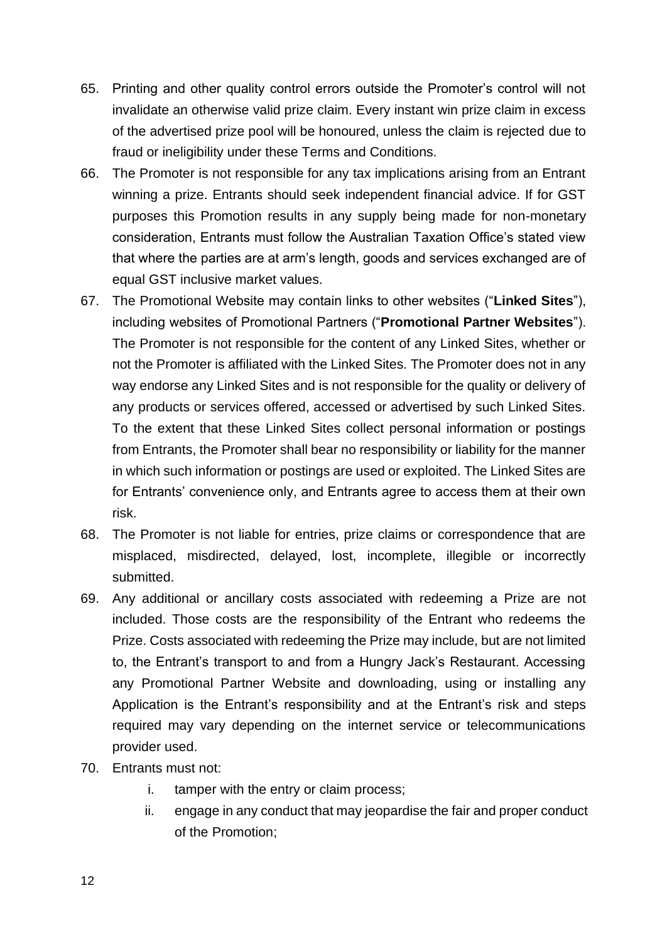- 65. Printing and other quality control errors outside the Promoter's control will not invalidate an otherwise valid prize claim. Every instant win prize claim in excess of the advertised prize pool will be honoured, unless the claim is rejected due to fraud or ineligibility under these Terms and Conditions.
- 66. The Promoter is not responsible for any tax implications arising from an Entrant winning a prize. Entrants should seek independent financial advice. If for GST purposes this Promotion results in any supply being made for non-monetary consideration, Entrants must follow the Australian Taxation Office's stated view that where the parties are at arm's length, goods and services exchanged are of equal GST inclusive market values.
- 67. The Promotional Website may contain links to other websites ("**Linked Sites**"), including websites of Promotional Partners ("**Promotional Partner Websites**"). The Promoter is not responsible for the content of any Linked Sites, whether or not the Promoter is affiliated with the Linked Sites. The Promoter does not in any way endorse any Linked Sites and is not responsible for the quality or delivery of any products or services offered, accessed or advertised by such Linked Sites. To the extent that these Linked Sites collect personal information or postings from Entrants, the Promoter shall bear no responsibility or liability for the manner in which such information or postings are used or exploited. The Linked Sites are for Entrants' convenience only, and Entrants agree to access them at their own risk.
- 68. The Promoter is not liable for entries, prize claims or correspondence that are misplaced, misdirected, delayed, lost, incomplete, illegible or incorrectly submitted.
- 69. Any additional or ancillary costs associated with redeeming a Prize are not included. Those costs are the responsibility of the Entrant who redeems the Prize. Costs associated with redeeming the Prize may include, but are not limited to, the Entrant's transport to and from a Hungry Jack's Restaurant. Accessing any Promotional Partner Website and downloading, using or installing any Application is the Entrant's responsibility and at the Entrant's risk and steps required may vary depending on the internet service or telecommunications provider used.
- 70. Entrants must not:
	- i. tamper with the entry or claim process;
	- ii. engage in any conduct that may jeopardise the fair and proper conduct of the Promotion;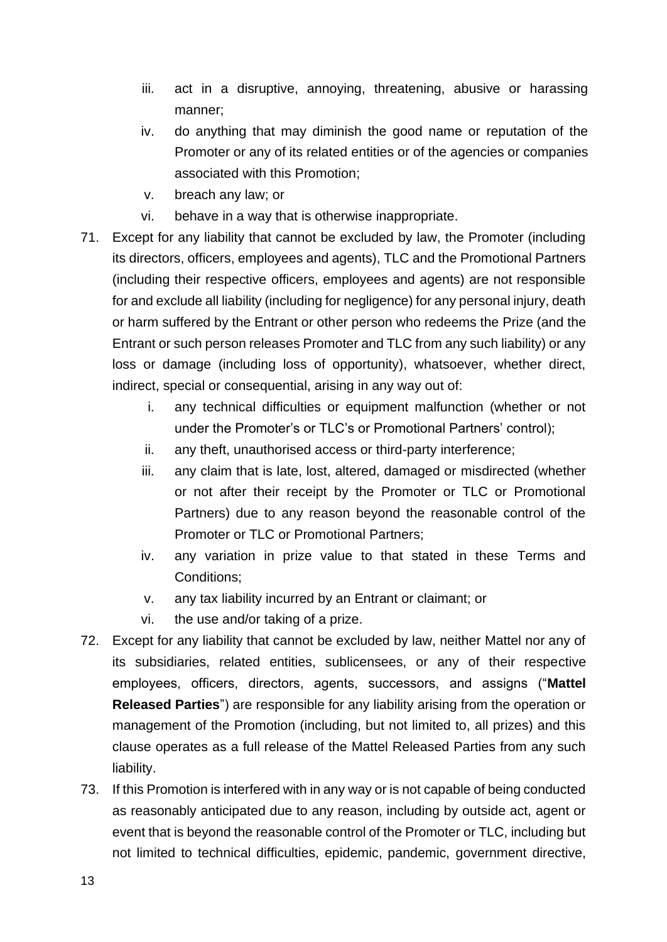- iii. act in a disruptive, annoying, threatening, abusive or harassing manner;
- iv. do anything that may diminish the good name or reputation of the Promoter or any of its related entities or of the agencies or companies associated with this Promotion;
- v. breach any law; or
- vi. behave in a way that is otherwise inappropriate.
- 71. Except for any liability that cannot be excluded by law, the Promoter (including its directors, officers, employees and agents), TLC and the Promotional Partners (including their respective officers, employees and agents) are not responsible for and exclude all liability (including for negligence) for any personal injury, death or harm suffered by the Entrant or other person who redeems the Prize (and the Entrant or such person releases Promoter and TLC from any such liability) or any loss or damage (including loss of opportunity), whatsoever, whether direct, indirect, special or consequential, arising in any way out of:
	- i. any technical difficulties or equipment malfunction (whether or not under the Promoter's or TLC's or Promotional Partners' control);
	- ii. any theft, unauthorised access or third-party interference;
	- iii. any claim that is late, lost, altered, damaged or misdirected (whether or not after their receipt by the Promoter or TLC or Promotional Partners) due to any reason beyond the reasonable control of the Promoter or TLC or Promotional Partners;
	- iv. any variation in prize value to that stated in these Terms and Conditions;
	- v. any tax liability incurred by an Entrant or claimant; or
	- vi. the use and/or taking of a prize.
- 72. Except for any liability that cannot be excluded by law, neither Mattel nor any of its subsidiaries, related entities, sublicensees, or any of their respective employees, officers, directors, agents, successors, and assigns ("**Mattel Released Parties**") are responsible for any liability arising from the operation or management of the Promotion (including, but not limited to, all prizes) and this clause operates as a full release of the Mattel Released Parties from any such liability.
- 73. If this Promotion is interfered with in any way or is not capable of being conducted as reasonably anticipated due to any reason, including by outside act, agent or event that is beyond the reasonable control of the Promoter or TLC, including but not limited to technical difficulties, epidemic, pandemic, government directive,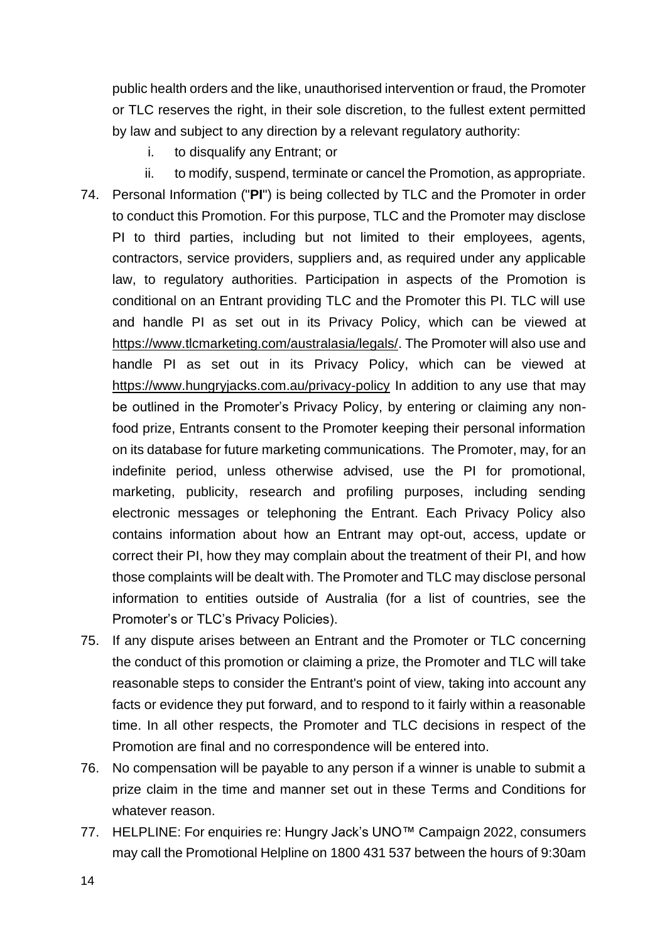public health orders and the like, unauthorised intervention or fraud, the Promoter or TLC reserves the right, in their sole discretion, to the fullest extent permitted by law and subject to any direction by a relevant regulatory authority:

- i. to disqualify any Entrant; or
- ii. to modify, suspend, terminate or cancel the Promotion, as appropriate. 74. Personal Information ("**PI**") is being collected by TLC and the Promoter in order to conduct this Promotion. For this purpose, TLC and the Promoter may disclose PI to third parties, including but not limited to their employees, agents, contractors, service providers, suppliers and, as required under any applicable law, to regulatory authorities. Participation in aspects of the Promotion is conditional on an Entrant providing TLC and the Promoter this PI. TLC will use and handle PI as set out in its Privacy Policy, which can be viewed at https://www.tlcmarketing.com/australasia/legals/. The Promoter will also use and handle PI as set out in its Privacy Policy, which can be viewed at https://www.hungryjacks.com.au/privacy-policy In addition to any use that may be outlined in the Promoter's Privacy Policy, by entering or claiming any nonfood prize, Entrants consent to the Promoter keeping their personal information on its database for future marketing communications. The Promoter, may, for an indefinite period, unless otherwise advised, use the PI for promotional, marketing, publicity, research and profiling purposes, including sending electronic messages or telephoning the Entrant. Each Privacy Policy also contains information about how an Entrant may opt-out, access, update or correct their PI, how they may complain about the treatment of their PI, and how those complaints will be dealt with. The Promoter and TLC may disclose personal information to entities outside of Australia (for a list of countries, see the Promoter's or TLC's Privacy Policies).
- 75. If any dispute arises between an Entrant and the Promoter or TLC concerning the conduct of this promotion or claiming a prize, the Promoter and TLC will take reasonable steps to consider the Entrant's point of view, taking into account any facts or evidence they put forward, and to respond to it fairly within a reasonable time. In all other respects, the Promoter and TLC decisions in respect of the Promotion are final and no correspondence will be entered into.
- 76. No compensation will be payable to any person if a winner is unable to submit a prize claim in the time and manner set out in these Terms and Conditions for whatever reason.
- 77. HELPLINE: For enquiries re: Hungry Jack's UNO™ Campaign 2022, consumers may call the Promotional Helpline on 1800 431 537 between the hours of 9:30am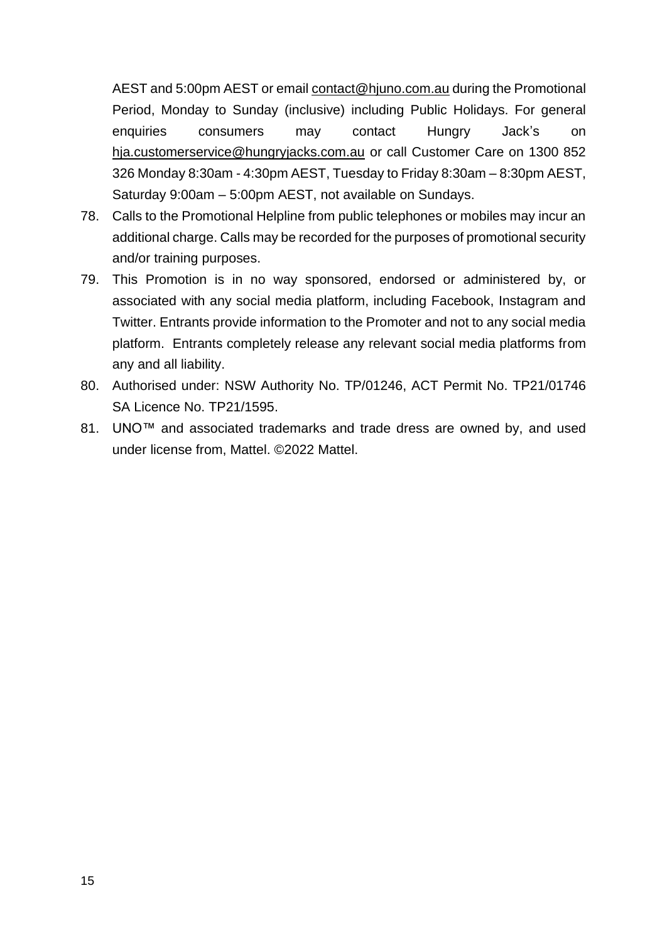AEST and 5:00pm AEST or email [contact@hjuno.com.au](file:///C:/NRPortbl/VICProduction1/JFL/contact@hjuno.com.au) during the Promotional Period, Monday to Sunday (inclusive) including Public Holidays. For general enquiries consumers may contact Hungry Jack's on [hja.customerservice@hungryjacks.com.au](mailto:hja.customerservice@hungryjacks.com.au) or call Customer Care on 1300 852 326 Monday 8:30am - 4:30pm AEST, Tuesday to Friday 8:30am – 8:30pm AEST, Saturday 9:00am – 5:00pm AEST, not available on Sundays.

- 78. Calls to the Promotional Helpline from public telephones or mobiles may incur an additional charge. Calls may be recorded for the purposes of promotional security and/or training purposes.
- 79. This Promotion is in no way sponsored, endorsed or administered by, or associated with any social media platform, including Facebook, Instagram and Twitter. Entrants provide information to the Promoter and not to any social media platform. Entrants completely release any relevant social media platforms from any and all liability.
- 80. Authorised under: NSW Authority No. TP/01246, ACT Permit No. TP21/01746 SA Licence No. TP21/1595.
- 81. UNO™ and associated trademarks and trade dress are owned by, and used under license from, Mattel. ©2022 Mattel.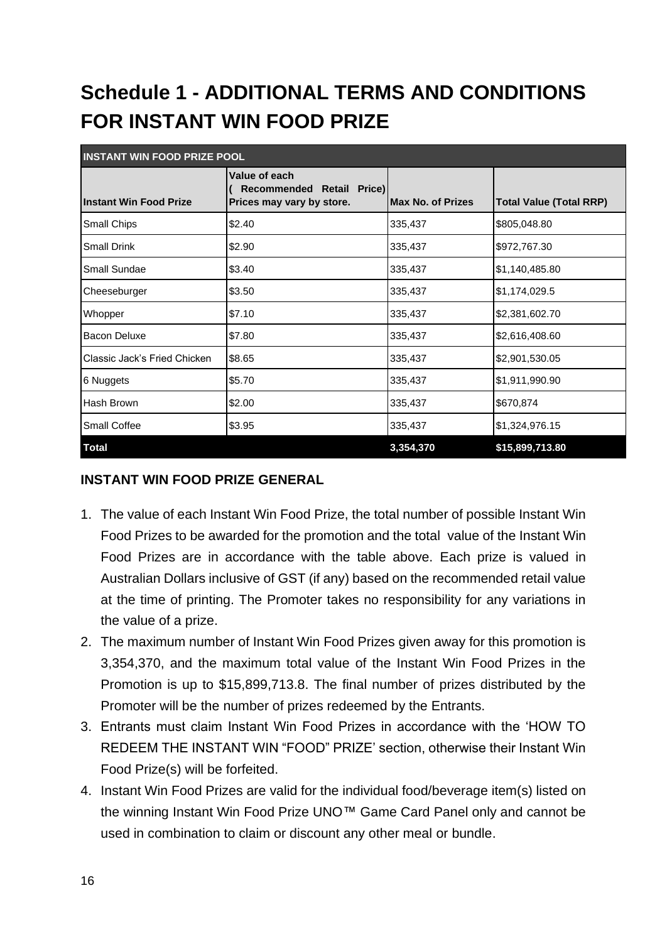# **Schedule 1 - ADDITIONAL TERMS AND CONDITIONS FOR INSTANT WIN FOOD PRIZE**

| <b>INSTANT WIN FOOD PRIZE POOL</b> |                                                                         |                          |                                |
|------------------------------------|-------------------------------------------------------------------------|--------------------------|--------------------------------|
| <b>Instant Win Food Prize</b>      | Value of each<br>Recommended Retail Price)<br>Prices may vary by store. | <b>Max No. of Prizes</b> | <b>Total Value (Total RRP)</b> |
| Small Chips                        | \$2.40                                                                  | 335,437                  | \$805,048.80                   |
| <b>Small Drink</b>                 | \$2.90                                                                  | 335,437                  | \$972,767.30                   |
| Small Sundae                       | \$3.40                                                                  | 335,437                  | \$1,140,485.80                 |
| Cheeseburger                       | \$3.50                                                                  | 335,437                  | \$1,174,029.5                  |
| Whopper                            | \$7.10                                                                  | 335,437                  | \$2,381,602.70                 |
| <b>Bacon Deluxe</b>                | \$7.80                                                                  | 335,437                  | \$2,616,408.60                 |
| Classic Jack's Fried Chicken       | \$8.65                                                                  | 335,437                  | \$2,901,530.05                 |
| 6 Nuggets                          | \$5.70                                                                  | 335,437                  | \$1,911,990.90                 |
| Hash Brown                         | \$2.00                                                                  | 335,437                  | \$670,874                      |
| <b>Small Coffee</b>                | \$3.95                                                                  | 335,437                  | \$1,324,976.15                 |
| <b>Total</b>                       |                                                                         | 3,354,370                | \$15,899,713.80                |

#### **INSTANT WIN FOOD PRIZE GENERAL**

- 1. The value of each Instant Win Food Prize, the total number of possible Instant Win Food Prizes to be awarded for the promotion and the total value of the Instant Win Food Prizes are in accordance with the table above. Each prize is valued in Australian Dollars inclusive of GST (if any) based on the recommended retail value at the time of printing. The Promoter takes no responsibility for any variations in the value of a prize.
- 2. The maximum number of Instant Win Food Prizes given away for this promotion is 3,354,370, and the maximum total value of the Instant Win Food Prizes in the Promotion is up to \$15,899,713.8. The final number of prizes distributed by the Promoter will be the number of prizes redeemed by the Entrants.
- 3. Entrants must claim Instant Win Food Prizes in accordance with the 'HOW TO REDEEM THE INSTANT WIN "FOOD" PRIZE' section, otherwise their Instant Win Food Prize(s) will be forfeited.
- 4. Instant Win Food Prizes are valid for the individual food/beverage item(s) listed on the winning Instant Win Food Prize UNO™ Game Card Panel only and cannot be used in combination to claim or discount any other meal or bundle.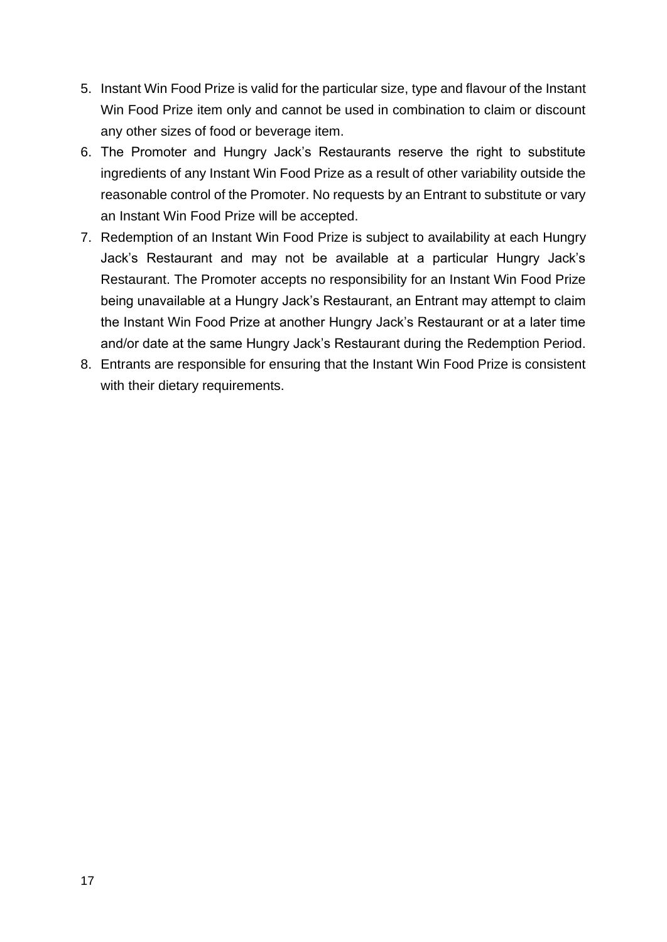- 5. Instant Win Food Prize is valid for the particular size, type and flavour of the Instant Win Food Prize item only and cannot be used in combination to claim or discount any other sizes of food or beverage item.
- 6. The Promoter and Hungry Jack's Restaurants reserve the right to substitute ingredients of any Instant Win Food Prize as a result of other variability outside the reasonable control of the Promoter. No requests by an Entrant to substitute or vary an Instant Win Food Prize will be accepted.
- 7. Redemption of an Instant Win Food Prize is subject to availability at each Hungry Jack's Restaurant and may not be available at a particular Hungry Jack's Restaurant. The Promoter accepts no responsibility for an Instant Win Food Prize being unavailable at a Hungry Jack's Restaurant, an Entrant may attempt to claim the Instant Win Food Prize at another Hungry Jack's Restaurant or at a later time and/or date at the same Hungry Jack's Restaurant during the Redemption Period.
- 8. Entrants are responsible for ensuring that the Instant Win Food Prize is consistent with their dietary requirements.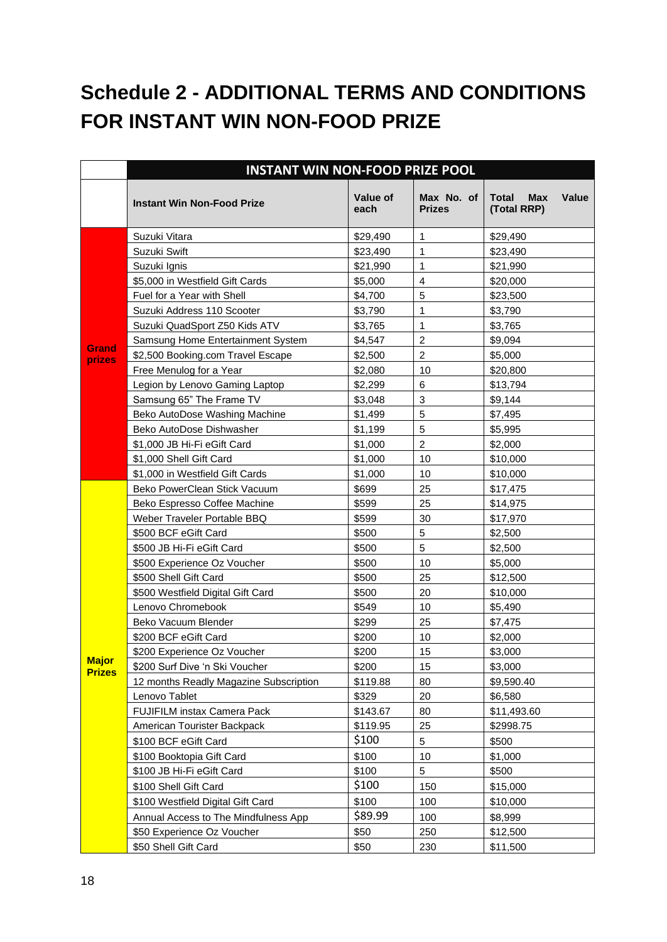# **Schedule 2 - ADDITIONAL TERMS AND CONDITIONS FOR INSTANT WIN NON-FOOD PRIZE**

|               | <b>INSTANT WIN NON-FOOD PRIZE POOL</b> |                  |                             |                                                           |
|---------------|----------------------------------------|------------------|-----------------------------|-----------------------------------------------------------|
|               | <b>Instant Win Non-Food Prize</b>      | Value of<br>each | Max No. of<br><b>Prizes</b> | <b>Total</b><br><b>Max</b><br><b>Value</b><br>(Total RRP) |
|               | Suzuki Vitara                          | \$29,490         | $\mathbf{1}$                | \$29,490                                                  |
|               | Suzuki Swift                           | \$23,490         | $\mathbf{1}$                | \$23,490                                                  |
|               | Suzuki Ignis                           | \$21,990         | 1                           | \$21,990                                                  |
|               | \$5,000 in Westfield Gift Cards        | \$5,000          | $\overline{\mathbf{4}}$     | \$20,000                                                  |
|               | Fuel for a Year with Shell             | \$4,700          | 5                           | \$23,500                                                  |
|               | Suzuki Address 110 Scooter             | \$3,790          | $\mathbf{1}$                | \$3,790                                                   |
|               | Suzuki QuadSport Z50 Kids ATV          | \$3,765          | $\mathbf{1}$                | \$3,765                                                   |
| <b>Grand</b>  | Samsung Home Entertainment System      | \$4,547          | $\overline{c}$              | \$9,094                                                   |
| prizes        | \$2,500 Booking.com Travel Escape      | \$2,500          | $\overline{2}$              | \$5,000                                                   |
|               | Free Menulog for a Year                | \$2,080          | 10                          | \$20,800                                                  |
|               | Legion by Lenovo Gaming Laptop         | \$2,299          | 6                           | \$13,794                                                  |
|               | Samsung 65" The Frame TV               | \$3,048          | 3                           | \$9,144                                                   |
|               | Beko AutoDose Washing Machine          | \$1,499          | 5                           | \$7,495                                                   |
|               | Beko AutoDose Dishwasher               | \$1,199          | 5                           | \$5,995                                                   |
|               | \$1,000 JB Hi-Fi eGift Card            | \$1,000          | $\overline{2}$              | \$2,000                                                   |
|               | \$1,000 Shell Gift Card                | \$1,000          | 10                          | \$10,000                                                  |
|               | \$1,000 in Westfield Gift Cards        | \$1,000          | 10                          | \$10,000                                                  |
|               | Beko PowerClean Stick Vacuum           | \$699            | 25                          | \$17,475                                                  |
|               | Beko Espresso Coffee Machine           | \$599            | 25                          | \$14,975                                                  |
|               | Weber Traveler Portable BBQ            | \$599            | 30                          | \$17,970                                                  |
|               | \$500 BCF eGift Card                   | \$500            | 5                           | \$2,500                                                   |
|               | \$500 JB Hi-Fi eGift Card              | \$500            | 5                           | \$2,500                                                   |
|               | \$500 Experience Oz Voucher            | \$500            | 10                          | \$5,000                                                   |
|               | \$500 Shell Gift Card                  | \$500            | 25                          | \$12,500                                                  |
|               | \$500 Westfield Digital Gift Card      | \$500            | 20                          | \$10,000                                                  |
|               | Lenovo Chromebook                      | \$549            | 10                          | \$5,490                                                   |
|               | Beko Vacuum Blender                    | \$299            | 25                          | \$7,475                                                   |
|               | \$200 BCF eGift Card                   | \$200            | 10                          | \$2,000                                                   |
| <b>Major</b>  | \$200 Experience Oz Voucher            | \$200            | 15                          | \$3,000                                                   |
| <b>Prizes</b> | \$200 Surf Dive 'n Ski Voucher         | \$200            | 15                          | \$3,000                                                   |
|               | 12 months Readly Magazine Subscription | \$119.88         | 80                          | \$9,590.40                                                |
|               | Lenovo Tablet                          | \$329            | 20                          | \$6,580                                                   |
|               | <b>FUJIFILM instax Camera Pack</b>     | \$143.67         | 80                          | \$11,493.60                                               |
|               | American Tourister Backpack            | \$119.95         | 25                          | \$2998.75                                                 |
|               | \$100 BCF eGift Card                   | \$100            | 5                           | \$500                                                     |
|               | \$100 Booktopia Gift Card              | \$100            | 10                          | \$1,000                                                   |
|               | \$100 JB Hi-Fi eGift Card              | \$100            | 5                           | \$500                                                     |
|               | \$100 Shell Gift Card                  | \$100            | 150                         | \$15,000                                                  |
|               | \$100 Westfield Digital Gift Card      | \$100            | 100                         | \$10,000                                                  |
|               | Annual Access to The Mindfulness App   | \$89.99          | 100                         | \$8,999                                                   |
|               | \$50 Experience Oz Voucher             | \$50             | 250                         | \$12,500                                                  |
|               | \$50 Shell Gift Card                   | \$50             | 230                         | \$11,500                                                  |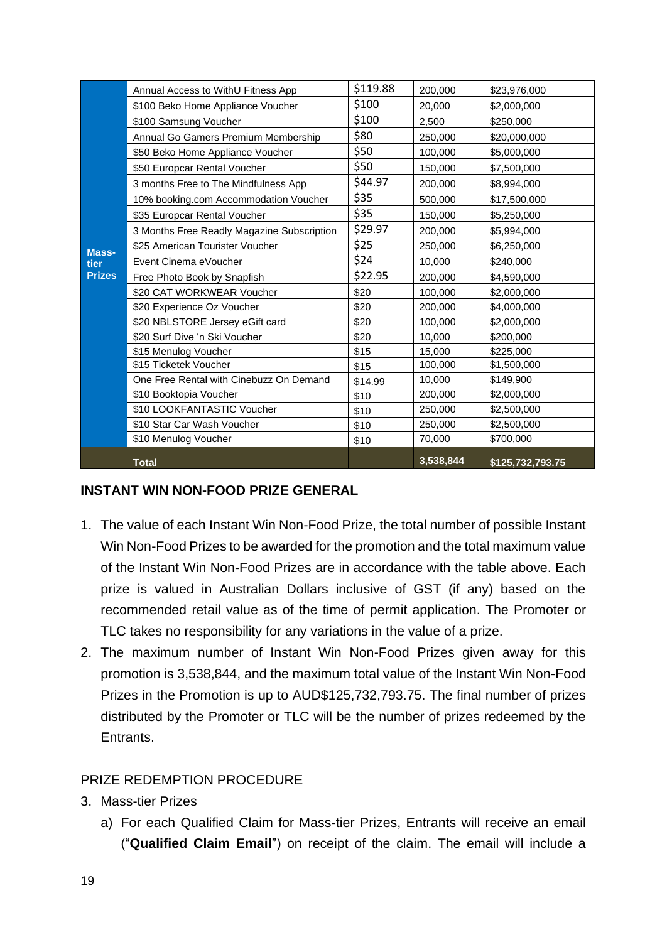|               | Annual Access to WithU Fitness App         | \$119.88 | 200,000   | \$23,976,000     |
|---------------|--------------------------------------------|----------|-----------|------------------|
|               | \$100 Beko Home Appliance Voucher          | \$100    | 20,000    | \$2,000,000      |
|               | \$100 Samsung Voucher                      | \$100    | 2,500     | \$250,000        |
|               | Annual Go Gamers Premium Membership        | \$80     | 250,000   | \$20,000,000     |
|               | \$50 Beko Home Appliance Voucher           | \$50     | 100,000   | \$5,000,000      |
|               | \$50 Europcar Rental Voucher               | \$50     | 150,000   | \$7,500,000      |
|               | 3 months Free to The Mindfulness App       | \$44.97  | 200,000   | \$8,994,000      |
|               | 10% booking.com Accommodation Voucher      | \$35     | 500,000   | \$17,500,000     |
|               | \$35 Europcar Rental Voucher               | \$35     | 150,000   | \$5,250,000      |
|               | 3 Months Free Readly Magazine Subscription | \$29.97  | 200,000   | \$5,994,000      |
| Mass-         | \$25 American Tourister Voucher            | \$25     | 250,000   | \$6,250,000      |
| tier          | Event Cinema eVoucher                      | \$24     | 10,000    | \$240,000        |
| <b>Prizes</b> | Free Photo Book by Snapfish                | \$22.95  | 200,000   | \$4,590,000      |
|               | \$20 CAT WORKWEAR Voucher                  | \$20     | 100,000   | \$2,000,000      |
|               | \$20 Experience Oz Voucher                 | \$20     | 200,000   | \$4,000,000      |
|               | \$20 NBLSTORE Jersey eGift card            | \$20     | 100,000   | \$2,000,000      |
|               | \$20 Surf Dive 'n Ski Voucher              | \$20     | 10,000    | \$200,000        |
|               | \$15 Menulog Voucher                       | \$15     | 15,000    | \$225,000        |
|               | \$15 Ticketek Voucher                      | \$15     | 100,000   | \$1,500,000      |
|               | One Free Rental with Cinebuzz On Demand    | \$14.99  | 10,000    | \$149,900        |
|               | \$10 Booktopia Voucher                     | \$10     | 200,000   | \$2,000,000      |
|               | \$10 LOOKFANTASTIC Voucher                 | \$10     | 250,000   | \$2,500,000      |
|               | \$10 Star Car Wash Voucher                 | \$10     | 250,000   | \$2,500,000      |
|               | \$10 Menulog Voucher                       | \$10     | 70,000    | \$700,000        |
|               | <b>Total</b>                               |          | 3,538,844 | \$125,732,793.75 |

#### **INSTANT WIN NON-FOOD PRIZE GENERAL**

- 1. The value of each Instant Win Non-Food Prize, the total number of possible Instant Win Non-Food Prizes to be awarded for the promotion and the total maximum value of the Instant Win Non-Food Prizes are in accordance with the table above. Each prize is valued in Australian Dollars inclusive of GST (if any) based on the recommended retail value as of the time of permit application. The Promoter or TLC takes no responsibility for any variations in the value of a prize.
- 2. The maximum number of Instant Win Non-Food Prizes given away for this promotion is 3,538,844, and the maximum total value of the Instant Win Non-Food Prizes in the Promotion is up to AUD\$125,732,793.75. The final number of prizes distributed by the Promoter or TLC will be the number of prizes redeemed by the Entrants.

### PRIZE REDEMPTION PROCEDURE

- 3. Mass-tier Prizes
	- a) For each Qualified Claim for Mass-tier Prizes, Entrants will receive an email ("**Qualified Claim Email**") on receipt of the claim. The email will include a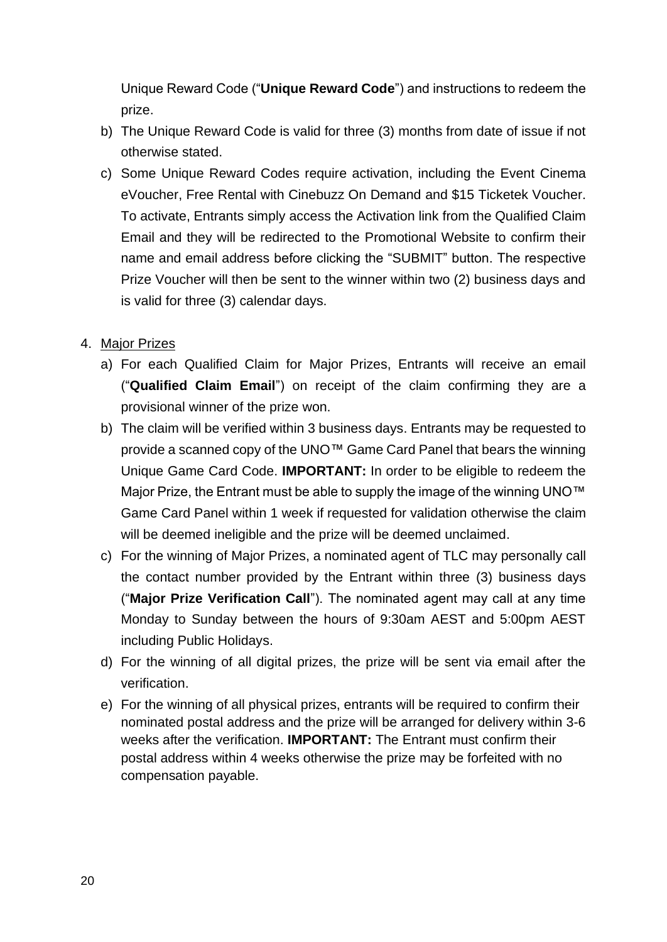Unique Reward Code ("**Unique Reward Code**") and instructions to redeem the prize.

- b) The Unique Reward Code is valid for three (3) months from date of issue if not otherwise stated.
- c) Some Unique Reward Codes require activation, including the Event Cinema eVoucher, Free Rental with Cinebuzz On Demand and \$15 Ticketek Voucher. To activate, Entrants simply access the Activation link from the Qualified Claim Email and they will be redirected to the Promotional Website to confirm their name and email address before clicking the "SUBMIT" button. The respective Prize Voucher will then be sent to the winner within two (2) business days and is valid for three (3) calendar days.

#### 4. Major Prizes

- a) For each Qualified Claim for Major Prizes, Entrants will receive an email ("**Qualified Claim Email**") on receipt of the claim confirming they are a provisional winner of the prize won.
- b) The claim will be verified within 3 business days. Entrants may be requested to provide a scanned copy of the UNO™ Game Card Panel that bears the winning Unique Game Card Code. **IMPORTANT:** In order to be eligible to redeem the Major Prize, the Entrant must be able to supply the image of the winning UNO™ Game Card Panel within 1 week if requested for validation otherwise the claim will be deemed ineligible and the prize will be deemed unclaimed.
- c) For the winning of Major Prizes, a nominated agent of TLC may personally call the contact number provided by the Entrant within three (3) business days ("**Major Prize Verification Call**"). The nominated agent may call at any time Monday to Sunday between the hours of 9:30am AEST and 5:00pm AEST including Public Holidays.
- d) For the winning of all digital prizes, the prize will be sent via email after the verification.
- e) For the winning of all physical prizes, entrants will be required to confirm their nominated postal address and the prize will be arranged for delivery within 3-6 weeks after the verification. **IMPORTANT:** The Entrant must confirm their postal address within 4 weeks otherwise the prize may be forfeited with no compensation payable.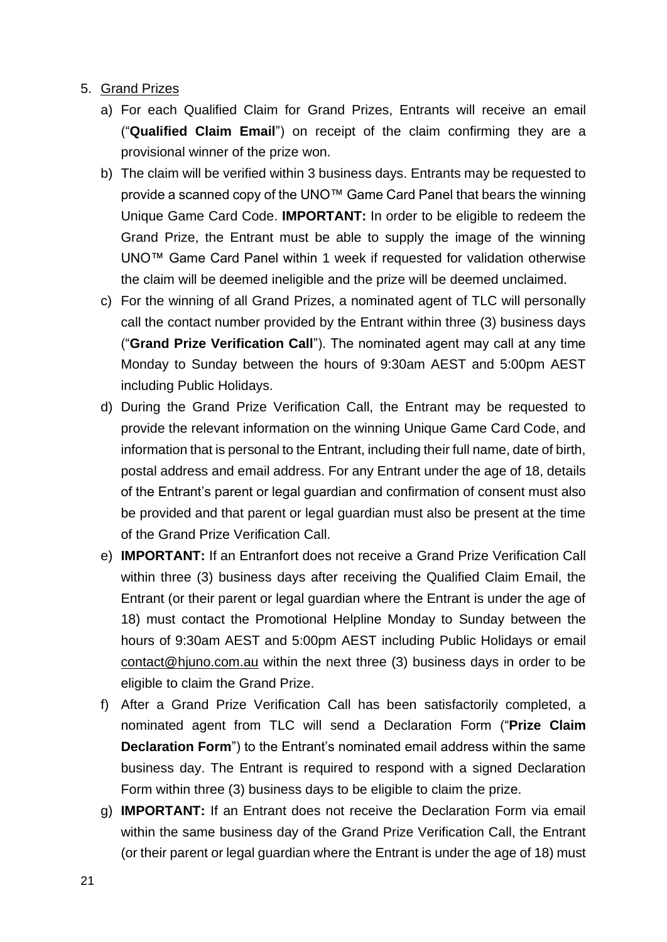#### 5. Grand Prizes

- a) For each Qualified Claim for Grand Prizes, Entrants will receive an email ("**Qualified Claim Email**") on receipt of the claim confirming they are a provisional winner of the prize won.
- b) The claim will be verified within 3 business days. Entrants may be requested to provide a scanned copy of the UNO™ Game Card Panel that bears the winning Unique Game Card Code. **IMPORTANT:** In order to be eligible to redeem the Grand Prize, the Entrant must be able to supply the image of the winning UNO™ Game Card Panel within 1 week if requested for validation otherwise the claim will be deemed ineligible and the prize will be deemed unclaimed.
- c) For the winning of all Grand Prizes, a nominated agent of TLC will personally call the contact number provided by the Entrant within three (3) business days ("**Grand Prize Verification Call**"). The nominated agent may call at any time Monday to Sunday between the hours of 9:30am AEST and 5:00pm AEST including Public Holidays.
- d) During the Grand Prize Verification Call, the Entrant may be requested to provide the relevant information on the winning Unique Game Card Code, and information that is personal to the Entrant, including their full name, date of birth, postal address and email address. For any Entrant under the age of 18, details of the Entrant's parent or legal guardian and confirmation of consent must also be provided and that parent or legal guardian must also be present at the time of the Grand Prize Verification Call.
- e) **IMPORTANT:** If an Entranfort does not receive a Grand Prize Verification Call within three (3) business days after receiving the Qualified Claim Email, the Entrant (or their parent or legal guardian where the Entrant is under the age of 18) must contact the Promotional Helpline Monday to Sunday between the hours of 9:30am AEST and 5:00pm AEST including Public Holidays or email [contact@hjuno.com.au](file:///C:/NRPortbl/VICProduction1/JFL/contact@hjuno.com.au) within the next three (3) business days in order to be eligible to claim the Grand Prize.
- f) After a Grand Prize Verification Call has been satisfactorily completed, a nominated agent from TLC will send a Declaration Form ("**Prize Claim Declaration Form**") to the Entrant's nominated email address within the same business day. The Entrant is required to respond with a signed Declaration Form within three (3) business days to be eligible to claim the prize.
- g) **IMPORTANT:** If an Entrant does not receive the Declaration Form via email within the same business day of the Grand Prize Verification Call, the Entrant (or their parent or legal guardian where the Entrant is under the age of 18) must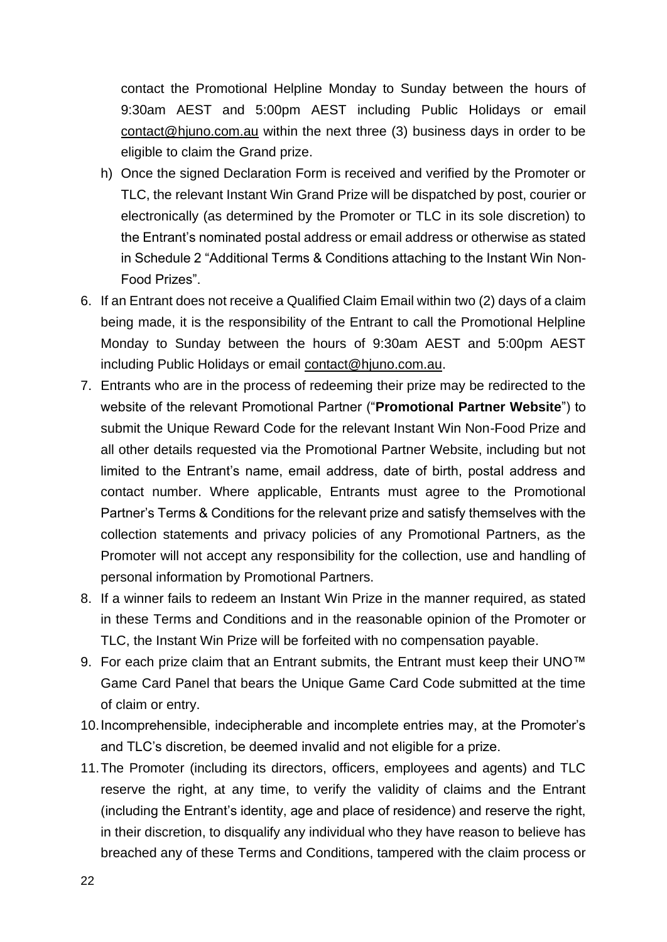contact the Promotional Helpline Monday to Sunday between the hours of 9:30am AEST and 5:00pm AEST including Public Holidays or email [contact@hjuno.com.au](file:///C:/NRPortbl/VICProduction1/JFL/contact@hjuno.com.au) within the next three (3) business days in order to be eligible to claim the Grand prize.

- h) Once the signed Declaration Form is received and verified by the Promoter or TLC, the relevant Instant Win Grand Prize will be dispatched by post, courier or electronically (as determined by the Promoter or TLC in its sole discretion) to the Entrant's nominated postal address or email address or otherwise as stated in Schedule 2 "Additional Terms & Conditions attaching to the Instant Win Non-Food Prizes".
- 6. If an Entrant does not receive a Qualified Claim Email within two (2) days of a claim being made, it is the responsibility of the Entrant to call the Promotional Helpline Monday to Sunday between the hours of 9:30am AEST and 5:00pm AEST including Public Holidays or email [contact@hjuno.com.au.](mailto:contact@hjuno.com.au)
- 7. Entrants who are in the process of redeeming their prize may be redirected to the website of the relevant Promotional Partner ("**Promotional Partner Website**") to submit the Unique Reward Code for the relevant Instant Win Non-Food Prize and all other details requested via the Promotional Partner Website, including but not limited to the Entrant's name, email address, date of birth, postal address and contact number. Where applicable, Entrants must agree to the Promotional Partner's Terms & Conditions for the relevant prize and satisfy themselves with the collection statements and privacy policies of any Promotional Partners, as the Promoter will not accept any responsibility for the collection, use and handling of personal information by Promotional Partners.
- 8. If a winner fails to redeem an Instant Win Prize in the manner required, as stated in these Terms and Conditions and in the reasonable opinion of the Promoter or TLC, the Instant Win Prize will be forfeited with no compensation payable.
- 9. For each prize claim that an Entrant submits, the Entrant must keep their UNO™ Game Card Panel that bears the Unique Game Card Code submitted at the time of claim or entry.
- 10.Incomprehensible, indecipherable and incomplete entries may, at the Promoter's and TLC's discretion, be deemed invalid and not eligible for a prize.
- 11.The Promoter (including its directors, officers, employees and agents) and TLC reserve the right, at any time, to verify the validity of claims and the Entrant (including the Entrant's identity, age and place of residence) and reserve the right, in their discretion, to disqualify any individual who they have reason to believe has breached any of these Terms and Conditions, tampered with the claim process or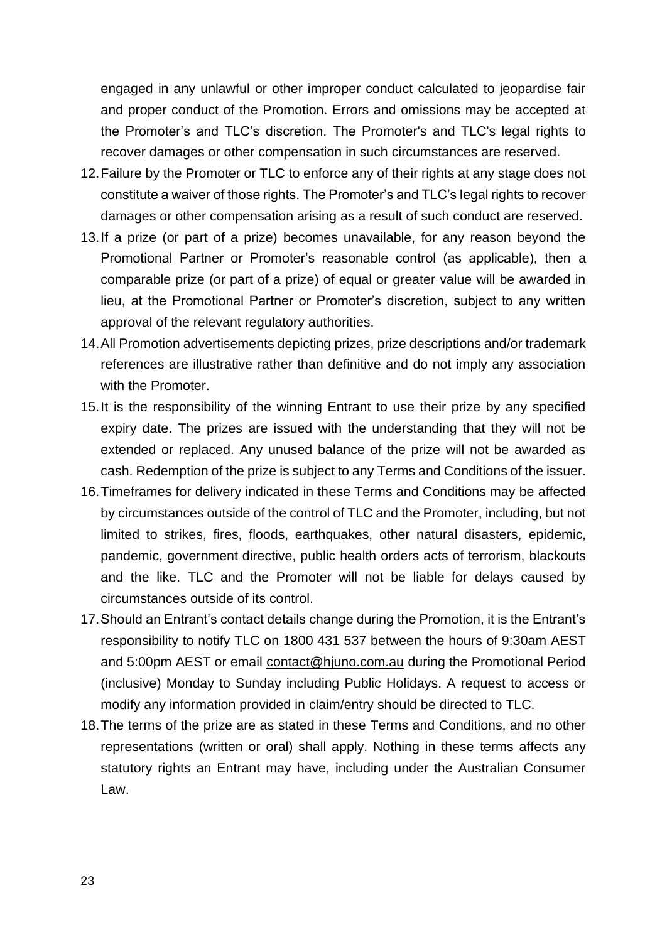engaged in any unlawful or other improper conduct calculated to jeopardise fair and proper conduct of the Promotion. Errors and omissions may be accepted at the Promoter's and TLC's discretion. The Promoter's and TLC's legal rights to recover damages or other compensation in such circumstances are reserved.

- 12.Failure by the Promoter or TLC to enforce any of their rights at any stage does not constitute a waiver of those rights. The Promoter's and TLC's legal rights to recover damages or other compensation arising as a result of such conduct are reserved.
- 13.If a prize (or part of a prize) becomes unavailable, for any reason beyond the Promotional Partner or Promoter's reasonable control (as applicable), then a comparable prize (or part of a prize) of equal or greater value will be awarded in lieu, at the Promotional Partner or Promoter's discretion, subject to any written approval of the relevant regulatory authorities.
- 14.All Promotion advertisements depicting prizes, prize descriptions and/or trademark references are illustrative rather than definitive and do not imply any association with the Promoter.
- 15.It is the responsibility of the winning Entrant to use their prize by any specified expiry date. The prizes are issued with the understanding that they will not be extended or replaced. Any unused balance of the prize will not be awarded as cash. Redemption of the prize is subject to any Terms and Conditions of the issuer.
- 16.Timeframes for delivery indicated in these Terms and Conditions may be affected by circumstances outside of the control of TLC and the Promoter, including, but not limited to strikes, fires, floods, earthquakes, other natural disasters, epidemic, pandemic, government directive, public health orders acts of terrorism, blackouts and the like. TLC and the Promoter will not be liable for delays caused by circumstances outside of its control.
- 17.Should an Entrant's contact details change during the Promotion, it is the Entrant's responsibility to notify TLC on 1800 431 537 between the hours of 9:30am AEST and 5:00pm AEST or email [contact@hjuno.com.au](file:///C:/NRPortbl/VICProduction1/JFL/contact@hjuno.com.au) during the Promotional Period (inclusive) Monday to Sunday including Public Holidays. A request to access or modify any information provided in claim/entry should be directed to TLC.
- 18.The terms of the prize are as stated in these Terms and Conditions, and no other representations (written or oral) shall apply. Nothing in these terms affects any statutory rights an Entrant may have, including under the Australian Consumer Law.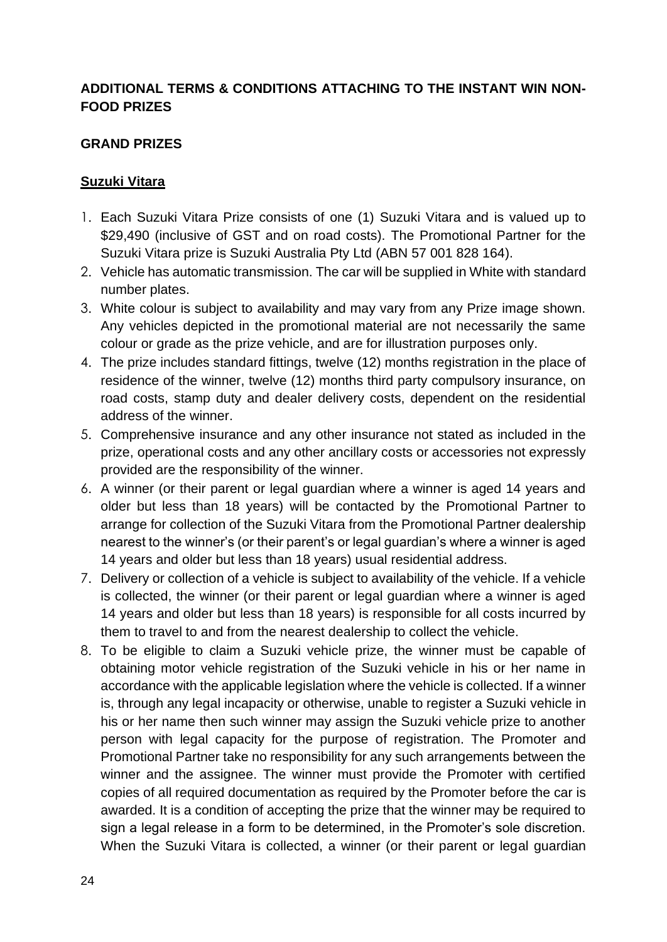### **ADDITIONAL TERMS & CONDITIONS ATTACHING TO THE INSTANT WIN NON-FOOD PRIZES**

#### **GRAND PRIZES**

#### **Suzuki Vitara**

- 1. Each Suzuki Vitara Prize consists of one (1) Suzuki Vitara and is valued up to \$29,490 (inclusive of GST and on road costs). The Promotional Partner for the Suzuki Vitara prize is Suzuki Australia Pty Ltd (ABN 57 001 828 164).
- 2. Vehicle has automatic transmission. The car will be supplied in White with standard number plates.
- 3. White colour is subject to availability and may vary from any Prize image shown. Any vehicles depicted in the promotional material are not necessarily the same colour or grade as the prize vehicle, and are for illustration purposes only.
- 4. The prize includes standard fittings, twelve (12) months registration in the place of residence of the winner, twelve (12) months third party compulsory insurance, on road costs, stamp duty and dealer delivery costs, dependent on the residential address of the winner.
- 5. Comprehensive insurance and any other insurance not stated as included in the prize, operational costs and any other ancillary costs or accessories not expressly provided are the responsibility of the winner.
- 6. A winner (or their parent or legal guardian where a winner is aged 14 years and older but less than 18 years) will be contacted by the Promotional Partner to arrange for collection of the Suzuki Vitara from the Promotional Partner dealership nearest to the winner's (or their parent's or legal guardian's where a winner is aged 14 years and older but less than 18 years) usual residential address.
- 7. Delivery or collection of a vehicle is subject to availability of the vehicle. If a vehicle is collected, the winner (or their parent or legal guardian where a winner is aged 14 years and older but less than 18 years) is responsible for all costs incurred by them to travel to and from the nearest dealership to collect the vehicle.
- 8. To be eligible to claim a Suzuki vehicle prize, the winner must be capable of obtaining motor vehicle registration of the Suzuki vehicle in his or her name in accordance with the applicable legislation where the vehicle is collected. If a winner is, through any legal incapacity or otherwise, unable to register a Suzuki vehicle in his or her name then such winner may assign the Suzuki vehicle prize to another person with legal capacity for the purpose of registration. The Promoter and Promotional Partner take no responsibility for any such arrangements between the winner and the assignee. The winner must provide the Promoter with certified copies of all required documentation as required by the Promoter before the car is awarded. It is a condition of accepting the prize that the winner may be required to sign a legal release in a form to be determined, in the Promoter's sole discretion. When the Suzuki Vitara is collected, a winner (or their parent or legal guardian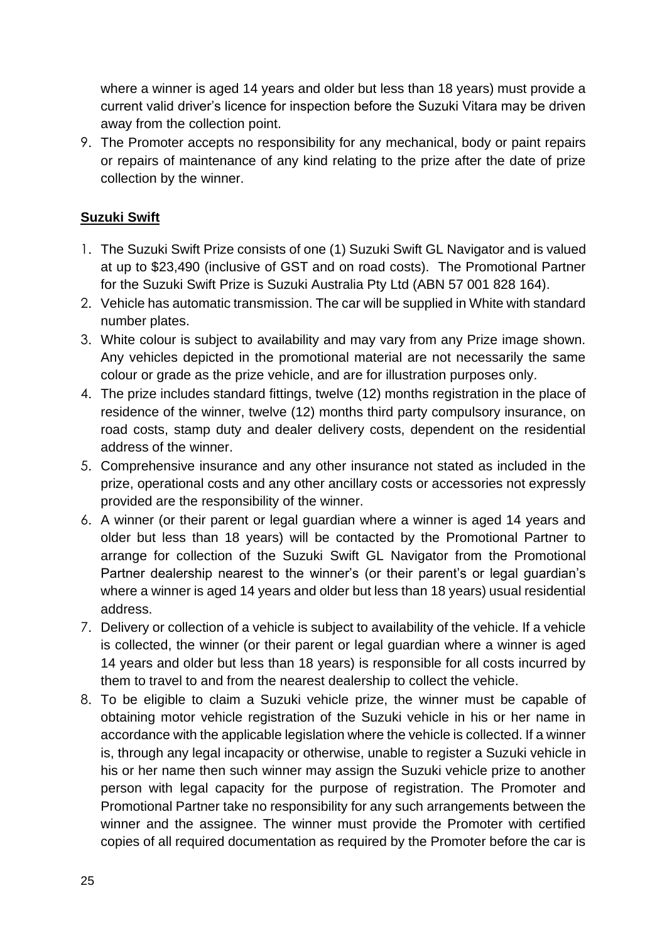where a winner is aged 14 years and older but less than 18 years) must provide a current valid driver's licence for inspection before the Suzuki Vitara may be driven away from the collection point.

9. The Promoter accepts no responsibility for any mechanical, body or paint repairs or repairs of maintenance of any kind relating to the prize after the date of prize collection by the winner.

#### **Suzuki Swift**

- 1. The Suzuki Swift Prize consists of one (1) Suzuki Swift GL Navigator and is valued at up to \$23,490 (inclusive of GST and on road costs). The Promotional Partner for the Suzuki Swift Prize is Suzuki Australia Pty Ltd (ABN 57 001 828 164).
- 2. Vehicle has automatic transmission. The car will be supplied in White with standard number plates.
- 3. White colour is subject to availability and may vary from any Prize image shown. Any vehicles depicted in the promotional material are not necessarily the same colour or grade as the prize vehicle, and are for illustration purposes only.
- 4. The prize includes standard fittings, twelve (12) months registration in the place of residence of the winner, twelve (12) months third party compulsory insurance, on road costs, stamp duty and dealer delivery costs, dependent on the residential address of the winner.
- 5. Comprehensive insurance and any other insurance not stated as included in the prize, operational costs and any other ancillary costs or accessories not expressly provided are the responsibility of the winner.
- 6. A winner (or their parent or legal guardian where a winner is aged 14 years and older but less than 18 years) will be contacted by the Promotional Partner to arrange for collection of the Suzuki Swift GL Navigator from the Promotional Partner dealership nearest to the winner's (or their parent's or legal guardian's where a winner is aged 14 years and older but less than 18 years) usual residential address.
- 7. Delivery or collection of a vehicle is subject to availability of the vehicle. If a vehicle is collected, the winner (or their parent or legal guardian where a winner is aged 14 years and older but less than 18 years) is responsible for all costs incurred by them to travel to and from the nearest dealership to collect the vehicle.
- 8. To be eligible to claim a Suzuki vehicle prize, the winner must be capable of obtaining motor vehicle registration of the Suzuki vehicle in his or her name in accordance with the applicable legislation where the vehicle is collected. If a winner is, through any legal incapacity or otherwise, unable to register a Suzuki vehicle in his or her name then such winner may assign the Suzuki vehicle prize to another person with legal capacity for the purpose of registration. The Promoter and Promotional Partner take no responsibility for any such arrangements between the winner and the assignee. The winner must provide the Promoter with certified copies of all required documentation as required by the Promoter before the car is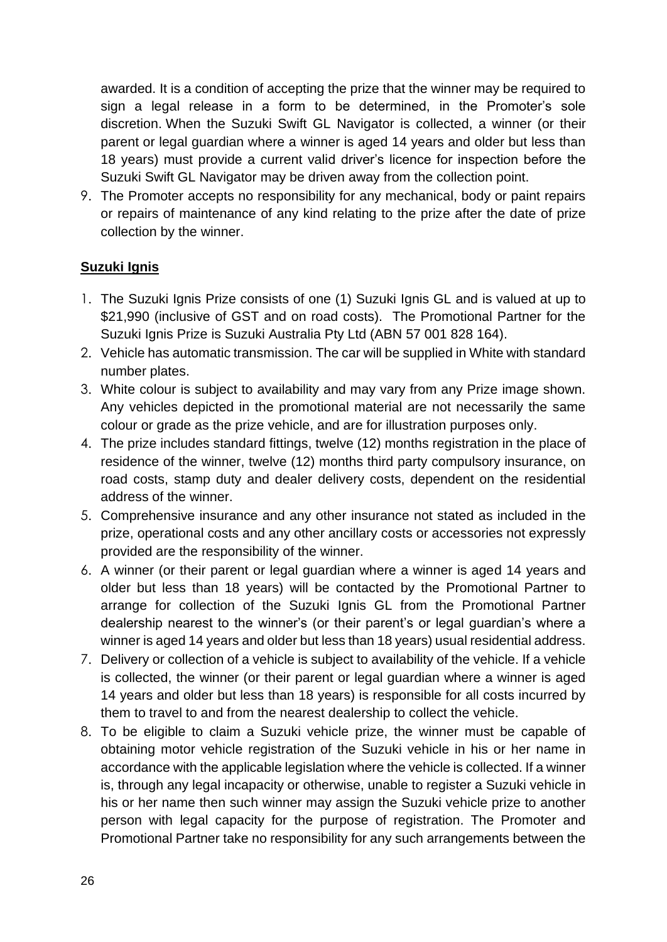awarded. It is a condition of accepting the prize that the winner may be required to sign a legal release in a form to be determined, in the Promoter's sole discretion. When the Suzuki Swift GL Navigator is collected, a winner (or their parent or legal guardian where a winner is aged 14 years and older but less than 18 years) must provide a current valid driver's licence for inspection before the Suzuki Swift GL Navigator may be driven away from the collection point.

9. The Promoter accepts no responsibility for any mechanical, body or paint repairs or repairs of maintenance of any kind relating to the prize after the date of prize collection by the winner.

#### **Suzuki Ignis**

- 1. The Suzuki Ignis Prize consists of one (1) Suzuki Ignis GL and is valued at up to \$21,990 (inclusive of GST and on road costs). The Promotional Partner for the Suzuki Ignis Prize is Suzuki Australia Pty Ltd (ABN 57 001 828 164).
- 2. Vehicle has automatic transmission. The car will be supplied in White with standard number plates.
- 3. White colour is subject to availability and may vary from any Prize image shown. Any vehicles depicted in the promotional material are not necessarily the same colour or grade as the prize vehicle, and are for illustration purposes only.
- 4. The prize includes standard fittings, twelve (12) months registration in the place of residence of the winner, twelve (12) months third party compulsory insurance, on road costs, stamp duty and dealer delivery costs, dependent on the residential address of the winner.
- 5. Comprehensive insurance and any other insurance not stated as included in the prize, operational costs and any other ancillary costs or accessories not expressly provided are the responsibility of the winner.
- 6. A winner (or their parent or legal guardian where a winner is aged 14 years and older but less than 18 years) will be contacted by the Promotional Partner to arrange for collection of the Suzuki Ignis GL from the Promotional Partner dealership nearest to the winner's (or their parent's or legal guardian's where a winner is aged 14 years and older but less than 18 years) usual residential address.
- 7. Delivery or collection of a vehicle is subject to availability of the vehicle. If a vehicle is collected, the winner (or their parent or legal guardian where a winner is aged 14 years and older but less than 18 years) is responsible for all costs incurred by them to travel to and from the nearest dealership to collect the vehicle.
- 8. To be eligible to claim a Suzuki vehicle prize, the winner must be capable of obtaining motor vehicle registration of the Suzuki vehicle in his or her name in accordance with the applicable legislation where the vehicle is collected. If a winner is, through any legal incapacity or otherwise, unable to register a Suzuki vehicle in his or her name then such winner may assign the Suzuki vehicle prize to another person with legal capacity for the purpose of registration. The Promoter and Promotional Partner take no responsibility for any such arrangements between the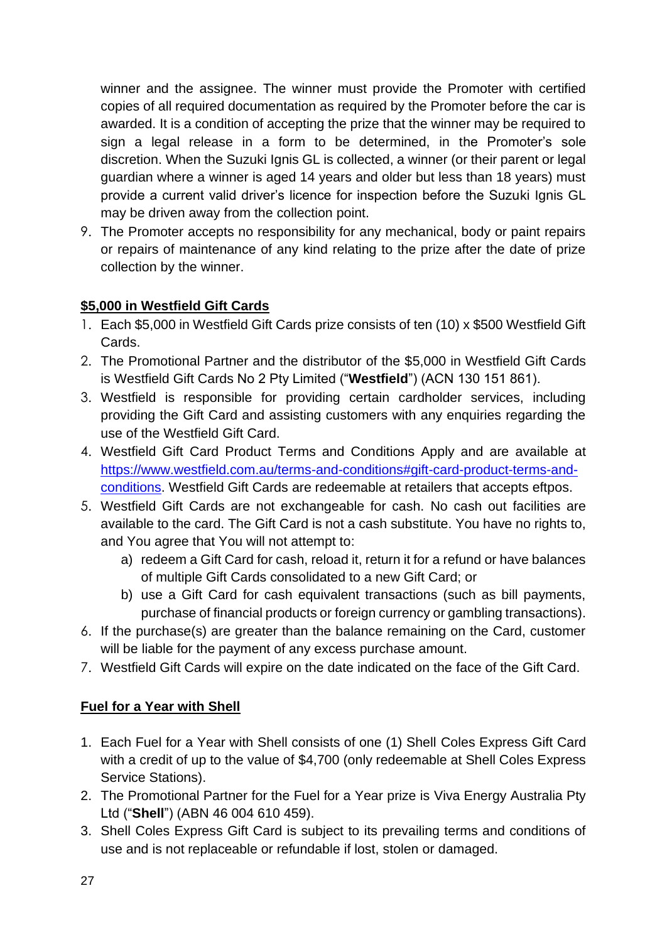winner and the assignee. The winner must provide the Promoter with certified copies of all required documentation as required by the Promoter before the car is awarded. It is a condition of accepting the prize that the winner may be required to sign a legal release in a form to be determined, in the Promoter's sole discretion. When the Suzuki Ignis GL is collected, a winner (or their parent or legal guardian where a winner is aged 14 years and older but less than 18 years) must provide a current valid driver's licence for inspection before the Suzuki Ignis GL may be driven away from the collection point.

9. The Promoter accepts no responsibility for any mechanical, body or paint repairs or repairs of maintenance of any kind relating to the prize after the date of prize collection by the winner.

# **\$5,000 in Westfield Gift Cards**

- 1. Each \$5,000 in Westfield Gift Cards prize consists of ten (10) x \$500 Westfield Gift Cards.
- 2. The Promotional Partner and the distributor of the \$5,000 in Westfield Gift Cards is Westfield Gift Cards No 2 Pty Limited ("**Westfield**") (ACN 130 151 861).
- 3. Westfield is responsible for providing certain cardholder services, including providing the Gift Card and assisting customers with any enquiries regarding the use of the Westfield Gift Card.
- 4. Westfield Gift Card Product Terms and Conditions Apply and are available at [https://www.westfield.com.au/terms-and-conditions#gift-card-product-terms-and](https://www.westfield.com.au/terms-and-conditions#gift-card-product-terms-and-conditions)[conditions.](https://www.westfield.com.au/terms-and-conditions#gift-card-product-terms-and-conditions) Westfield Gift Cards are redeemable at retailers that accepts eftpos.
- 5. Westfield Gift Cards are not exchangeable for cash. No cash out facilities are available to the card. The Gift Card is not a cash substitute. You have no rights to, and You agree that You will not attempt to:
	- a) redeem a Gift Card for cash, reload it, return it for a refund or have balances of multiple Gift Cards consolidated to a new Gift Card; or
	- b) use a Gift Card for cash equivalent transactions (such as bill payments, purchase of financial products or foreign currency or gambling transactions).
- 6. If the purchase(s) are greater than the balance remaining on the Card, customer will be liable for the payment of any excess purchase amount.
- 7. Westfield Gift Cards will expire on the date indicated on the face of the Gift Card.

### **Fuel for a Year with Shell**

- 1. Each Fuel for a Year with Shell consists of one (1) Shell Coles Express Gift Card with a credit of up to the value of \$4,700 (only redeemable at Shell Coles Express Service Stations).
- 2. The Promotional Partner for the Fuel for a Year prize is Viva Energy Australia Pty Ltd ("**Shell**") (ABN 46 004 610 459).
- 3. Shell Coles Express Gift Card is subject to its prevailing terms and conditions of use and is not replaceable or refundable if lost, stolen or damaged.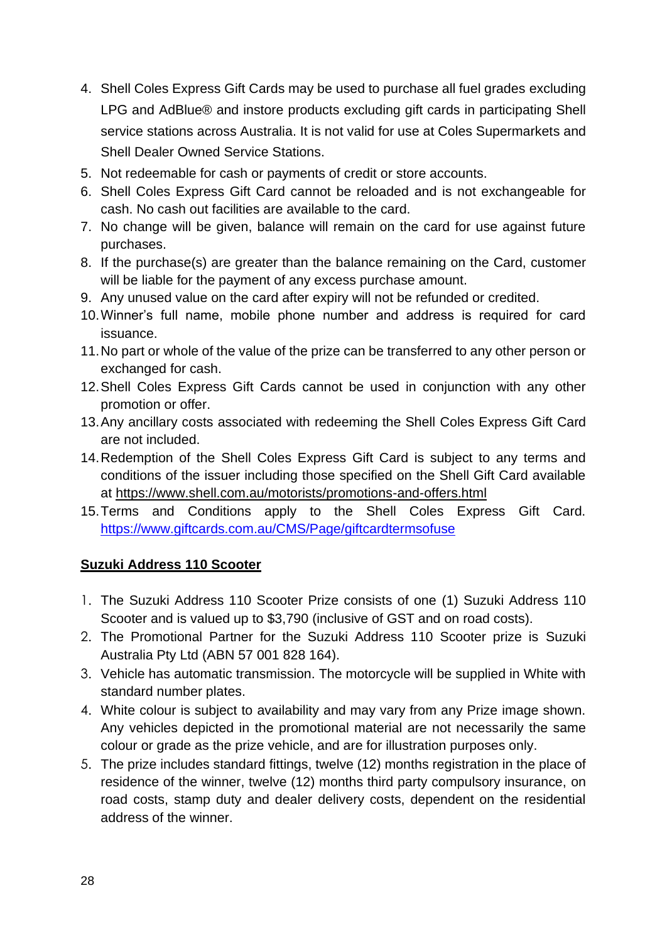- 4. Shell Coles Express Gift Cards may be used to purchase all fuel grades excluding LPG and AdBlue® and instore products excluding gift cards in participating Shell service stations across Australia. It is not valid for use at Coles Supermarkets and Shell Dealer Owned Service Stations.
- 5. Not redeemable for cash or payments of credit or store accounts.
- 6. Shell Coles Express Gift Card cannot be reloaded and is not exchangeable for cash. No cash out facilities are available to the card.
- 7. No change will be given, balance will remain on the card for use against future purchases.
- 8. If the purchase(s) are greater than the balance remaining on the Card, customer will be liable for the payment of any excess purchase amount.
- 9. Any unused value on the card after expiry will not be refunded or credited.
- 10.Winner's full name, mobile phone number and address is required for card issuance.
- 11.No part or whole of the value of the prize can be transferred to any other person or exchanged for cash.
- 12.Shell Coles Express Gift Cards cannot be used in conjunction with any other promotion or offer.
- 13.Any ancillary costs associated with redeeming the Shell Coles Express Gift Card are not included.
- 14.Redemption of the Shell Coles Express Gift Card is subject to any terms and conditions of the issuer including those specified on the Shell Gift Card available at<https://www.shell.com.au/motorists/promotions-and-offers.html>
- 15.Terms and Conditions apply to the Shell Coles Express Gift Card. [https://www.giftcards.com.au/CMS/Page/giftcardtermsofuse](https://eur02.safelinks.protection.outlook.com/?url=https%3A%2F%2Fwww.giftcards.com.au%2FCMS%2FPage%2Fgiftcardtermsofuse&data=04%7C01%7Ccindy.tsang%40tlcmarketing.com%7C15f111f21e9846771d8208da025336f2%7C8b7b3fe96adb47119dc68b15f551b872%7C1%7C0%7C637824853713809540%7CUnknown%7CTWFpbGZsb3d8eyJWIjoiMC4wLjAwMDAiLCJQIjoiV2luMzIiLCJBTiI6Ik1haWwiLCJXVCI6Mn0%3D%7C3000&sdata=dERc0dnyZMyVz5FAEGPj88tfwTHKt%2BXDc2cNhR2Kv8E%3D&reserved=0)

#### **Suzuki Address 110 Scooter**

- 1. The Suzuki Address 110 Scooter Prize consists of one (1) Suzuki Address 110 Scooter and is valued up to \$3,790 (inclusive of GST and on road costs).
- 2. The Promotional Partner for the Suzuki Address 110 Scooter prize is Suzuki Australia Pty Ltd (ABN 57 001 828 164).
- 3. Vehicle has automatic transmission. The motorcycle will be supplied in White with standard number plates.
- 4. White colour is subject to availability and may vary from any Prize image shown. Any vehicles depicted in the promotional material are not necessarily the same colour or grade as the prize vehicle, and are for illustration purposes only.
- 5. The prize includes standard fittings, twelve (12) months registration in the place of residence of the winner, twelve (12) months third party compulsory insurance, on road costs, stamp duty and dealer delivery costs, dependent on the residential address of the winner.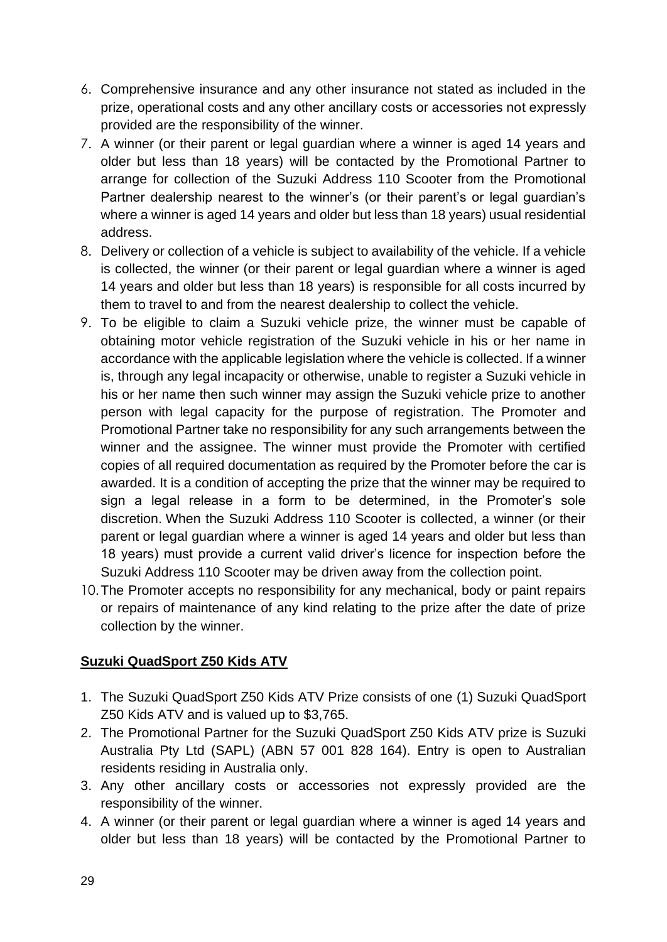- 6. Comprehensive insurance and any other insurance not stated as included in the prize, operational costs and any other ancillary costs or accessories not expressly provided are the responsibility of the winner.
- 7. A winner (or their parent or legal guardian where a winner is aged 14 years and older but less than 18 years) will be contacted by the Promotional Partner to arrange for collection of the Suzuki Address 110 Scooter from the Promotional Partner dealership nearest to the winner's (or their parent's or legal guardian's where a winner is aged 14 years and older but less than 18 years) usual residential address.
- 8. Delivery or collection of a vehicle is subject to availability of the vehicle. If a vehicle is collected, the winner (or their parent or legal guardian where a winner is aged 14 years and older but less than 18 years) is responsible for all costs incurred by them to travel to and from the nearest dealership to collect the vehicle.
- 9. To be eligible to claim a Suzuki vehicle prize, the winner must be capable of obtaining motor vehicle registration of the Suzuki vehicle in his or her name in accordance with the applicable legislation where the vehicle is collected. If a winner is, through any legal incapacity or otherwise, unable to register a Suzuki vehicle in his or her name then such winner may assign the Suzuki vehicle prize to another person with legal capacity for the purpose of registration. The Promoter and Promotional Partner take no responsibility for any such arrangements between the winner and the assignee. The winner must provide the Promoter with certified copies of all required documentation as required by the Promoter before the car is awarded. It is a condition of accepting the prize that the winner may be required to sign a legal release in a form to be determined, in the Promoter's sole discretion. When the Suzuki Address 110 Scooter is collected, a winner (or their parent or legal guardian where a winner is aged 14 years and older but less than 18 years) must provide a current valid driver's licence for inspection before the Suzuki Address 110 Scooter may be driven away from the collection point.
- 10.The Promoter accepts no responsibility for any mechanical, body or paint repairs or repairs of maintenance of any kind relating to the prize after the date of prize collection by the winner.

### **Suzuki QuadSport Z50 Kids ATV**

- 1. The Suzuki QuadSport Z50 Kids ATV Prize consists of one (1) Suzuki QuadSport Z50 Kids ATV and is valued up to \$3,765.
- 2. The Promotional Partner for the Suzuki QuadSport Z50 Kids ATV prize is Suzuki Australia Pty Ltd (SAPL) (ABN 57 001 828 164). Entry is open to Australian residents residing in Australia only.
- 3. Any other ancillary costs or accessories not expressly provided are the responsibility of the winner.
- 4. A winner (or their parent or legal guardian where a winner is aged 14 years and older but less than 18 years) will be contacted by the Promotional Partner to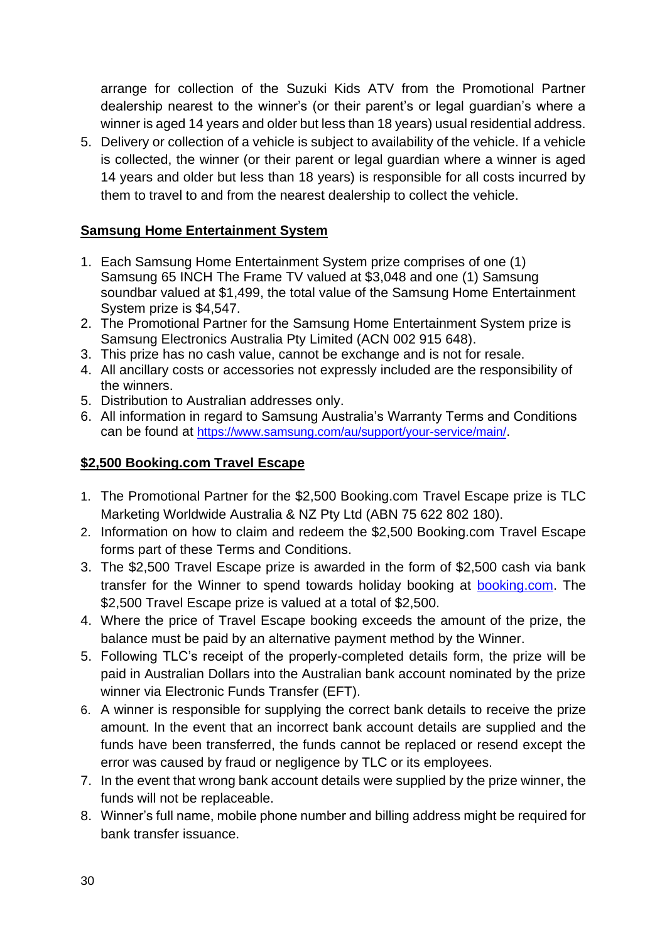arrange for collection of the Suzuki Kids ATV from the Promotional Partner dealership nearest to the winner's (or their parent's or legal guardian's where a winner is aged 14 years and older but less than 18 years) usual residential address.

5. Delivery or collection of a vehicle is subject to availability of the vehicle. If a vehicle is collected, the winner (or their parent or legal guardian where a winner is aged 14 years and older but less than 18 years) is responsible for all costs incurred by them to travel to and from the nearest dealership to collect the vehicle.

#### **Samsung Home Entertainment System**

- 1. Each Samsung Home Entertainment System prize comprises of one (1) Samsung 65 INCH The Frame TV valued at \$3,048 and one (1) Samsung soundbar valued at \$1,499, the total value of the Samsung Home Entertainment System prize is \$4,547.
- 2. The Promotional Partner for the Samsung Home Entertainment System prize is Samsung Electronics Australia Pty Limited (ACN 002 915 648).
- 3. This prize has no cash value, cannot be exchange and is not for resale.
- 4. All ancillary costs or accessories not expressly included are the responsibility of the winners.
- 5. Distribution to Australian addresses only.
- 6. All information in regard to Samsung Australia's Warranty Terms and Conditions can be found at <https://www.samsung.com/au/support/your-service/main/>.

#### **\$2,500 Booking.com Travel Escape**

- 1. The Promotional Partner for the \$2,500 Booking.com Travel Escape prize is TLC Marketing Worldwide Australia & NZ Pty Ltd (ABN 75 622 802 180).
- 2. Information on how to claim and redeem the \$2,500 Booking.com Travel Escape forms part of these Terms and Conditions.
- 3. The \$2,500 Travel Escape prize is awarded in the form of \$2,500 cash via bank transfer for the Winner to spend towards holiday booking at [booking.com.](https://eur02.safelinks.protection.outlook.com/?url=http%3A%2F%2Fbooking.com%2F&data=04%7C01%7Ccindy.tsang%40tlcmarketing.com%7C382c81572b274b5ea6fb08d98932391f%7C8b7b3fe96adb47119dc68b15f551b872%7C1%7C0%7C637691671248530078%7CUnknown%7CTWFpbGZsb3d8eyJWIjoiMC4wLjAwMDAiLCJQIjoiV2luMzIiLCJBTiI6Ik1haWwiLCJXVCI6Mn0%3D%7C1000&sdata=UsIQnJGG44YLTu%2BTvDUvP8NB0QFjTEhis%2FZpi5dRgzA%3D&reserved=0) The \$2,500 Travel Escape prize is valued at a total of \$2,500.
- 4. Where the price of Travel Escape booking exceeds the amount of the prize, the balance must be paid by an alternative payment method by the Winner.
- 5. Following TLC's receipt of the properly-completed details form, the prize will be paid in Australian Dollars into the Australian bank account nominated by the prize winner via Electronic Funds Transfer (EFT).
- 6. A winner is responsible for supplying the correct bank details to receive the prize amount. In the event that an incorrect bank account details are supplied and the funds have been transferred, the funds cannot be replaced or resend except the error was caused by fraud or negligence by TLC or its employees.
- 7. In the event that wrong bank account details were supplied by the prize winner, the funds will not be replaceable.
- 8. Winner's full name, mobile phone number and billing address might be required for bank transfer issuance.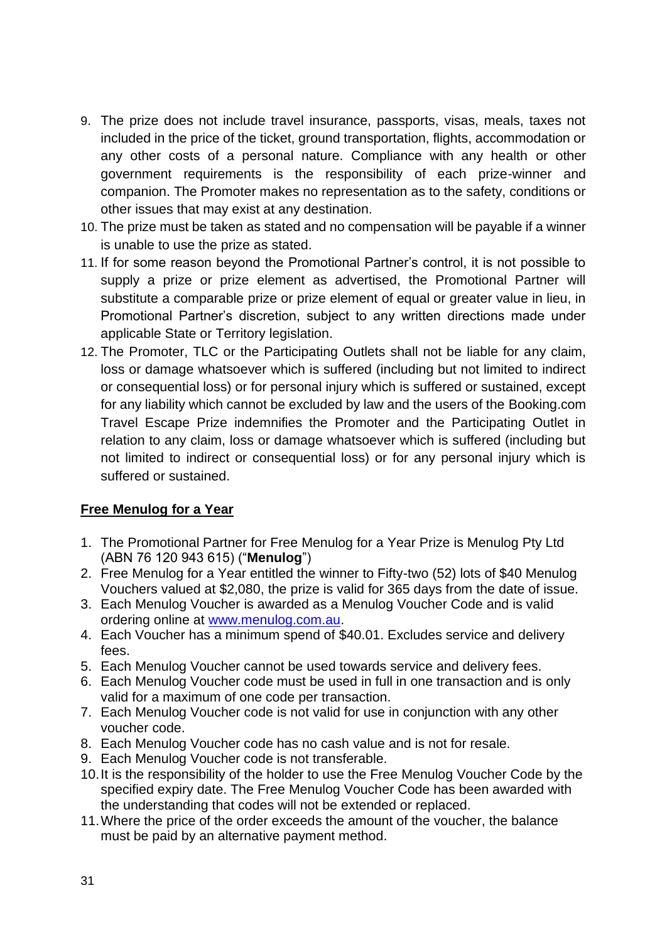- 9. The prize does not include travel insurance, passports, visas, meals, taxes not included in the price of the ticket, ground transportation, flights, accommodation or any other costs of a personal nature. Compliance with any health or other government requirements is the responsibility of each prize-winner and companion. The Promoter makes no representation as to the safety, conditions or other issues that may exist at any destination.
- 10. The prize must be taken as stated and no compensation will be payable if a winner is unable to use the prize as stated.
- 11. If for some reason beyond the Promotional Partner's control, it is not possible to supply a prize or prize element as advertised, the Promotional Partner will substitute a comparable prize or prize element of equal or greater value in lieu, in Promotional Partner's discretion, subject to any written directions made under applicable State or Territory legislation.
- 12. The Promoter, TLC or the Participating Outlets shall not be liable for any claim, loss or damage whatsoever which is suffered (including but not limited to indirect or consequential loss) or for personal injury which is suffered or sustained, except for any liability which cannot be excluded by law and the users of the Booking.com Travel Escape Prize indemnifies the Promoter and the Participating Outlet in relation to any claim, loss or damage whatsoever which is suffered (including but not limited to indirect or consequential loss) or for any personal injury which is suffered or sustained.

#### **Free Menulog for a Year**

- 1. The Promotional Partner for Free Menulog for a Year Prize is Menulog Pty Ltd (ABN 76 120 943 615) ("**Menulog**")
- 2. Free Menulog for a Year entitled the winner to Fifty-two (52) lots of \$40 Menulog Vouchers valued at \$2,080, the prize is valid for 365 days from the date of issue.
- 3. Each Menulog Voucher is awarded as a Menulog Voucher Code and is valid ordering online at [www.menulog.com.au.](http://www.menulog.com.au/)
- 4. Each Voucher has a minimum spend of \$40.01. Excludes service and delivery fees.
- 5. Each Menulog Voucher cannot be used towards service and delivery fees.
- 6. Each Menulog Voucher code must be used in full in one transaction and is only valid for a maximum of one code per transaction.
- 7. Each Menulog Voucher code is not valid for use in conjunction with any other voucher code.
- 8. Each Menulog Voucher code has no cash value and is not for resale.
- 9. Each Menulog Voucher code is not transferable.
- 10.It is the responsibility of the holder to use the Free Menulog Voucher Code by the specified expiry date. The Free Menulog Voucher Code has been awarded with the understanding that codes will not be extended or replaced.
- 11.Where the price of the order exceeds the amount of the voucher, the balance must be paid by an alternative payment method.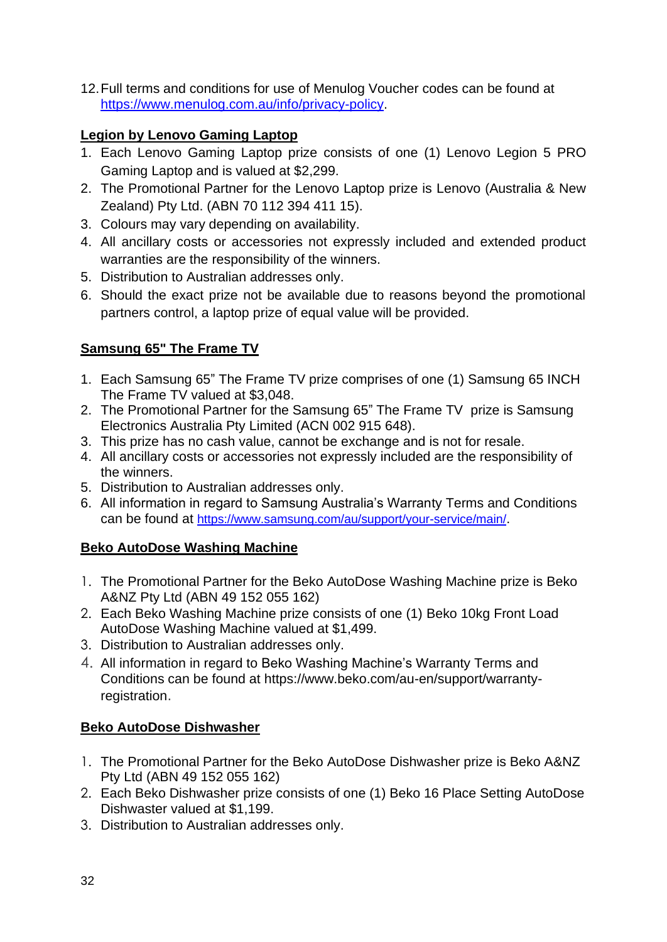12.Full terms and conditions for use of Menulog Voucher codes can be found at [https://www.menulog.com.au/info/privacy-policy.](https://www.menulog.com.au/info/privacy-policy)

#### **Legion by Lenovo Gaming Laptop**

- 1. Each Lenovo Gaming Laptop prize consists of one (1) Lenovo Legion 5 PRO Gaming Laptop and is valued at \$2,299.
- 2. The Promotional Partner for the Lenovo Laptop prize is Lenovo (Australia & New Zealand) Pty Ltd. (ABN 70 112 394 411 15).
- 3. Colours may vary depending on availability.
- 4. All ancillary costs or accessories not expressly included and extended product warranties are the responsibility of the winners.
- 5. Distribution to Australian addresses only.
- 6. Should the exact prize not be available due to reasons beyond the promotional partners control, a laptop prize of equal value will be provided.

# **Samsung 65" The Frame TV**

- 1. Each Samsung 65" The Frame TV prize comprises of one (1) Samsung 65 INCH The Frame TV valued at \$3,048.
- 2. The Promotional Partner for the Samsung 65" The Frame TV prize is Samsung Electronics Australia Pty Limited (ACN 002 915 648).
- 3. This prize has no cash value, cannot be exchange and is not for resale.
- 4. All ancillary costs or accessories not expressly included are the responsibility of the winners.
- 5. Distribution to Australian addresses only.
- 6. All information in regard to Samsung Australia's Warranty Terms and Conditions can be found at <https://www.samsung.com/au/support/your-service/main/>.

### **Beko AutoDose Washing Machine**

- 1. The Promotional Partner for the Beko AutoDose Washing Machine prize is Beko A&NZ Pty Ltd (ABN 49 152 055 162)
- 2. Each Beko Washing Machine prize consists of one (1) Beko 10kg Front Load AutoDose Washing Machine valued at \$1,499.
- 3. Distribution to Australian addresses only.
- 4. All information in regard to Beko Washing Machine's Warranty Terms and Conditions can be found at [https://www.beko.com/au-en/support/warranty](https://eur02.safelinks.protection.outlook.com/?url=https%3A%2F%2Fwww.beko.com%2Fau-en%2Fsupport%2Fwarranty-registration&data=04%7C01%7Ccindy.tsang%40tlcmarketing.com%7C15d45b05ffb84e91c7c008d9ecf0a4fa%7C8b7b3fe96adb47119dc68b15f551b872%7C1%7C0%7C637801340600014218%7CUnknown%7CTWFpbGZsb3d8eyJWIjoiMC4wLjAwMDAiLCJQIjoiV2luMzIiLCJBTiI6Ik1haWwiLCJXVCI6Mn0%3D%7C3000&sdata=swVjVdeZ7NWT2OkEwMcDrkATVzf2OQZCaBr3ilT3z3M%3D&reserved=0)[registration](https://eur02.safelinks.protection.outlook.com/?url=https%3A%2F%2Fwww.beko.com%2Fau-en%2Fsupport%2Fwarranty-registration&data=04%7C01%7Ccindy.tsang%40tlcmarketing.com%7C15d45b05ffb84e91c7c008d9ecf0a4fa%7C8b7b3fe96adb47119dc68b15f551b872%7C1%7C0%7C637801340600014218%7CUnknown%7CTWFpbGZsb3d8eyJWIjoiMC4wLjAwMDAiLCJQIjoiV2luMzIiLCJBTiI6Ik1haWwiLCJXVCI6Mn0%3D%7C3000&sdata=swVjVdeZ7NWT2OkEwMcDrkATVzf2OQZCaBr3ilT3z3M%3D&reserved=0).

### **Beko AutoDose Dishwasher**

- 1. The Promotional Partner for the Beko AutoDose Dishwasher prize is Beko A&NZ Pty Ltd (ABN 49 152 055 162)
- 2. Each Beko Dishwasher prize consists of one (1) Beko 16 Place Setting AutoDose Dishwaster valued at \$1,199.
- 3. Distribution to Australian addresses only.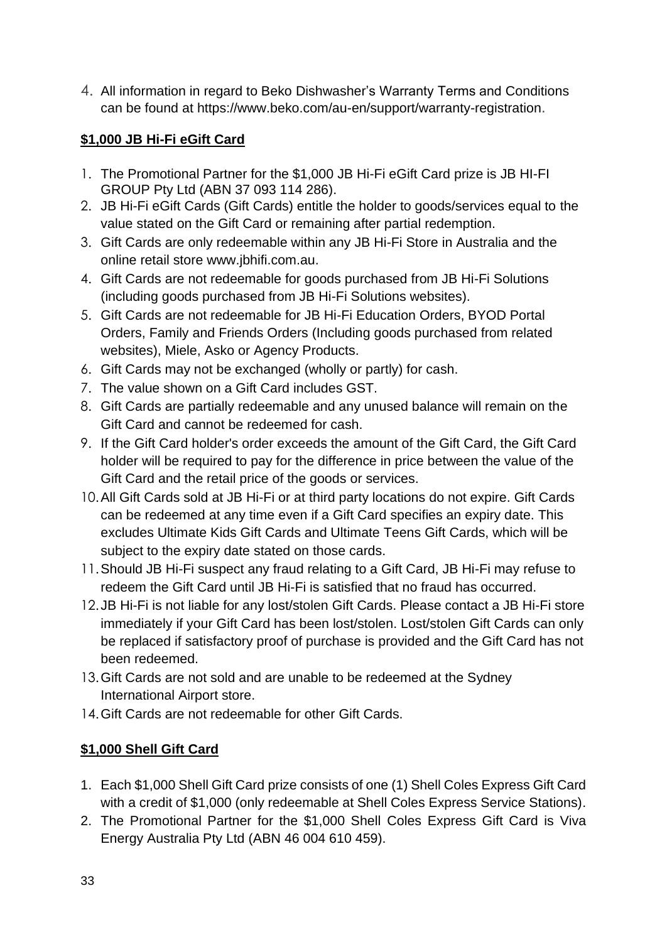4. All information in regard to Beko Dishwasher's Warranty Terms and Conditions can be found at [https://www.beko.com/au-en/support/warranty-registration](https://eur02.safelinks.protection.outlook.com/?url=https%3A%2F%2Fwww.beko.com%2Fau-en%2Fsupport%2Fwarranty-registration&data=04%7C01%7Ccindy.tsang%40tlcmarketing.com%7C15d45b05ffb84e91c7c008d9ecf0a4fa%7C8b7b3fe96adb47119dc68b15f551b872%7C1%7C0%7C637801340600014218%7CUnknown%7CTWFpbGZsb3d8eyJWIjoiMC4wLjAwMDAiLCJQIjoiV2luMzIiLCJBTiI6Ik1haWwiLCJXVCI6Mn0%3D%7C3000&sdata=swVjVdeZ7NWT2OkEwMcDrkATVzf2OQZCaBr3ilT3z3M%3D&reserved=0).

# **\$1,000 JB Hi-Fi eGift Card**

- 1. The Promotional Partner for the \$1,000 JB Hi-Fi eGift Card prize is JB HI-FI GROUP Pty Ltd (ABN 37 093 114 286).
- 2. JB Hi-Fi eGift Cards (Gift Cards) entitle the holder to goods/services equal to the value stated on the Gift Card or remaining after partial redemption.
- 3. Gift Cards are only redeemable within any JB Hi-Fi Store in Australia and the online retail store www.jbhifi.com.au.
- 4. Gift Cards are not redeemable for goods purchased from JB Hi-Fi Solutions (including goods purchased from JB Hi-Fi Solutions websites).
- 5. Gift Cards are not redeemable for JB Hi-Fi Education Orders, BYOD Portal Orders, Family and Friends Orders (Including goods purchased from related websites), Miele, Asko or Agency Products.
- 6. Gift Cards may not be exchanged (wholly or partly) for cash.
- 7. The value shown on a Gift Card includes GST.
- 8. Gift Cards are partially redeemable and any unused balance will remain on the Gift Card and cannot be redeemed for cash.
- 9. If the Gift Card holder's order exceeds the amount of the Gift Card, the Gift Card holder will be required to pay for the difference in price between the value of the Gift Card and the retail price of the goods or services.
- 10.All Gift Cards sold at JB Hi-Fi or at third party locations do not expire. Gift Cards can be redeemed at any time even if a Gift Card specifies an expiry date. This excludes Ultimate Kids Gift Cards and Ultimate Teens Gift Cards, which will be subject to the expiry date stated on those cards.
- 11.Should JB Hi-Fi suspect any fraud relating to a Gift Card, JB Hi-Fi may refuse to redeem the Gift Card until JB Hi-Fi is satisfied that no fraud has occurred.
- 12.JB Hi-Fi is not liable for any lost/stolen Gift Cards. Please contact a JB Hi-Fi store immediately if your Gift Card has been lost/stolen. Lost/stolen Gift Cards can only be replaced if satisfactory proof of purchase is provided and the Gift Card has not been redeemed.
- 13.Gift Cards are not sold and are unable to be redeemed at the Sydney International Airport store.
- 14.Gift Cards are not redeemable for other Gift Cards.

# **\$1,000 Shell Gift Card**

- 1. Each \$1,000 Shell Gift Card prize consists of one (1) Shell Coles Express Gift Card with a credit of \$1,000 (only redeemable at Shell Coles Express Service Stations).
- 2. The Promotional Partner for the \$1,000 Shell Coles Express Gift Card is Viva Energy Australia Pty Ltd (ABN 46 004 610 459).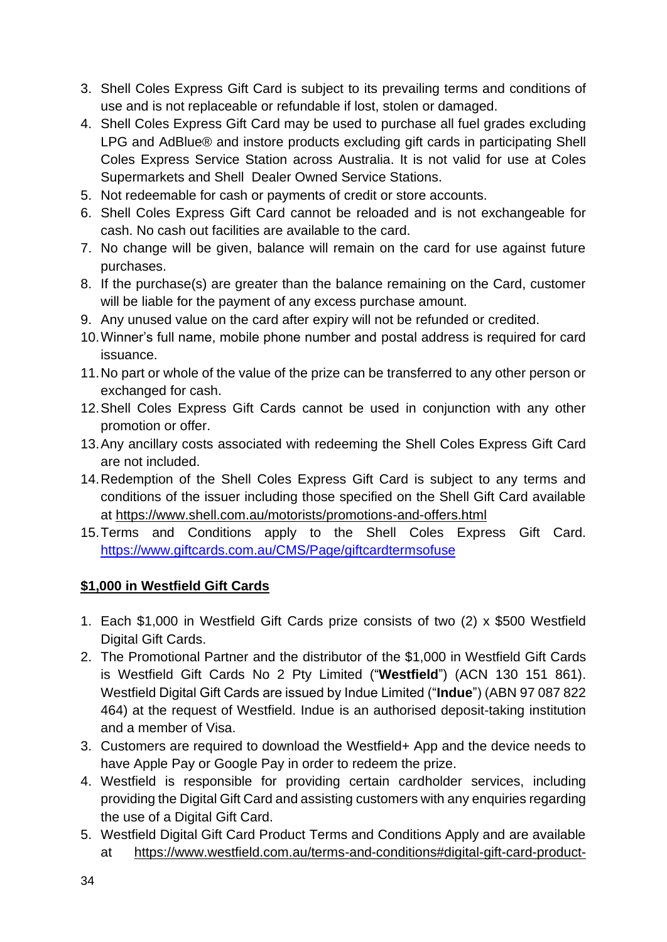- 3. Shell Coles Express Gift Card is subject to its prevailing terms and conditions of use and is not replaceable or refundable if lost, stolen or damaged.
- 4. Shell Coles Express Gift Card may be used to purchase all fuel grades excluding LPG and AdBlue® and instore products excluding gift cards in participating Shell Coles Express Service Station across Australia. It is not valid for use at Coles Supermarkets and Shell Dealer Owned Service Stations.
- 5. Not redeemable for cash or payments of credit or store accounts.
- 6. Shell Coles Express Gift Card cannot be reloaded and is not exchangeable for cash. No cash out facilities are available to the card.
- 7. No change will be given, balance will remain on the card for use against future purchases.
- 8. If the purchase(s) are greater than the balance remaining on the Card, customer will be liable for the payment of any excess purchase amount.
- 9. Any unused value on the card after expiry will not be refunded or credited.
- 10.Winner's full name, mobile phone number and postal address is required for card issuance.
- 11.No part or whole of the value of the prize can be transferred to any other person or exchanged for cash.
- 12.Shell Coles Express Gift Cards cannot be used in conjunction with any other promotion or offer.
- 13.Any ancillary costs associated with redeeming the Shell Coles Express Gift Card are not included.
- 14.Redemption of the Shell Coles Express Gift Card is subject to any terms and conditions of the issuer including those specified on the Shell Gift Card available at [https://www.shell.com.au/motorists/promotions-and-offers.html](https://eur02.safelinks.protection.outlook.com/?url=https%3A%2F%2Fwww.shell.com.au%2Fmotorists%2Fpromotions-and-offers.html&data=04%7C01%7Ccindy.tsang%40tlcmarketing.com%7C9ae219afaf9c4f29631108d873c7cffd%7C8b7b3fe96adb47119dc68b15f551b872%7C1%7C0%7C637386649332817673%7CUnknown%7CTWFpbGZsb3d8eyJWIjoiMC4wLjAwMDAiLCJQIjoiV2luMzIiLCJBTiI6Ik1haWwiLCJXVCI6Mn0%3D%7C1000&sdata=ssiojcCG57y8e0q1IPoHG9g3jItdzYTkwuiQBHakLQw%3D&reserved=0)
- 15.Terms and Conditions apply to the Shell Coles Express Gift Card. [https://www.giftcards.com.au/CMS/Page/giftcardtermsofuse](https://eur02.safelinks.protection.outlook.com/?url=https%3A%2F%2Fwww.giftcards.com.au%2FCMS%2FPage%2Fgiftcardtermsofuse&data=04%7C01%7Ccindy.tsang%40tlcmarketing.com%7C15f111f21e9846771d8208da025336f2%7C8b7b3fe96adb47119dc68b15f551b872%7C1%7C0%7C637824853713809540%7CUnknown%7CTWFpbGZsb3d8eyJWIjoiMC4wLjAwMDAiLCJQIjoiV2luMzIiLCJBTiI6Ik1haWwiLCJXVCI6Mn0%3D%7C3000&sdata=dERc0dnyZMyVz5FAEGPj88tfwTHKt%2BXDc2cNhR2Kv8E%3D&reserved=0)

### **\$1,000 in Westfield Gift Cards**

- 1. Each \$1,000 in Westfield Gift Cards prize consists of two (2) x \$500 Westfield Digital Gift Cards.
- 2. The Promotional Partner and the distributor of the \$1,000 in Westfield Gift Cards is Westfield Gift Cards No 2 Pty Limited ("**Westfield**") (ACN 130 151 861). Westfield Digital Gift Cards are issued by Indue Limited ("**Indue**") (ABN 97 087 822 464) at the request of Westfield. Indue is an authorised deposit-taking institution and a member of Visa.
- 3. Customers are required to download the Westfield+ App and the device needs to have Apple Pay or Google Pay in order to redeem the prize.
- 4. Westfield is responsible for providing certain cardholder services, including providing the Digital Gift Card and assisting customers with any enquiries regarding the use of a Digital Gift Card.
- 5. Westfield Digital Gift Card Product Terms and Conditions Apply and are available at [https://www.westfield.com.au/terms-and-conditions#digital-gift-card-product-](https://www.westfield.com.au/terms-and-conditions#digital-gift-card-product-terms-and-conditions)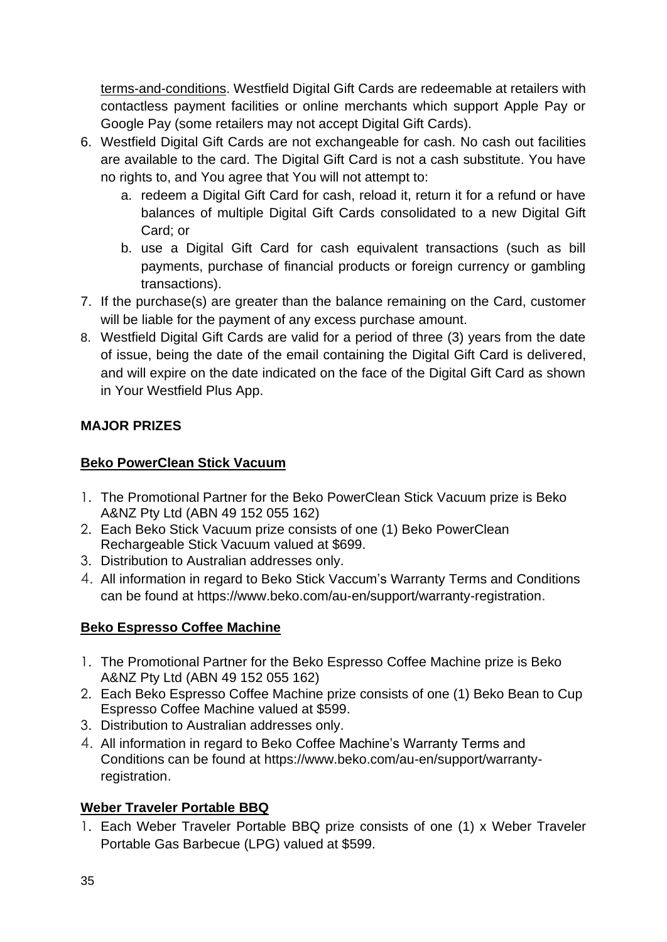[terms-and-conditions.](https://www.westfield.com.au/terms-and-conditions#digital-gift-card-product-terms-and-conditions) Westfield Digital Gift Cards are redeemable at retailers with contactless payment facilities or online merchants which support Apple Pay or Google Pay (some retailers may not accept Digital Gift Cards).

- 6. Westfield Digital Gift Cards are not exchangeable for cash. No cash out facilities are available to the card. The Digital Gift Card is not a cash substitute. You have no rights to, and You agree that You will not attempt to:
	- a. redeem a Digital Gift Card for cash, reload it, return it for a refund or have balances of multiple Digital Gift Cards consolidated to a new Digital Gift Card; or
	- b. use a Digital Gift Card for cash equivalent transactions (such as bill payments, purchase of financial products or foreign currency or gambling transactions).
- 7. If the purchase(s) are greater than the balance remaining on the Card, customer will be liable for the payment of any excess purchase amount.
- 8. Westfield Digital Gift Cards are valid for a period of three (3) years from the date of issue, being the date of the email containing the Digital Gift Card is delivered, and will expire on the date indicated on the face of the Digital Gift Card as shown in Your Westfield Plus App.

# **MAJOR PRIZES**

#### **Beko PowerClean Stick Vacuum**

- 1. The Promotional Partner for the Beko PowerClean Stick Vacuum prize is Beko A&NZ Pty Ltd (ABN 49 152 055 162)
- 2. Each Beko Stick Vacuum prize consists of one (1) Beko PowerClean Rechargeable Stick Vacuum valued at \$699.
- 3. Distribution to Australian addresses only.
- 4. All information in regard to Beko Stick Vaccum's Warranty Terms and Conditions can be found at [https://www.beko.com/au-en/support/warranty-registration](https://eur02.safelinks.protection.outlook.com/?url=https%3A%2F%2Fwww.beko.com%2Fau-en%2Fsupport%2Fwarranty-registration&data=04%7C01%7Ccindy.tsang%40tlcmarketing.com%7C15d45b05ffb84e91c7c008d9ecf0a4fa%7C8b7b3fe96adb47119dc68b15f551b872%7C1%7C0%7C637801340600014218%7CUnknown%7CTWFpbGZsb3d8eyJWIjoiMC4wLjAwMDAiLCJQIjoiV2luMzIiLCJBTiI6Ik1haWwiLCJXVCI6Mn0%3D%7C3000&sdata=swVjVdeZ7NWT2OkEwMcDrkATVzf2OQZCaBr3ilT3z3M%3D&reserved=0).

### **Beko Espresso Coffee Machine**

- 1. The Promotional Partner for the Beko Espresso Coffee Machine prize is Beko A&NZ Pty Ltd (ABN 49 152 055 162)
- 2. Each Beko Espresso Coffee Machine prize consists of one (1) Beko Bean to Cup Espresso Coffee Machine valued at \$599.
- 3. Distribution to Australian addresses only.
- 4. All information in regard to Beko Coffee Machine's Warranty Terms and Conditions can be found at [https://www.beko.com/au-en/support/warranty](https://eur02.safelinks.protection.outlook.com/?url=https%3A%2F%2Fwww.beko.com%2Fau-en%2Fsupport%2Fwarranty-registration&data=04%7C01%7Ccindy.tsang%40tlcmarketing.com%7C15d45b05ffb84e91c7c008d9ecf0a4fa%7C8b7b3fe96adb47119dc68b15f551b872%7C1%7C0%7C637801340600014218%7CUnknown%7CTWFpbGZsb3d8eyJWIjoiMC4wLjAwMDAiLCJQIjoiV2luMzIiLCJBTiI6Ik1haWwiLCJXVCI6Mn0%3D%7C3000&sdata=swVjVdeZ7NWT2OkEwMcDrkATVzf2OQZCaBr3ilT3z3M%3D&reserved=0)[registration](https://eur02.safelinks.protection.outlook.com/?url=https%3A%2F%2Fwww.beko.com%2Fau-en%2Fsupport%2Fwarranty-registration&data=04%7C01%7Ccindy.tsang%40tlcmarketing.com%7C15d45b05ffb84e91c7c008d9ecf0a4fa%7C8b7b3fe96adb47119dc68b15f551b872%7C1%7C0%7C637801340600014218%7CUnknown%7CTWFpbGZsb3d8eyJWIjoiMC4wLjAwMDAiLCJQIjoiV2luMzIiLCJBTiI6Ik1haWwiLCJXVCI6Mn0%3D%7C3000&sdata=swVjVdeZ7NWT2OkEwMcDrkATVzf2OQZCaBr3ilT3z3M%3D&reserved=0).

### **Weber Traveler Portable BBQ**

1. Each Weber Traveler Portable BBQ prize consists of one (1) x Weber Traveler Portable Gas Barbecue (LPG) valued at \$599.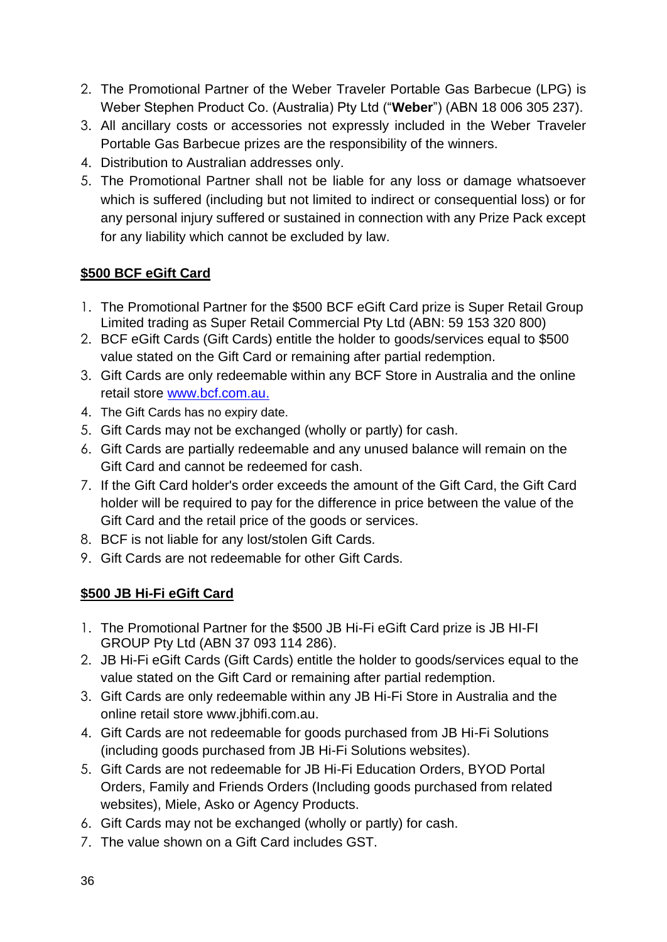- 2. The Promotional Partner of the Weber Traveler Portable Gas Barbecue (LPG) is Weber Stephen Product Co. (Australia) Pty Ltd ("**Weber**") (ABN 18 006 305 237).
- 3. All ancillary costs or accessories not expressly included in the Weber Traveler Portable Gas Barbecue prizes are the responsibility of the winners.
- 4. Distribution to Australian addresses only.
- 5. The Promotional Partner shall not be liable for any loss or damage whatsoever which is suffered (including but not limited to indirect or consequential loss) or for any personal injury suffered or sustained in connection with any Prize Pack except for any liability which cannot be excluded by law.

# **\$500 BCF eGift Card**

- 1. The Promotional Partner for the \$500 BCF eGift Card prize is Super Retail Group Limited trading as Super Retail Commercial Pty Ltd (ABN: 59 153 320 800)
- 2. BCF eGift Cards (Gift Cards) entitle the holder to goods/services equal to \$500 value stated on the Gift Card or remaining after partial redemption.
- 3. Gift Cards are only redeemable within any BCF Store in Australia and the online retail store [www.bcf.com.au.](http://www.bcf.com.au/)
- 4. The Gift Cards has no expiry date.
- 5. Gift Cards may not be exchanged (wholly or partly) for cash.
- 6. Gift Cards are partially redeemable and any unused balance will remain on the Gift Card and cannot be redeemed for cash.
- 7. If the Gift Card holder's order exceeds the amount of the Gift Card, the Gift Card holder will be required to pay for the difference in price between the value of the Gift Card and the retail price of the goods or services.
- 8. BCF is not liable for any lost/stolen Gift Cards.
- 9. Gift Cards are not redeemable for other Gift Cards.

# **\$500 JB Hi-Fi eGift Card**

- 1. The Promotional Partner for the \$500 JB Hi-Fi eGift Card prize is JB HI-FI GROUP Pty Ltd (ABN 37 093 114 286).
- 2. JB Hi-Fi eGift Cards (Gift Cards) entitle the holder to goods/services equal to the value stated on the Gift Card or remaining after partial redemption.
- 3. Gift Cards are only redeemable within any JB Hi-Fi Store in Australia and the online retail store [www.jbhifi.com.au.](http://www.jbhifi.com.au/)
- 4. Gift Cards are not redeemable for goods purchased from JB Hi-Fi Solutions (including goods purchased from JB Hi-Fi Solutions websites).
- 5. Gift Cards are not redeemable for JB Hi-Fi Education Orders, BYOD Portal Orders, Family and Friends Orders (Including goods purchased from related websites), Miele, Asko or Agency Products.
- 6. Gift Cards may not be exchanged (wholly or partly) for cash.
- 7. The value shown on a Gift Card includes GST.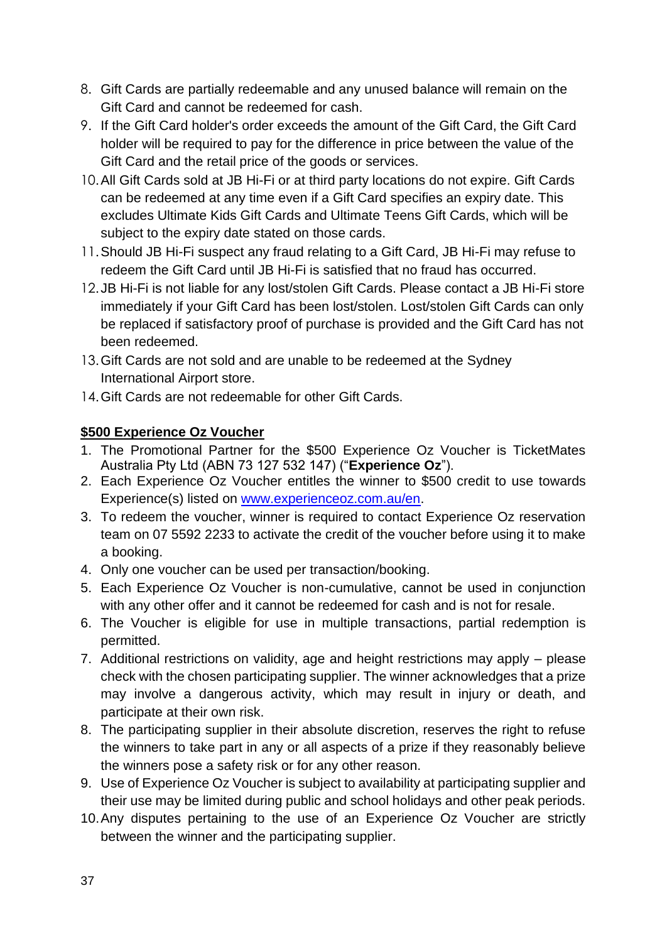- 8. Gift Cards are partially redeemable and any unused balance will remain on the Gift Card and cannot be redeemed for cash.
- 9. If the Gift Card holder's order exceeds the amount of the Gift Card, the Gift Card holder will be required to pay for the difference in price between the value of the Gift Card and the retail price of the goods or services.
- 10.All Gift Cards sold at JB Hi-Fi or at third party locations do not expire. Gift Cards can be redeemed at any time even if a Gift Card specifies an expiry date. This excludes Ultimate Kids Gift Cards and Ultimate Teens Gift Cards, which will be subject to the expiry date stated on those cards.
- 11.Should JB Hi-Fi suspect any fraud relating to a Gift Card, JB Hi-Fi may refuse to redeem the Gift Card until JB Hi-Fi is satisfied that no fraud has occurred.
- 12.JB Hi-Fi is not liable for any lost/stolen Gift Cards. Please contact a JB Hi-Fi store immediately if your Gift Card has been lost/stolen. Lost/stolen Gift Cards can only be replaced if satisfactory proof of purchase is provided and the Gift Card has not been redeemed.
- 13.Gift Cards are not sold and are unable to be redeemed at the Sydney International Airport store.
- 14.Gift Cards are not redeemable for other Gift Cards.

### **\$500 Experience Oz Voucher**

- 1. The Promotional Partner for the \$500 Experience Oz Voucher is TicketMates Australia Pty Ltd (ABN 73 127 532 147) ("**Experience Oz**").
- 2. Each Experience Oz Voucher entitles the winner to \$500 credit to use towards Experience(s) listed on [www.experienceoz.com.au/en.](http://www.experienceoz.com.au/en)
- 3. To redeem the voucher, winner is required to contact Experience Oz reservation team on 07 5592 2233 to activate the credit of the voucher before using it to make a booking.
- 4. Only one voucher can be used per transaction/booking.
- 5. Each Experience Oz Voucher is non-cumulative, cannot be used in conjunction with any other offer and it cannot be redeemed for cash and is not for resale.
- 6. The Voucher is eligible for use in multiple transactions, partial redemption is permitted.
- 7. Additional restrictions on validity, age and height restrictions may apply please check with the chosen participating supplier. The winner acknowledges that a prize may involve a dangerous activity, which may result in injury or death, and participate at their own risk.
- 8. The participating supplier in their absolute discretion, reserves the right to refuse the winners to take part in any or all aspects of a prize if they reasonably believe the winners pose a safety risk or for any other reason.
- 9. Use of Experience Oz Voucher is subject to availability at participating supplier and their use may be limited during public and school holidays and other peak periods.
- 10.Any disputes pertaining to the use of an Experience Oz Voucher are strictly between the winner and the participating supplier.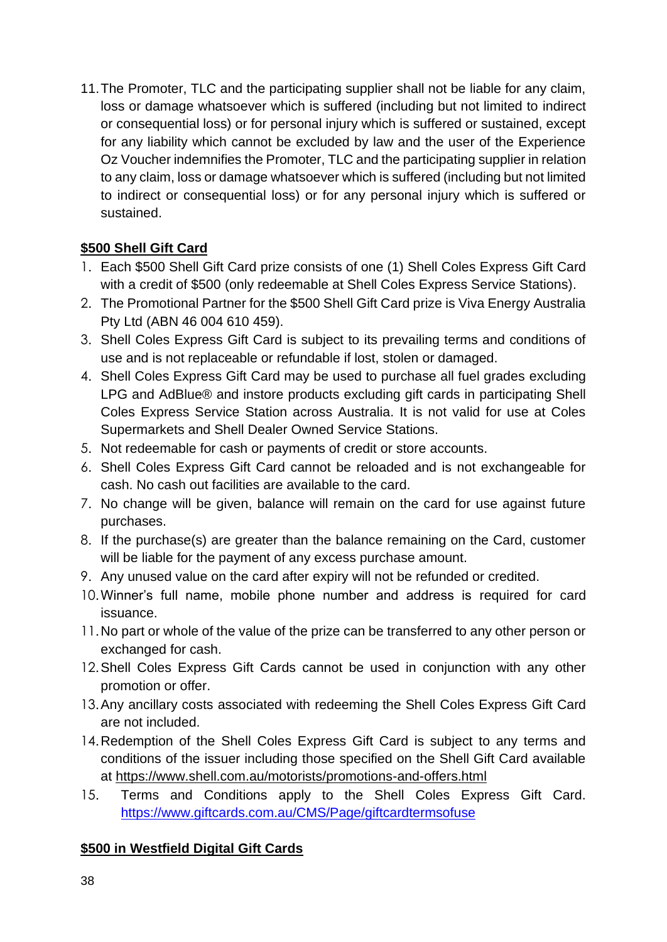11.The Promoter, TLC and the participating supplier shall not be liable for any claim, loss or damage whatsoever which is suffered (including but not limited to indirect or consequential loss) or for personal injury which is suffered or sustained, except for any liability which cannot be excluded by law and the user of the Experience Oz Voucher indemnifies the Promoter, TLC and the participating supplier in relation to any claim, loss or damage whatsoever which is suffered (including but not limited to indirect or consequential loss) or for any personal injury which is suffered or sustained.

# **\$500 Shell Gift Card**

- 1. Each \$500 Shell Gift Card prize consists of one (1) Shell Coles Express Gift Card with a credit of \$500 (only redeemable at Shell Coles Express Service Stations).
- 2. The Promotional Partner for the \$500 Shell Gift Card prize is Viva Energy Australia Pty Ltd (ABN 46 004 610 459).
- 3. Shell Coles Express Gift Card is subject to its prevailing terms and conditions of use and is not replaceable or refundable if lost, stolen or damaged.
- 4. Shell Coles Express Gift Card may be used to purchase all fuel grades excluding LPG and AdBlue® and instore products excluding gift cards in participating Shell Coles Express Service Station across Australia. It is not valid for use at Coles Supermarkets and Shell Dealer Owned Service Stations.
- 5. Not redeemable for cash or payments of credit or store accounts.
- 6. Shell Coles Express Gift Card cannot be reloaded and is not exchangeable for cash. No cash out facilities are available to the card.
- 7. No change will be given, balance will remain on the card for use against future purchases.
- 8. If the purchase(s) are greater than the balance remaining on the Card, customer will be liable for the payment of any excess purchase amount.
- 9. Any unused value on the card after expiry will not be refunded or credited.
- 10.Winner's full name, mobile phone number and address is required for card issuance.
- 11.No part or whole of the value of the prize can be transferred to any other person or exchanged for cash.
- 12.Shell Coles Express Gift Cards cannot be used in conjunction with any other promotion or offer.
- 13.Any ancillary costs associated with redeeming the Shell Coles Express Gift Card are not included.
- 14.Redemption of the Shell Coles Express Gift Card is subject to any terms and conditions of the issuer including those specified on the Shell Gift Card available at [https://www.shell.com.au/motorists/promotions-and-offers.html](https://eur02.safelinks.protection.outlook.com/?url=https%3A%2F%2Fwww.shell.com.au%2Fmotorists%2Fpromotions-and-offers.html&data=04%7C01%7Ccindy.tsang%40tlcmarketing.com%7C9ae219afaf9c4f29631108d873c7cffd%7C8b7b3fe96adb47119dc68b15f551b872%7C1%7C0%7C637386649332817673%7CUnknown%7CTWFpbGZsb3d8eyJWIjoiMC4wLjAwMDAiLCJQIjoiV2luMzIiLCJBTiI6Ik1haWwiLCJXVCI6Mn0%3D%7C1000&sdata=ssiojcCG57y8e0q1IPoHG9g3jItdzYTkwuiQBHakLQw%3D&reserved=0)
- 15. Terms and Conditions apply to the Shell Coles Express Gift Card. [https://www.giftcards.com.au/CMS/Page/giftcardtermsofuse](https://eur02.safelinks.protection.outlook.com/?url=https%3A%2F%2Fwww.giftcards.com.au%2FCMS%2FPage%2Fgiftcardtermsofuse&data=04%7C01%7Ccindy.tsang%40tlcmarketing.com%7C15f111f21e9846771d8208da025336f2%7C8b7b3fe96adb47119dc68b15f551b872%7C1%7C0%7C637824853713809540%7CUnknown%7CTWFpbGZsb3d8eyJWIjoiMC4wLjAwMDAiLCJQIjoiV2luMzIiLCJBTiI6Ik1haWwiLCJXVCI6Mn0%3D%7C3000&sdata=dERc0dnyZMyVz5FAEGPj88tfwTHKt%2BXDc2cNhR2Kv8E%3D&reserved=0)

### **\$500 in Westfield Digital Gift Cards**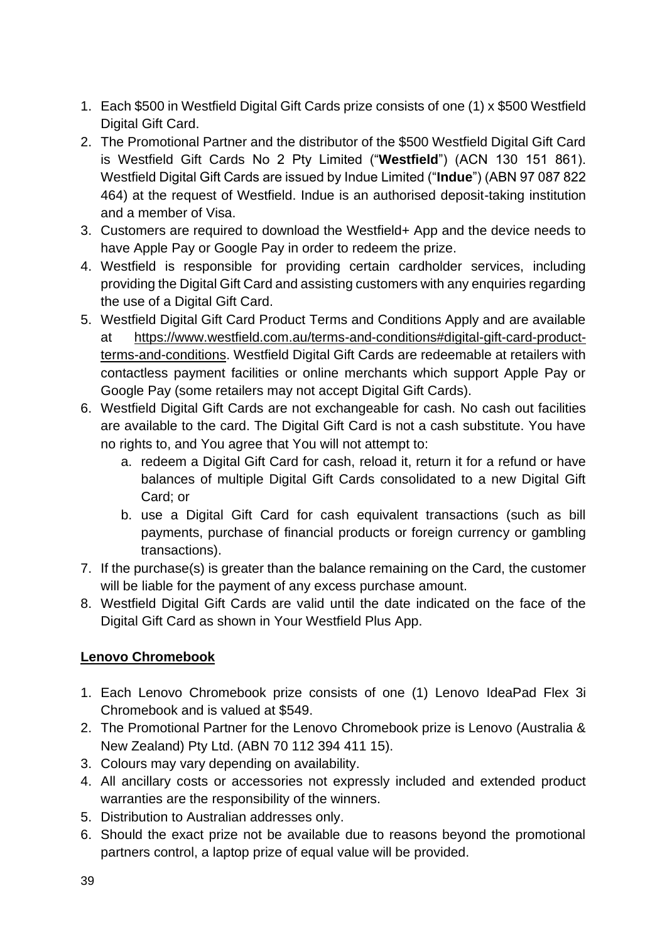- 1. Each \$500 in Westfield Digital Gift Cards prize consists of one (1) x \$500 Westfield Digital Gift Card.
- 2. The Promotional Partner and the distributor of the \$500 Westfield Digital Gift Card is Westfield Gift Cards No 2 Pty Limited ("**Westfield**") (ACN 130 151 861). Westfield Digital Gift Cards are issued by Indue Limited ("**Indue**") (ABN 97 087 822 464) at the request of Westfield. Indue is an authorised deposit-taking institution and a member of Visa.
- 3. Customers are required to download the Westfield+ App and the device needs to have Apple Pay or Google Pay in order to redeem the prize.
- 4. Westfield is responsible for providing certain cardholder services, including providing the Digital Gift Card and assisting customers with any enquiries regarding the use of a Digital Gift Card.
- 5. Westfield Digital Gift Card Product Terms and Conditions Apply and are available at [https://www.westfield.com.au/terms-and-conditions#digital-gift-card-product](https://www.westfield.com.au/terms-and-conditions#digital-gift-card-product-terms-and-conditions)[terms-and-conditions.](https://www.westfield.com.au/terms-and-conditions#digital-gift-card-product-terms-and-conditions) Westfield Digital Gift Cards are redeemable at retailers with contactless payment facilities or online merchants which support Apple Pay or Google Pay (some retailers may not accept Digital Gift Cards).
- 6. Westfield Digital Gift Cards are not exchangeable for cash. No cash out facilities are available to the card. The Digital Gift Card is not a cash substitute. You have no rights to, and You agree that You will not attempt to:
	- a. redeem a Digital Gift Card for cash, reload it, return it for a refund or have balances of multiple Digital Gift Cards consolidated to a new Digital Gift Card; or
	- b. use a Digital Gift Card for cash equivalent transactions (such as bill payments, purchase of financial products or foreign currency or gambling transactions).
- 7. If the purchase(s) is greater than the balance remaining on the Card, the customer will be liable for the payment of any excess purchase amount.
- 8. Westfield Digital Gift Cards are valid until the date indicated on the face of the Digital Gift Card as shown in Your Westfield Plus App.

# **Lenovo Chromebook**

- 1. Each Lenovo Chromebook prize consists of one (1) Lenovo IdeaPad Flex 3i Chromebook and is valued at \$549.
- 2. The Promotional Partner for the Lenovo Chromebook prize is Lenovo (Australia & New Zealand) Pty Ltd. (ABN 70 112 394 411 15).
- 3. Colours may vary depending on availability.
- 4. All ancillary costs or accessories not expressly included and extended product warranties are the responsibility of the winners.
- 5. Distribution to Australian addresses only.
- 6. Should the exact prize not be available due to reasons beyond the promotional partners control, a laptop prize of equal value will be provided.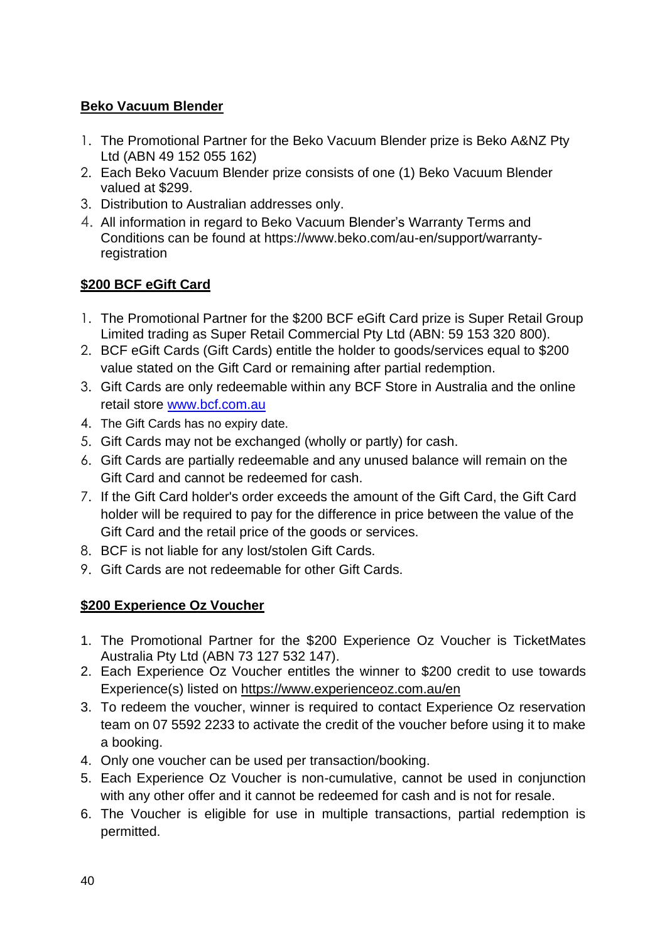#### **Beko Vacuum Blender**

- 1. The Promotional Partner for the Beko Vacuum Blender prize is Beko A&NZ Pty Ltd (ABN 49 152 055 162)
- 2. Each Beko Vacuum Blender prize consists of one (1) Beko Vacuum Blender valued at \$299.
- 3. Distribution to Australian addresses only.
- 4. All information in regard to Beko Vacuum Blender's Warranty Terms and Conditions can be found at [https://www.beko.com/au-en/support/warranty](https://eur02.safelinks.protection.outlook.com/?url=https%3A%2F%2Fwww.beko.com%2Fau-en%2Fsupport%2Fwarranty-registration&data=04%7C01%7Ccindy.tsang%40tlcmarketing.com%7C15d45b05ffb84e91c7c008d9ecf0a4fa%7C8b7b3fe96adb47119dc68b15f551b872%7C1%7C0%7C637801340600014218%7CUnknown%7CTWFpbGZsb3d8eyJWIjoiMC4wLjAwMDAiLCJQIjoiV2luMzIiLCJBTiI6Ik1haWwiLCJXVCI6Mn0%3D%7C3000&sdata=swVjVdeZ7NWT2OkEwMcDrkATVzf2OQZCaBr3ilT3z3M%3D&reserved=0)[registration](https://eur02.safelinks.protection.outlook.com/?url=https%3A%2F%2Fwww.beko.com%2Fau-en%2Fsupport%2Fwarranty-registration&data=04%7C01%7Ccindy.tsang%40tlcmarketing.com%7C15d45b05ffb84e91c7c008d9ecf0a4fa%7C8b7b3fe96adb47119dc68b15f551b872%7C1%7C0%7C637801340600014218%7CUnknown%7CTWFpbGZsb3d8eyJWIjoiMC4wLjAwMDAiLCJQIjoiV2luMzIiLCJBTiI6Ik1haWwiLCJXVCI6Mn0%3D%7C3000&sdata=swVjVdeZ7NWT2OkEwMcDrkATVzf2OQZCaBr3ilT3z3M%3D&reserved=0)

# **\$200 BCF eGift Card**

- 1. The Promotional Partner for the \$200 BCF eGift Card prize is Super Retail Group Limited trading as Super Retail Commercial Pty Ltd (ABN: 59 153 320 800).
- 2. BCF eGift Cards (Gift Cards) entitle the holder to goods/services equal to \$200 value stated on the Gift Card or remaining after partial redemption.
- 3. Gift Cards are only redeemable within any BCF Store in Australia and the online retail store [www.bcf.com.au](http://www.bcf.com.au/)
- 4. The Gift Cards has no expiry date.
- 5. Gift Cards may not be exchanged (wholly or partly) for cash.
- 6. Gift Cards are partially redeemable and any unused balance will remain on the Gift Card and cannot be redeemed for cash.
- 7. If the Gift Card holder's order exceeds the amount of the Gift Card, the Gift Card holder will be required to pay for the difference in price between the value of the Gift Card and the retail price of the goods or services.
- 8. BCF is not liable for any lost/stolen Gift Cards.
- 9. Gift Cards are not redeemable for other Gift Cards.

### **\$200 Experience Oz Voucher**

- 1. The Promotional Partner for the \$200 Experience Oz Voucher is TicketMates Australia Pty Ltd (ABN 73 127 532 147).
- 2. Each Experience Oz Voucher entitles the winner to \$200 credit to use towards Experience(s) listed on <https://www.experienceoz.com.au/en>
- 3. To redeem the voucher, winner is required to contact Experience Oz reservation team on 07 5592 2233 to activate the credit of the voucher before using it to make a booking.
- 4. Only one voucher can be used per transaction/booking.
- 5. Each Experience Oz Voucher is non-cumulative, cannot be used in conjunction with any other offer and it cannot be redeemed for cash and is not for resale.
- 6. The Voucher is eligible for use in multiple transactions, partial redemption is permitted.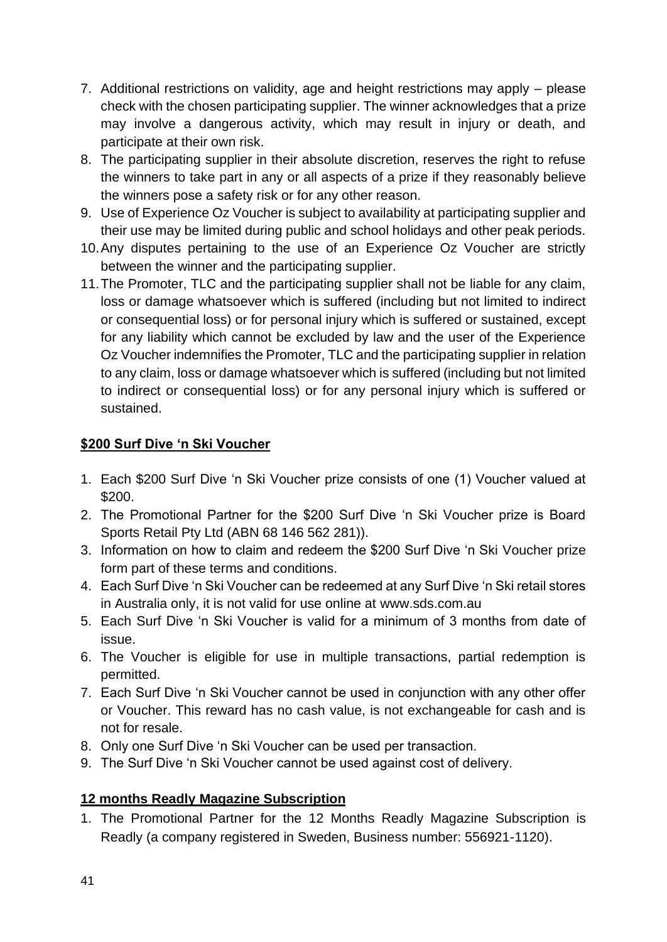- 7. Additional restrictions on validity, age and height restrictions may apply please check with the chosen participating supplier. The winner acknowledges that a prize may involve a dangerous activity, which may result in injury or death, and participate at their own risk.
- 8. The participating supplier in their absolute discretion, reserves the right to refuse the winners to take part in any or all aspects of a prize if they reasonably believe the winners pose a safety risk or for any other reason.
- 9. Use of Experience Oz Voucher is subject to availability at participating supplier and their use may be limited during public and school holidays and other peak periods.
- 10.Any disputes pertaining to the use of an Experience Oz Voucher are strictly between the winner and the participating supplier.
- 11.The Promoter, TLC and the participating supplier shall not be liable for any claim, loss or damage whatsoever which is suffered (including but not limited to indirect or consequential loss) or for personal injury which is suffered or sustained, except for any liability which cannot be excluded by law and the user of the Experience Oz Voucher indemnifies the Promoter, TLC and the participating supplier in relation to any claim, loss or damage whatsoever which is suffered (including but not limited to indirect or consequential loss) or for any personal injury which is suffered or sustained.

### **\$200 Surf Dive 'n Ski Voucher**

- 1. Each \$200 Surf Dive 'n Ski Voucher prize consists of one (1) Voucher valued at \$200.
- 2. The Promotional Partner for the \$200 Surf Dive 'n Ski Voucher prize is Board Sports Retail Pty Ltd (ABN 68 146 562 281)).
- 3. Information on how to claim and redeem the \$200 Surf Dive 'n Ski Voucher prize form part of these terms and conditions.
- 4. Each Surf Dive 'n Ski Voucher can be redeemed at any Surf Dive 'n Ski retail stores in Australia only, it is not valid for use online at [www.sds.com.au](http://www.sds.com.au/)
- 5. Each Surf Dive 'n Ski Voucher is valid for a minimum of 3 months from date of issue.
- 6. The Voucher is eligible for use in multiple transactions, partial redemption is permitted.
- 7. Each Surf Dive 'n Ski Voucher cannot be used in conjunction with any other offer or Voucher. This reward has no cash value, is not exchangeable for cash and is not for resale.
- 8. Only one Surf Dive 'n Ski Voucher can be used per transaction.
- 9. The Surf Dive 'n Ski Voucher cannot be used against cost of delivery.

### **12 months Readly Magazine Subscription**

1. The Promotional Partner for the 12 Months Readly Magazine Subscription is Readly (a company registered in Sweden, Business number: 556921-1120).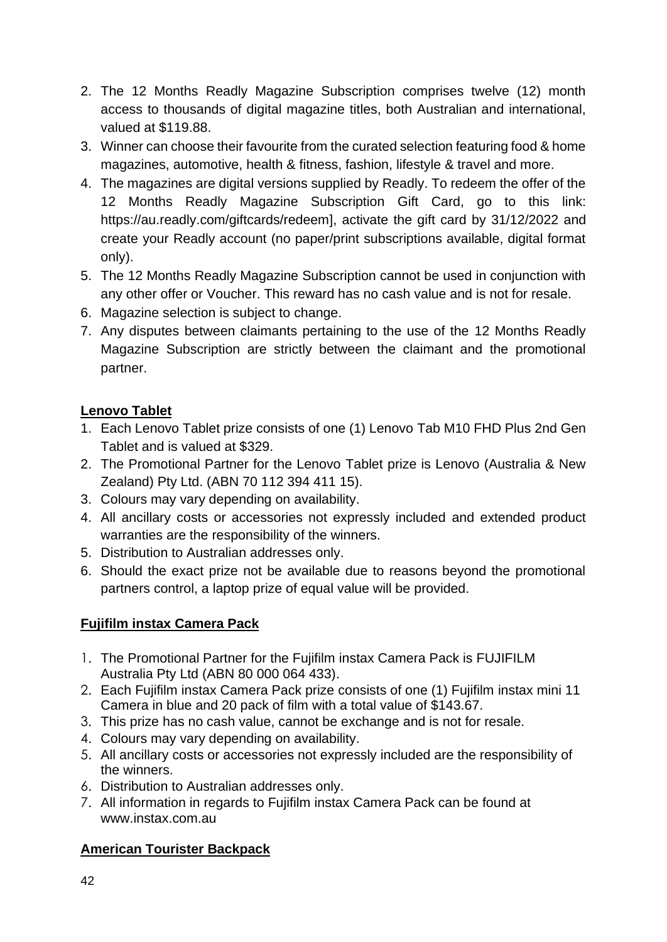- 2. The 12 Months Readly Magazine Subscription comprises twelve (12) month access to thousands of digital magazine titles, both Australian and international, valued at \$119.88.
- 3. Winner can choose their favourite from the curated selection featuring food & home magazines, automotive, health & fitness, fashion, lifestyle & travel and more.
- 4. The magazines are digital versions supplied by Readly. To redeem the offer of the 12 Months Readly Magazine Subscription Gift Card, go to this link: https://au.readly.com/giftcards/redeem], activate the gift card by 31/12/2022 and create your Readly account (no paper/print subscriptions available, digital format only).
- 5. The 12 Months Readly Magazine Subscription cannot be used in conjunction with any other offer or Voucher. This reward has no cash value and is not for resale.
- 6. Magazine selection is subject to change.
- 7. Any disputes between claimants pertaining to the use of the 12 Months Readly Magazine Subscription are strictly between the claimant and the promotional partner.

# **Lenovo Tablet**

- 1. Each Lenovo Tablet prize consists of one (1) Lenovo Tab M10 FHD Plus 2nd Gen Tablet and is valued at \$329.
- 2. The Promotional Partner for the Lenovo Tablet prize is Lenovo (Australia & New Zealand) Pty Ltd. (ABN 70 112 394 411 15).
- 3. Colours may vary depending on availability.
- 4. All ancillary costs or accessories not expressly included and extended product warranties are the responsibility of the winners.
- 5. Distribution to Australian addresses only.
- 6. Should the exact prize not be available due to reasons beyond the promotional partners control, a laptop prize of equal value will be provided.

# **Fujifilm instax Camera Pack**

- 1. The Promotional Partner for the Fujifilm instax Camera Pack is FUJIFILM Australia Pty Ltd (ABN 80 000 064 433).
- 2. Each Fujifilm instax Camera Pack prize consists of one (1) Fujifilm instax mini 11 Camera in blue and 20 pack of film with a total value of \$143.67.
- 3. This prize has no cash value, cannot be exchange and is not for resale.
- 4. Colours may vary depending on availability.
- 5. All ancillary costs or accessories not expressly included are the responsibility of the winners.
- 6. Distribution to Australian addresses only.
- 7. All information in regards to Fujifilm instax Camera Pack can be found at www.instax.com.au

### **American Tourister Backpack**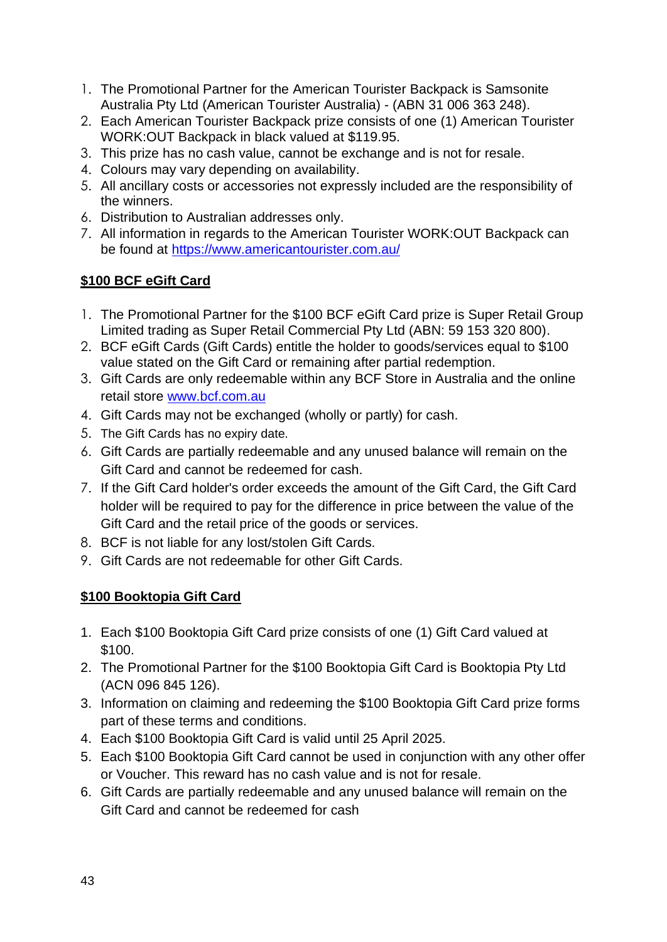- 1. The Promotional Partner for the American Tourister Backpack is Samsonite Australia Pty Ltd (American Tourister Australia) - (ABN 31 006 363 248).
- 2. Each American Tourister Backpack prize consists of one (1) American Tourister WORK:OUT Backpack in black valued at \$119.95.
- 3. This prize has no cash value, cannot be exchange and is not for resale.
- 4. Colours may vary depending on availability.
- 5. All ancillary costs or accessories not expressly included are the responsibility of the winners.
- 6. Distribution to Australian addresses only.
- 7. All information in regards to the American Tourister WORK:OUT Backpack can be found at<https://www.americantourister.com.au/>

# **\$100 BCF eGift Card**

- 1. The Promotional Partner for the \$100 BCF eGift Card prize is Super Retail Group Limited trading as Super Retail Commercial Pty Ltd (ABN: 59 153 320 800).
- 2. BCF eGift Cards (Gift Cards) entitle the holder to goods/services equal to \$100 value stated on the Gift Card or remaining after partial redemption.
- 3. Gift Cards are only redeemable within any BCF Store in Australia and the online retail store [www.bcf.com.au](http://www.bcf.com.au/)
- 4. Gift Cards may not be exchanged (wholly or partly) for cash.
- 5. The Gift Cards has no expiry date.
- 6. Gift Cards are partially redeemable and any unused balance will remain on the Gift Card and cannot be redeemed for cash.
- 7. If the Gift Card holder's order exceeds the amount of the Gift Card, the Gift Card holder will be required to pay for the difference in price between the value of the Gift Card and the retail price of the goods or services.
- 8. BCF is not liable for any lost/stolen Gift Cards.
- 9. Gift Cards are not redeemable for other Gift Cards.

### **\$100 Booktopia Gift Card**

- 1. Each \$100 Booktopia Gift Card prize consists of one (1) Gift Card valued at \$100.
- 2. The Promotional Partner for the \$100 Booktopia Gift Card is Booktopia Pty Ltd (ACN 096 845 126).
- 3. Information on claiming and redeeming the \$100 Booktopia Gift Card prize forms part of these terms and conditions.
- 4. Each \$100 Booktopia Gift Card is valid until 25 April 2025.
- 5. Each \$100 Booktopia Gift Card cannot be used in conjunction with any other offer or Voucher. This reward has no cash value and is not for resale.
- 6. Gift Cards are partially redeemable and any unused balance will remain on the Gift Card and cannot be redeemed for cash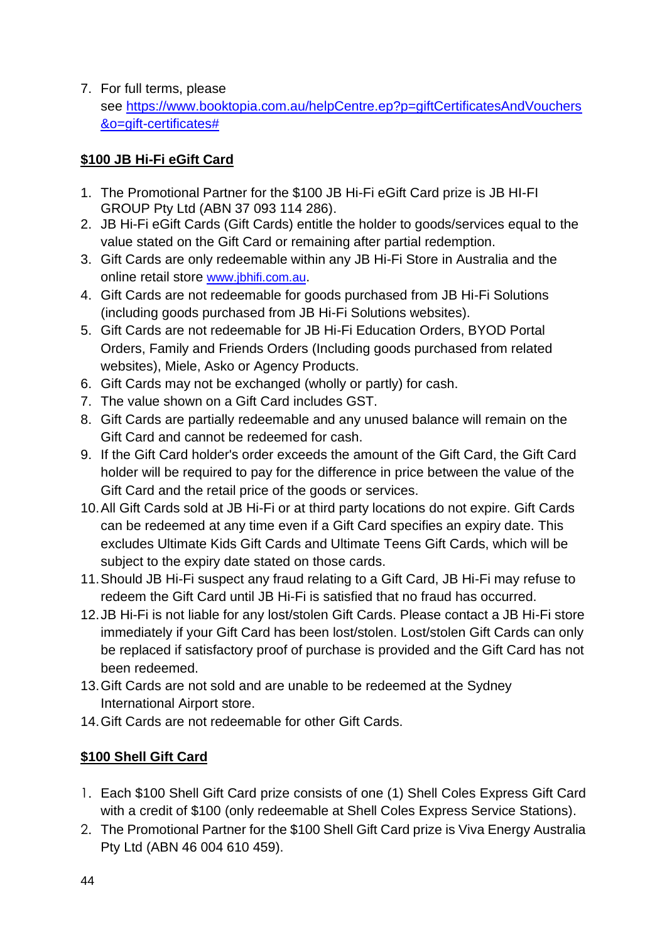7. For full terms, please see [https://www.booktopia.com.au/helpCentre.ep?p=giftCertificatesAndVouchers](https://eur02.safelinks.protection.outlook.com/?url=https%3A%2F%2Fwww.booktopia.com.au%2FhelpCentre.ep%3Fp%3DgiftCertificatesAndVouchers%26o%3Dgift-certificates%23&data=04%7C01%7Cjacob.kong%40tlcmarketing.com%7Cd1ab630524d8473c470608d9c43c30aa%7C8b7b3fe96adb47119dc68b15f551b872%7C1%7C0%7C637756585084520101%7CUnknown%7CTWFpbGZsb3d8eyJWIjoiMC4wLjAwMDAiLCJQIjoiV2luMzIiLCJBTiI6Ik1haWwiLCJXVCI6Mn0%3D%7C3000&sdata=De2I3juygvUrQ048cI93qy%2FKu2%2BmDJPtGINeEsaKBeY%3D&reserved=0) [&o=gift-certificates#](https://eur02.safelinks.protection.outlook.com/?url=https%3A%2F%2Fwww.booktopia.com.au%2FhelpCentre.ep%3Fp%3DgiftCertificatesAndVouchers%26o%3Dgift-certificates%23&data=04%7C01%7Cjacob.kong%40tlcmarketing.com%7Cd1ab630524d8473c470608d9c43c30aa%7C8b7b3fe96adb47119dc68b15f551b872%7C1%7C0%7C637756585084520101%7CUnknown%7CTWFpbGZsb3d8eyJWIjoiMC4wLjAwMDAiLCJQIjoiV2luMzIiLCJBTiI6Ik1haWwiLCJXVCI6Mn0%3D%7C3000&sdata=De2I3juygvUrQ048cI93qy%2FKu2%2BmDJPtGINeEsaKBeY%3D&reserved=0)

### **\$100 JB Hi-Fi eGift Card**

- 1. The Promotional Partner for the \$100 JB Hi-Fi eGift Card prize is JB HI-FI GROUP Pty Ltd (ABN 37 093 114 286).
- 2. JB Hi-Fi eGift Cards (Gift Cards) entitle the holder to goods/services equal to the value stated on the Gift Card or remaining after partial redemption.
- 3. Gift Cards are only redeemable within any JB Hi-Fi Store in Australia and the online retail store [www.jbhifi.com.au](http://www.jbhifi.com.au/).
- 4. Gift Cards are not redeemable for goods purchased from JB Hi-Fi Solutions (including goods purchased from JB Hi-Fi Solutions websites).
- 5. Gift Cards are not redeemable for JB Hi-Fi Education Orders, BYOD Portal Orders, Family and Friends Orders (Including goods purchased from related websites), Miele, Asko or Agency Products.
- 6. Gift Cards may not be exchanged (wholly or partly) for cash.
- 7. The value shown on a Gift Card includes GST.
- 8. Gift Cards are partially redeemable and any unused balance will remain on the Gift Card and cannot be redeemed for cash.
- 9. If the Gift Card holder's order exceeds the amount of the Gift Card, the Gift Card holder will be required to pay for the difference in price between the value of the Gift Card and the retail price of the goods or services.
- 10.All Gift Cards sold at JB Hi-Fi or at third party locations do not expire. Gift Cards can be redeemed at any time even if a Gift Card specifies an expiry date. This excludes Ultimate Kids Gift Cards and Ultimate Teens Gift Cards, which will be subject to the expiry date stated on those cards.
- 11.Should JB Hi-Fi suspect any fraud relating to a Gift Card, JB Hi-Fi may refuse to redeem the Gift Card until JB Hi-Fi is satisfied that no fraud has occurred.
- 12.JB Hi-Fi is not liable for any lost/stolen Gift Cards. Please contact a JB Hi-Fi store immediately if your Gift Card has been lost/stolen. Lost/stolen Gift Cards can only be replaced if satisfactory proof of purchase is provided and the Gift Card has not been redeemed.
- 13.Gift Cards are not sold and are unable to be redeemed at the Sydney International Airport store.
- 14.Gift Cards are not redeemable for other Gift Cards.

### **\$100 Shell Gift Card**

- 1. Each \$100 Shell Gift Card prize consists of one (1) Shell Coles Express Gift Card with a credit of \$100 (only redeemable at Shell Coles Express Service Stations).
- 2. The Promotional Partner for the \$100 Shell Gift Card prize is Viva Energy Australia Pty Ltd (ABN 46 004 610 459).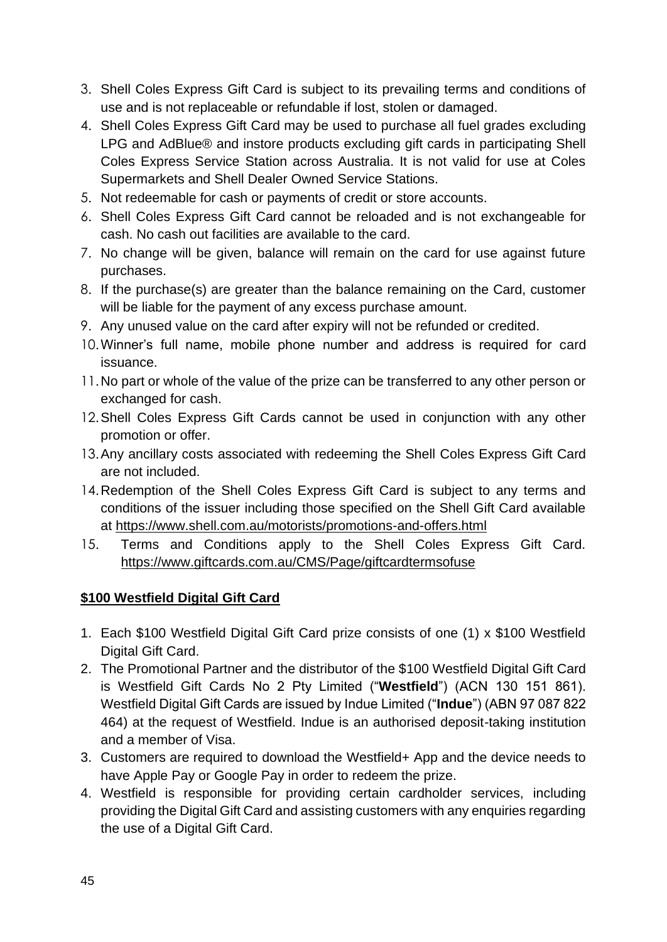- 3. Shell Coles Express Gift Card is subject to its prevailing terms and conditions of use and is not replaceable or refundable if lost, stolen or damaged.
- 4. Shell Coles Express Gift Card may be used to purchase all fuel grades excluding LPG and AdBlue® and instore products excluding gift cards in participating Shell Coles Express Service Station across Australia. It is not valid for use at Coles Supermarkets and Shell Dealer Owned Service Stations.
- 5. Not redeemable for cash or payments of credit or store accounts.
- 6. Shell Coles Express Gift Card cannot be reloaded and is not exchangeable for cash. No cash out facilities are available to the card.
- 7. No change will be given, balance will remain on the card for use against future purchases.
- 8. If the purchase(s) are greater than the balance remaining on the Card, customer will be liable for the payment of any excess purchase amount.
- 9. Any unused value on the card after expiry will not be refunded or credited.
- 10.Winner's full name, mobile phone number and address is required for card issuance.
- 11.No part or whole of the value of the prize can be transferred to any other person or exchanged for cash.
- 12.Shell Coles Express Gift Cards cannot be used in conjunction with any other promotion or offer.
- 13.Any ancillary costs associated with redeeming the Shell Coles Express Gift Card are not included.
- 14.Redemption of the Shell Coles Express Gift Card is subject to any terms and conditions of the issuer including those specified on the Shell Gift Card available at [https://www.shell.com.au/motorists/promotions-and-offers.html](https://eur02.safelinks.protection.outlook.com/?url=https%3A%2F%2Fwww.shell.com.au%2Fmotorists%2Fpromotions-and-offers.html&data=04%7C01%7Ccindy.tsang%40tlcmarketing.com%7C9ae219afaf9c4f29631108d873c7cffd%7C8b7b3fe96adb47119dc68b15f551b872%7C1%7C0%7C637386649332817673%7CUnknown%7CTWFpbGZsb3d8eyJWIjoiMC4wLjAwMDAiLCJQIjoiV2luMzIiLCJBTiI6Ik1haWwiLCJXVCI6Mn0%3D%7C1000&sdata=ssiojcCG57y8e0q1IPoHG9g3jItdzYTkwuiQBHakLQw%3D&reserved=0)
- 15. Terms and Conditions apply to the Shell Coles Express Gift Card. [https://www.giftcards.com.au/CMS/Page/giftcardtermsofuse](https://eur02.safelinks.protection.outlook.com/?url=https%3A%2F%2Fwww.giftcards.com.au%2FCMS%2FPage%2Fgiftcardtermsofuse&data=04%7C01%7Ccindy.tsang%40tlcmarketing.com%7C15f111f21e9846771d8208da025336f2%7C8b7b3fe96adb47119dc68b15f551b872%7C1%7C0%7C637824853713809540%7CUnknown%7CTWFpbGZsb3d8eyJWIjoiMC4wLjAwMDAiLCJQIjoiV2luMzIiLCJBTiI6Ik1haWwiLCJXVCI6Mn0%3D%7C3000&sdata=dERc0dnyZMyVz5FAEGPj88tfwTHKt%2BXDc2cNhR2Kv8E%3D&reserved=0)

### **\$100 Westfield Digital Gift Card**

- 1. Each \$100 Westfield Digital Gift Card prize consists of one (1) x \$100 Westfield Digital Gift Card.
- 2. The Promotional Partner and the distributor of the \$100 Westfield Digital Gift Card is Westfield Gift Cards No 2 Pty Limited ("**Westfield**") (ACN 130 151 861). Westfield Digital Gift Cards are issued by Indue Limited ("**Indue**") (ABN 97 087 822 464) at the request of Westfield. Indue is an authorised deposit-taking institution and a member of Visa.
- 3. Customers are required to download the Westfield+ App and the device needs to have Apple Pay or Google Pay in order to redeem the prize.
- 4. Westfield is responsible for providing certain cardholder services, including providing the Digital Gift Card and assisting customers with any enquiries regarding the use of a Digital Gift Card.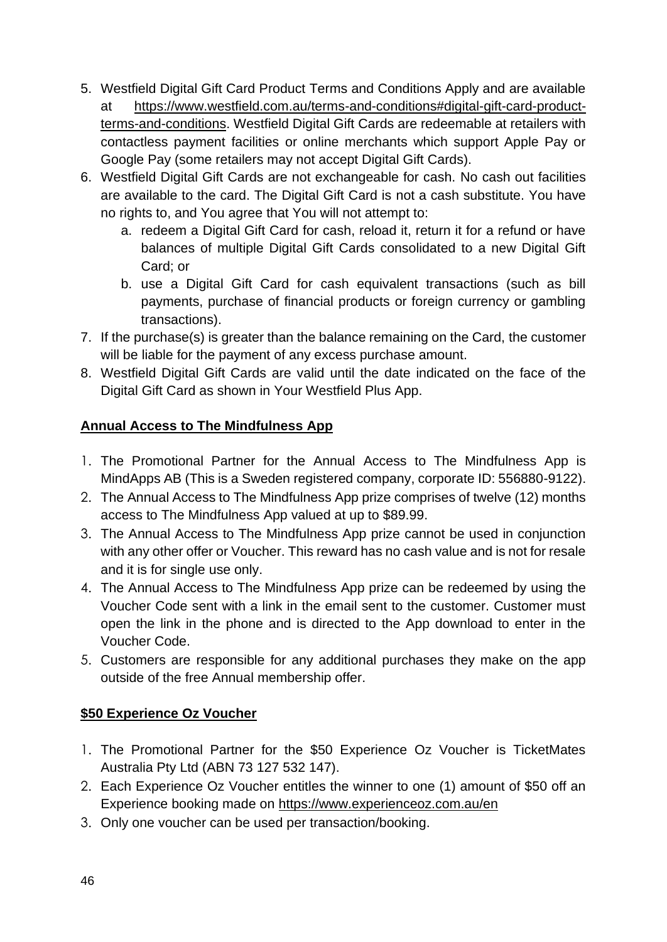- 5. Westfield Digital Gift Card Product Terms and Conditions Apply and are available at [https://www.westfield.com.au/terms-and-conditions#digital-gift-card-product](https://www.westfield.com.au/terms-and-conditions#digital-gift-card-product-terms-and-conditions)[terms-and-conditions.](https://www.westfield.com.au/terms-and-conditions#digital-gift-card-product-terms-and-conditions) Westfield Digital Gift Cards are redeemable at retailers with contactless payment facilities or online merchants which support Apple Pay or Google Pay (some retailers may not accept Digital Gift Cards).
- 6. Westfield Digital Gift Cards are not exchangeable for cash. No cash out facilities are available to the card. The Digital Gift Card is not a cash substitute. You have no rights to, and You agree that You will not attempt to:
	- a. redeem a Digital Gift Card for cash, reload it, return it for a refund or have balances of multiple Digital Gift Cards consolidated to a new Digital Gift Card; or
	- b. use a Digital Gift Card for cash equivalent transactions (such as bill payments, purchase of financial products or foreign currency or gambling transactions).
- 7. If the purchase(s) is greater than the balance remaining on the Card, the customer will be liable for the payment of any excess purchase amount.
- 8. Westfield Digital Gift Cards are valid until the date indicated on the face of the Digital Gift Card as shown in Your Westfield Plus App.

# **Annual Access to The Mindfulness App**

- 1. The Promotional Partner for the Annual Access to The Mindfulness App is MindApps AB (This is a Sweden registered company, corporate ID: 556880-9122).
- 2. The Annual Access to The Mindfulness App prize comprises of twelve (12) months access to The Mindfulness App valued at up to \$89.99.
- 3. The Annual Access to The Mindfulness App prize cannot be used in conjunction with any other offer or Voucher. This reward has no cash value and is not for resale and it is for single use only.
- 4. The Annual Access to The Mindfulness App prize can be redeemed by using the Voucher Code sent with a link in the email sent to the customer. Customer must open the link in the phone and is directed to the App download to enter in the Voucher Code.
- 5. Customers are responsible for any additional purchases they make on the app outside of the free Annual membership offer.

### **\$50 Experience Oz Voucher**

- 1. The Promotional Partner for the \$50 Experience Oz Voucher is TicketMates Australia Pty Ltd (ABN 73 127 532 147).
- 2. Each Experience Oz Voucher entitles the winner to one (1) amount of \$50 off an Experience booking made on<https://www.experienceoz.com.au/en>
- 3. Only one voucher can be used per transaction/booking.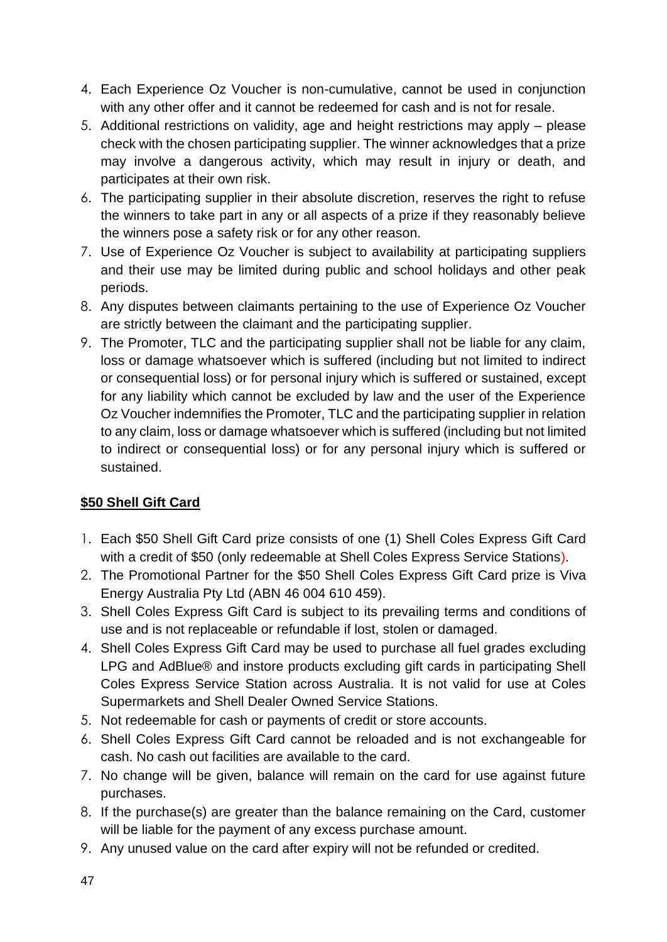- 4. Each Experience Oz Voucher is non-cumulative, cannot be used in conjunction with any other offer and it cannot be redeemed for cash and is not for resale.
- 5. Additional restrictions on validity, age and height restrictions may apply please check with the chosen participating supplier. The winner acknowledges that a prize may involve a dangerous activity, which may result in injury or death, and participates at their own risk.
- 6. The participating supplier in their absolute discretion, reserves the right to refuse the winners to take part in any or all aspects of a prize if they reasonably believe the winners pose a safety risk or for any other reason.
- 7. Use of Experience Oz Voucher is subject to availability at participating suppliers and their use may be limited during public and school holidays and other peak periods.
- 8. Any disputes between claimants pertaining to the use of Experience Oz Voucher are strictly between the claimant and the participating supplier.
- 9. The Promoter, TLC and the participating supplier shall not be liable for any claim, loss or damage whatsoever which is suffered (including but not limited to indirect or consequential loss) or for personal injury which is suffered or sustained, except for any liability which cannot be excluded by law and the user of the Experience Oz Voucher indemnifies the Promoter, TLC and the participating supplier in relation to any claim, loss or damage whatsoever which is suffered (including but not limited to indirect or consequential loss) or for any personal injury which is suffered or sustained.

### **\$50 Shell Gift Card**

- 1. Each \$50 Shell Gift Card prize consists of one (1) Shell Coles Express Gift Card with a credit of \$50 (only redeemable at Shell Coles Express Service Stations).
- 2. The Promotional Partner for the \$50 Shell Coles Express Gift Card prize is Viva Energy Australia Pty Ltd (ABN 46 004 610 459).
- 3. Shell Coles Express Gift Card is subject to its prevailing terms and conditions of use and is not replaceable or refundable if lost, stolen or damaged.
- 4. Shell Coles Express Gift Card may be used to purchase all fuel grades excluding LPG and AdBlue® and instore products excluding gift cards in participating Shell Coles Express Service Station across Australia. It is not valid for use at Coles Supermarkets and Shell Dealer Owned Service Stations.
- 5. Not redeemable for cash or payments of credit or store accounts.
- 6. Shell Coles Express Gift Card cannot be reloaded and is not exchangeable for cash. No cash out facilities are available to the card.
- 7. No change will be given, balance will remain on the card for use against future purchases.
- 8. If the purchase(s) are greater than the balance remaining on the Card, customer will be liable for the payment of any excess purchase amount.
- 9. Any unused value on the card after expiry will not be refunded or credited.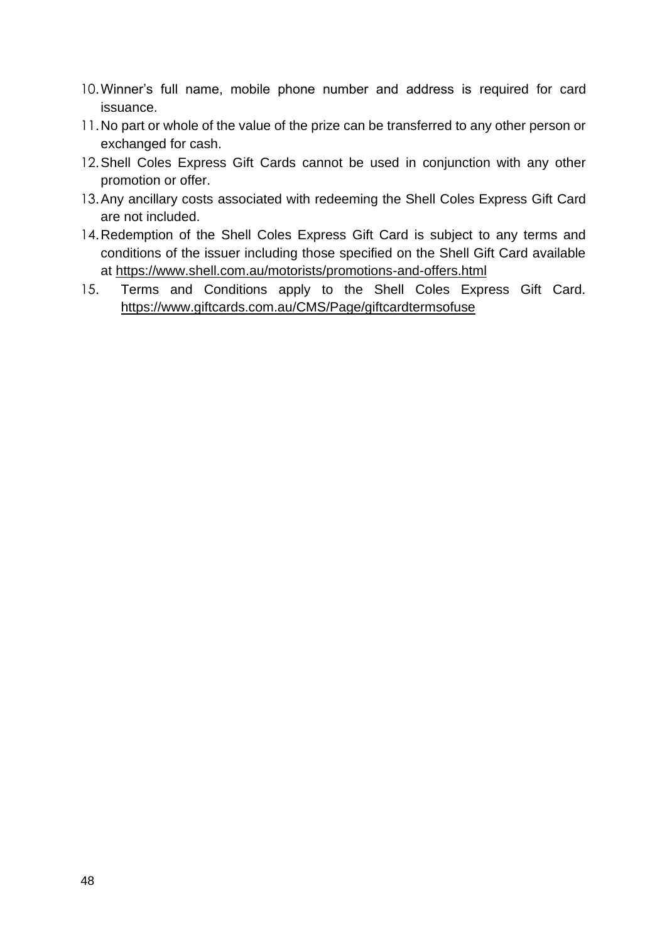- 10.Winner's full name, mobile phone number and address is required for card issuance.
- 11.No part or whole of the value of the prize can be transferred to any other person or exchanged for cash.
- 12.Shell Coles Express Gift Cards cannot be used in conjunction with any other promotion or offer.
- 13.Any ancillary costs associated with redeeming the Shell Coles Express Gift Card are not included.
- 14.Redemption of the Shell Coles Express Gift Card is subject to any terms and conditions of the issuer including those specified on the Shell Gift Card available at [https://www.shell.com.au/motorists/promotions-and-offers.html](https://eur02.safelinks.protection.outlook.com/?url=https%3A%2F%2Fwww.shell.com.au%2Fmotorists%2Fpromotions-and-offers.html&data=04%7C01%7Ccindy.tsang%40tlcmarketing.com%7C9ae219afaf9c4f29631108d873c7cffd%7C8b7b3fe96adb47119dc68b15f551b872%7C1%7C0%7C637386649332817673%7CUnknown%7CTWFpbGZsb3d8eyJWIjoiMC4wLjAwMDAiLCJQIjoiV2luMzIiLCJBTiI6Ik1haWwiLCJXVCI6Mn0%3D%7C1000&sdata=ssiojcCG57y8e0q1IPoHG9g3jItdzYTkwuiQBHakLQw%3D&reserved=0)
- 15. Terms and Conditions apply to the Shell Coles Express Gift Card. [https://www.giftcards.com.au/CMS/Page/giftcardtermsofuse](https://eur02.safelinks.protection.outlook.com/?url=https%3A%2F%2Fwww.giftcards.com.au%2FCMS%2FPage%2Fgiftcardtermsofuse&data=04%7C01%7Ccindy.tsang%40tlcmarketing.com%7C15f111f21e9846771d8208da025336f2%7C8b7b3fe96adb47119dc68b15f551b872%7C1%7C0%7C637824853713809540%7CUnknown%7CTWFpbGZsb3d8eyJWIjoiMC4wLjAwMDAiLCJQIjoiV2luMzIiLCJBTiI6Ik1haWwiLCJXVCI6Mn0%3D%7C3000&sdata=dERc0dnyZMyVz5FAEGPj88tfwTHKt%2BXDc2cNhR2Kv8E%3D&reserved=0)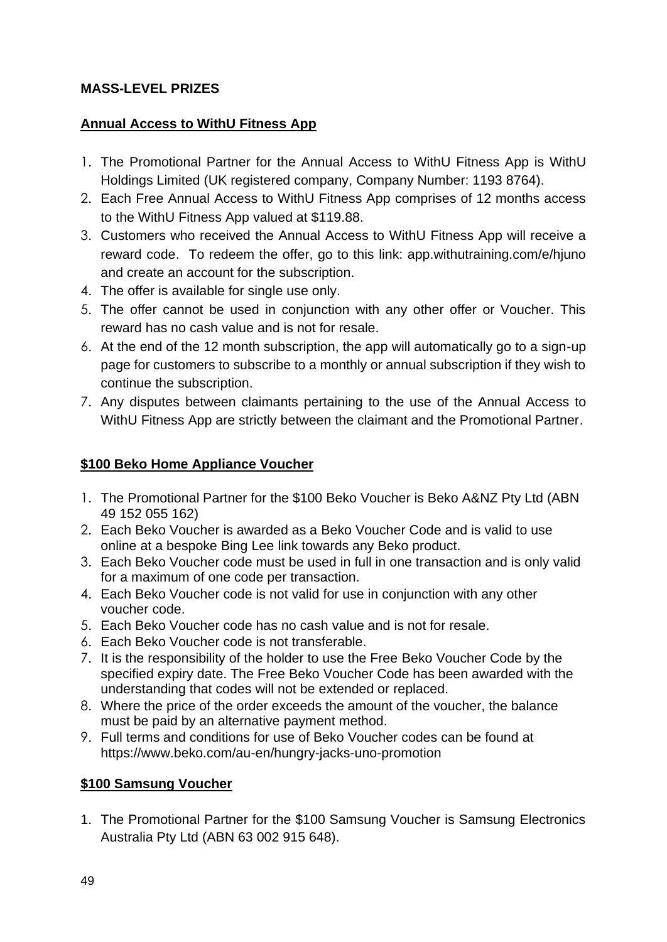#### **MASS-LEVEL PRIZES**

#### **Annual Access to WithU Fitness App**

- 1. The Promotional Partner for the Annual Access to WithU Fitness App is WithU Holdings Limited (UK registered company, Company Number: 1193 8764).
- 2. Each Free Annual Access to WithU Fitness App comprises of 12 months access to the WithU Fitness App valued at \$119.88.
- 3. Customers who received the Annual Access to WithU Fitness App will receive a reward code. To redeem the offer, go to this link: app.withutraining.com/e/hjuno and create an account for the subscription.
- 4. The offer is available for single use only.
- 5. The offer cannot be used in conjunction with any other offer or Voucher. This reward has no cash value and is not for resale.
- 6. At the end of the 12 month subscription, the app will automatically go to a sign-up page for customers to subscribe to a monthly or annual subscription if they wish to continue the subscription.
- 7. Any disputes between claimants pertaining to the use of the Annual Access to WithU Fitness App are strictly between the claimant and the Promotional Partner.

#### **\$100 Beko Home Appliance Voucher**

- 1. The Promotional Partner for the \$100 Beko Voucher is Beko A&NZ Pty Ltd (ABN 49 152 055 162)
- 2. Each Beko Voucher is awarded as a Beko Voucher Code and is valid to use online at a bespoke Bing Lee link towards any Beko product.
- 3. Each Beko Voucher code must be used in full in one transaction and is only valid for a maximum of one code per transaction.
- 4. Each Beko Voucher code is not valid for use in conjunction with any other voucher code.
- 5. Each Beko Voucher code has no cash value and is not for resale.
- 6. Each Beko Voucher code is not transferable.
- 7. It is the responsibility of the holder to use the Free Beko Voucher Code by the specified expiry date. The Free Beko Voucher Code has been awarded with the understanding that codes will not be extended or replaced.
- 8. Where the price of the order exceeds the amount of the voucher, the balance must be paid by an alternative payment method.
- 9. Full terms and conditions for use of Beko Voucher codes can be found at [https://www.beko.com/au-en/hungry-jacks-uno-promotion](https://eur02.safelinks.protection.outlook.com/?url=https%3A%2F%2Fwww.beko.com%2Fau-en%2Fhungry-jacks-uno-promotion&data=04%7C01%7Ccindy.tsang%40tlcmarketing.com%7C73a45c5e3cef4d4b464d08d9ecfe4c56%7C8b7b3fe96adb47119dc68b15f551b872%7C1%7C0%7C637801399257900309%7CUnknown%7CTWFpbGZsb3d8eyJWIjoiMC4wLjAwMDAiLCJQIjoiV2luMzIiLCJBTiI6Ik1haWwiLCJXVCI6Mn0%3D%7C3000&sdata=IwkiahFy615eKPUa1zXu1kmw0PYYVQnd8x2EnL5rP9A%3D&reserved=0)

### **\$100 Samsung Voucher**

1. The Promotional Partner for the \$100 Samsung Voucher is Samsung Electronics Australia Pty Ltd (ABN 63 002 915 648).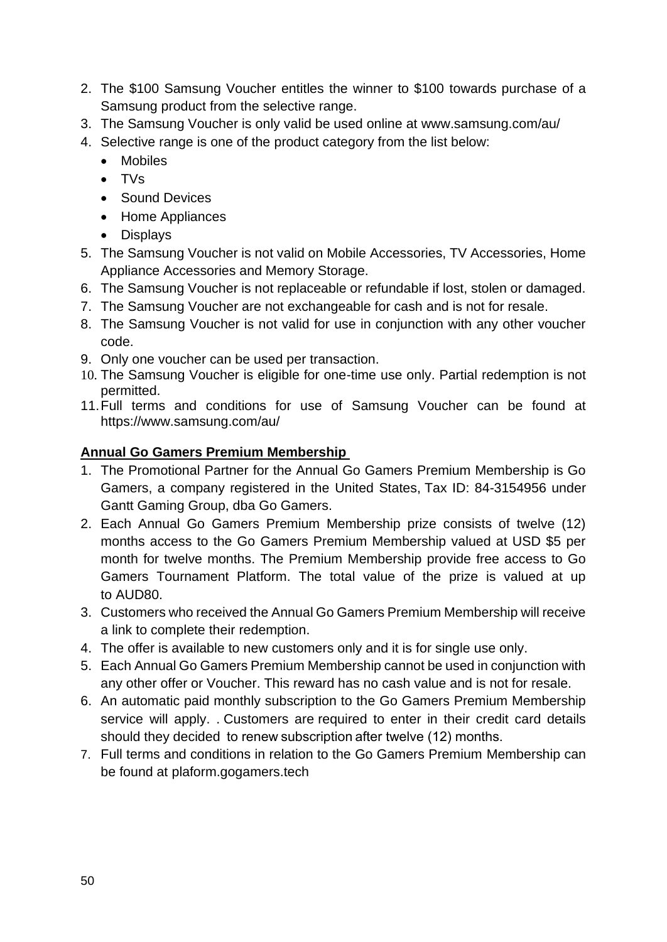- 2. The \$100 Samsung Voucher entitles the winner to \$100 towards purchase of a Samsung product from the selective range.
- 3. The Samsung Voucher is only valid be used online at www.samsung.com/au/
- 4. Selective range is one of the product category from the list below:
	- Mobiles
	- TVs
	- Sound Devices
	- Home Appliances
	- Displays
- 5. The Samsung Voucher is not valid on Mobile Accessories, TV Accessories, Home Appliance Accessories and Memory Storage.
- 6. The Samsung Voucher is not replaceable or refundable if lost, stolen or damaged.
- 7. The Samsung Voucher are not exchangeable for cash and is not for resale.
- 8. The Samsung Voucher is not valid for use in conjunction with any other voucher code.
- 9. Only one voucher can be used per transaction.
- 10. The Samsung Voucher is eligible for one-time use only. Partial redemption is not permitted.
- 11.Full terms and conditions for use of Samsung Voucher can be found at <https://www.samsung.com/au/>

#### **Annual Go Gamers Premium Membership**

- 1. The Promotional Partner for the Annual Go Gamers Premium Membership is Go Gamers, a company registered in the United States, Tax ID: 84-3154956 under Gantt Gaming Group, dba Go Gamers.
- 2. Each Annual Go Gamers Premium Membership prize consists of twelve (12) months access to the Go Gamers Premium Membership valued at USD \$5 per month for twelve months. The Premium Membership provide free access to Go Gamers Tournament Platform. The total value of the prize is valued at up to AUD80.
- 3. Customers who received the Annual Go Gamers Premium Membership will receive a link to complete their redemption.
- 4. The offer is available to new customers only and it is for single use only.
- 5. Each Annual Go Gamers Premium Membership cannot be used in conjunction with any other offer or Voucher. This reward has no cash value and is not for resale.
- 6. An automatic paid monthly subscription to the Go Gamers Premium Membership service will apply. . Customers are required to enter in their credit card details should they decided to renew subscription after twelve (12) months.
- 7. Full terms and conditions in relation to the Go Gamers Premium Membership can be found at [plaform.gogamers.tech](https://platform.gogamers.tech/gg)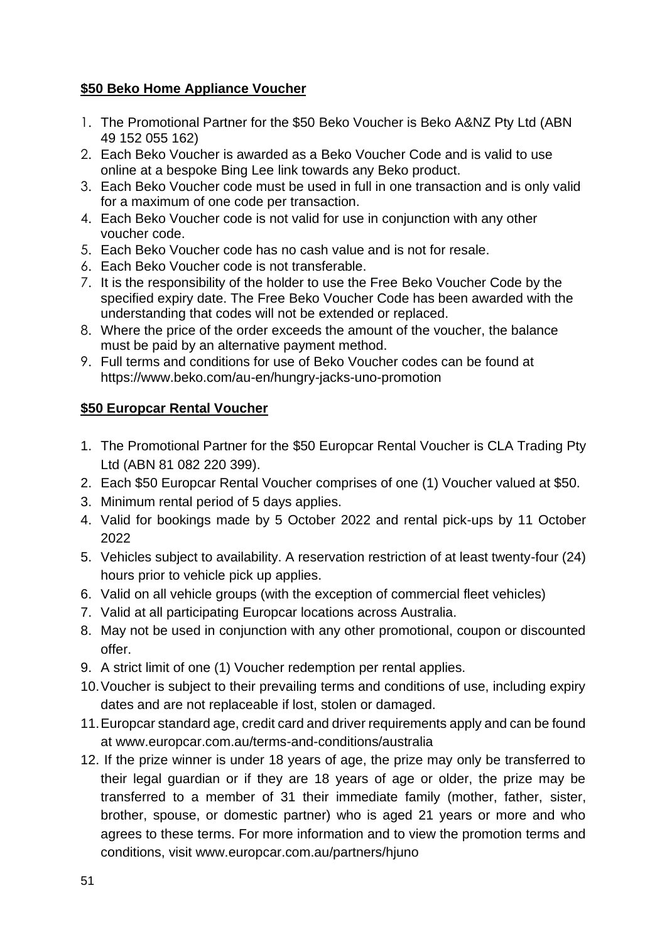#### **\$50 Beko Home Appliance Voucher**

- 1. The Promotional Partner for the \$50 Beko Voucher is Beko A&NZ Pty Ltd (ABN 49 152 055 162)
- 2. Each Beko Voucher is awarded as a Beko Voucher Code and is valid to use online at a bespoke Bing Lee link towards any Beko product.
- 3. Each Beko Voucher code must be used in full in one transaction and is only valid for a maximum of one code per transaction.
- 4. Each Beko Voucher code is not valid for use in conjunction with any other voucher code.
- 5. Each Beko Voucher code has no cash value and is not for resale.
- 6. Each Beko Voucher code is not transferable.
- 7. It is the responsibility of the holder to use the Free Beko Voucher Code by the specified expiry date. The Free Beko Voucher Code has been awarded with the understanding that codes will not be extended or replaced.
- 8. Where the price of the order exceeds the amount of the voucher, the balance must be paid by an alternative payment method.
- 9. Full terms and conditions for use of Beko Voucher codes can be found at [https://www.beko.com/au-en/hungry-jacks-uno-promotion](https://eur02.safelinks.protection.outlook.com/?url=https%3A%2F%2Fwww.beko.com%2Fau-en%2Fhungry-jacks-uno-promotion&data=04%7C01%7Ccindy.tsang%40tlcmarketing.com%7C73a45c5e3cef4d4b464d08d9ecfe4c56%7C8b7b3fe96adb47119dc68b15f551b872%7C1%7C0%7C637801399257900309%7CUnknown%7CTWFpbGZsb3d8eyJWIjoiMC4wLjAwMDAiLCJQIjoiV2luMzIiLCJBTiI6Ik1haWwiLCJXVCI6Mn0%3D%7C3000&sdata=IwkiahFy615eKPUa1zXu1kmw0PYYVQnd8x2EnL5rP9A%3D&reserved=0)

#### **\$50 Europcar Rental Voucher**

- 1. The Promotional Partner for the \$50 Europcar Rental Voucher is CLA Trading Pty Ltd (ABN 81 082 220 399).
- 2. Each \$50 Europcar Rental Voucher comprises of one (1) Voucher valued at \$50.
- 3. Minimum rental period of 5 days applies.
- 4. Valid for bookings made by 5 October 2022 and rental pick-ups by 11 October 2022
- 5. Vehicles subject to availability. A reservation restriction of at least twenty-four (24) hours prior to vehicle pick up applies.
- 6. Valid on all vehicle groups (with the exception of commercial fleet vehicles)
- 7. Valid at all participating Europcar locations across Australia.
- 8. May not be used in conjunction with any other promotional, coupon or discounted offer.
- 9. A strict limit of one (1) Voucher redemption per rental applies.
- 10.Voucher is subject to their prevailing terms and conditions of use, including expiry dates and are not replaceable if lost, stolen or damaged.
- 11.Europcar standard age, credit card and driver requirements apply and can be found at www.europcar.com.au/terms-and-conditions/australia
- 12. If the prize winner is under 18 years of age, the prize may only be transferred to their legal guardian or if they are 18 years of age or older, the prize may be transferred to a member of 31 their immediate family (mother, father, sister, brother, spouse, or domestic partner) who is aged 21 years or more and who agrees to these terms. For more information and to view the promotion terms and conditions, visit www.europcar.com.au/partners/hjuno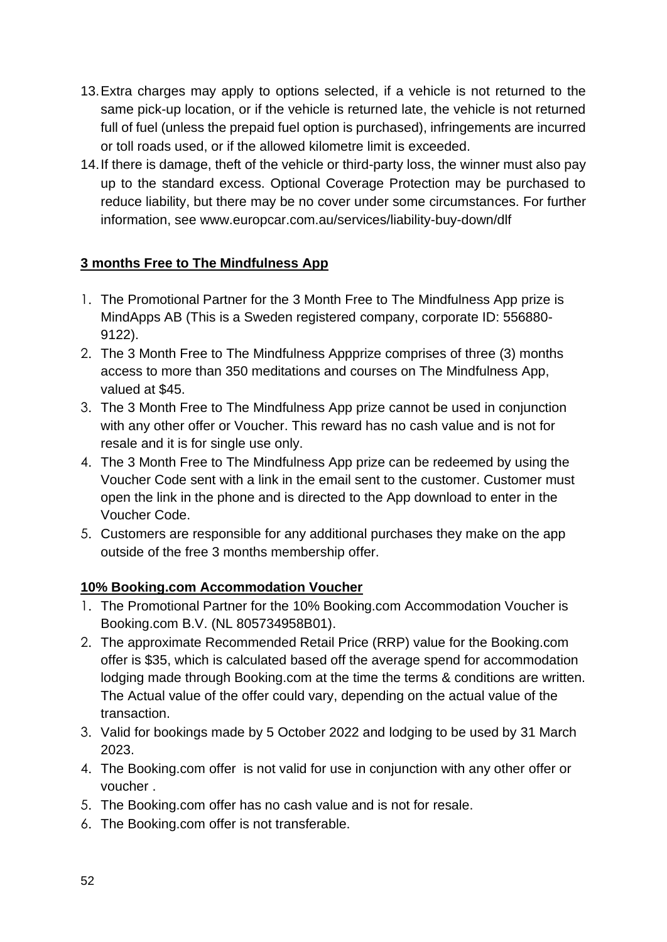- 13.Extra charges may apply to options selected, if a vehicle is not returned to the same pick-up location, or if the vehicle is returned late, the vehicle is not returned full of fuel (unless the prepaid fuel option is purchased), infringements are incurred or toll roads used, or if the allowed kilometre limit is exceeded.
- 14.If there is damage, theft of the vehicle or third-party loss, the winner must also pay up to the standard excess. Optional Coverage Protection may be purchased to reduce liability, but there may be no cover under some circumstances. For further information, see www.europcar.com.au/services/liability-buy-down/dlf

#### **3 months Free to The Mindfulness App**

- 1. The Promotional Partner for the 3 Month Free to The Mindfulness App prize is MindApps AB (This is a Sweden registered company, corporate ID: 556880- 9122).
- 2. The 3 Month Free to The Mindfulness Appprize comprises of three (3) months access to more than 350 meditations and courses on The Mindfulness App, valued at \$45.
- 3. The 3 Month Free to The Mindfulness App prize cannot be used in conjunction with any other offer or Voucher. This reward has no cash value and is not for resale and it is for single use only.
- 4. The 3 Month Free to The Mindfulness App prize can be redeemed by using the Voucher Code sent with a link in the email sent to the customer. Customer must open the link in the phone and is directed to the App download to enter in the Voucher Code.
- 5. Customers are responsible for any additional purchases they make on the app outside of the free 3 months membership offer.

#### **10% Booking.com Accommodation Voucher**

- 1. The Promotional Partner for the 10% Booking.com Accommodation Voucher is Booking.com B.V. (NL 805734958B01).
- 2. The approximate Recommended Retail Price (RRP) value for the Booking.com offer is \$35, which is calculated based off the average spend for accommodation lodging made through Booking.com at the time the terms & conditions are written. The Actual value of the offer could vary, depending on the actual value of the transaction.
- 3. Valid for bookings made by 5 October 2022 and lodging to be used by 31 March 2023.
- 4. The Booking.com offer is not valid for use in conjunction with any other offer or voucher .
- 5. The Booking.com offer has no cash value and is not for resale.
- 6. The Booking.com offer is not transferable.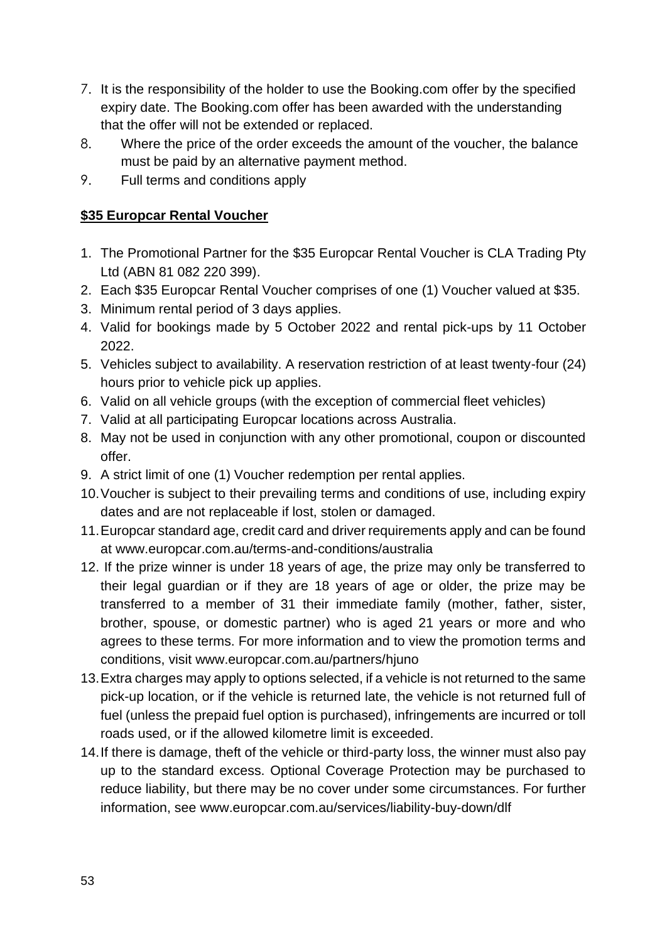- 7. It is the responsibility of the holder to use the Booking.com offer by the specified expiry date. The Booking.com offer has been awarded with the understanding that the offer will not be extended or replaced.
- 8. Where the price of the order exceeds the amount of the voucher, the balance must be paid by an alternative payment method.
- 9. Full terms and conditions apply

### **\$35 Europcar Rental Voucher**

- 1. The Promotional Partner for the \$35 Europcar Rental Voucher is CLA Trading Pty Ltd (ABN 81 082 220 399).
- 2. Each \$35 Europcar Rental Voucher comprises of one (1) Voucher valued at \$35.
- 3. Minimum rental period of 3 days applies.
- 4. Valid for bookings made by 5 October 2022 and rental pick-ups by 11 October 2022.
- 5. Vehicles subject to availability. A reservation restriction of at least twenty-four (24) hours prior to vehicle pick up applies.
- 6. Valid on all vehicle groups (with the exception of commercial fleet vehicles)
- 7. Valid at all participating Europcar locations across Australia.
- 8. May not be used in conjunction with any other promotional, coupon or discounted offer.
- 9. A strict limit of one (1) Voucher redemption per rental applies.
- 10.Voucher is subject to their prevailing terms and conditions of use, including expiry dates and are not replaceable if lost, stolen or damaged.
- 11.Europcar standard age, credit card and driver requirements apply and can be found at www.europcar.com.au/terms-and-conditions/australia
- 12. If the prize winner is under 18 years of age, the prize may only be transferred to their legal guardian or if they are 18 years of age or older, the prize may be transferred to a member of 31 their immediate family (mother, father, sister, brother, spouse, or domestic partner) who is aged 21 years or more and who agrees to these terms. For more information and to view the promotion terms and conditions, visit www.europcar.com.au/partners/hjuno
- 13.Extra charges may apply to options selected, if a vehicle is not returned to the same pick-up location, or if the vehicle is returned late, the vehicle is not returned full of fuel (unless the prepaid fuel option is purchased), infringements are incurred or toll roads used, or if the allowed kilometre limit is exceeded.
- 14.If there is damage, theft of the vehicle or third-party loss, the winner must also pay up to the standard excess. Optional Coverage Protection may be purchased to reduce liability, but there may be no cover under some circumstances. For further information, see www.europcar.com.au/services/liability-buy-down/dlf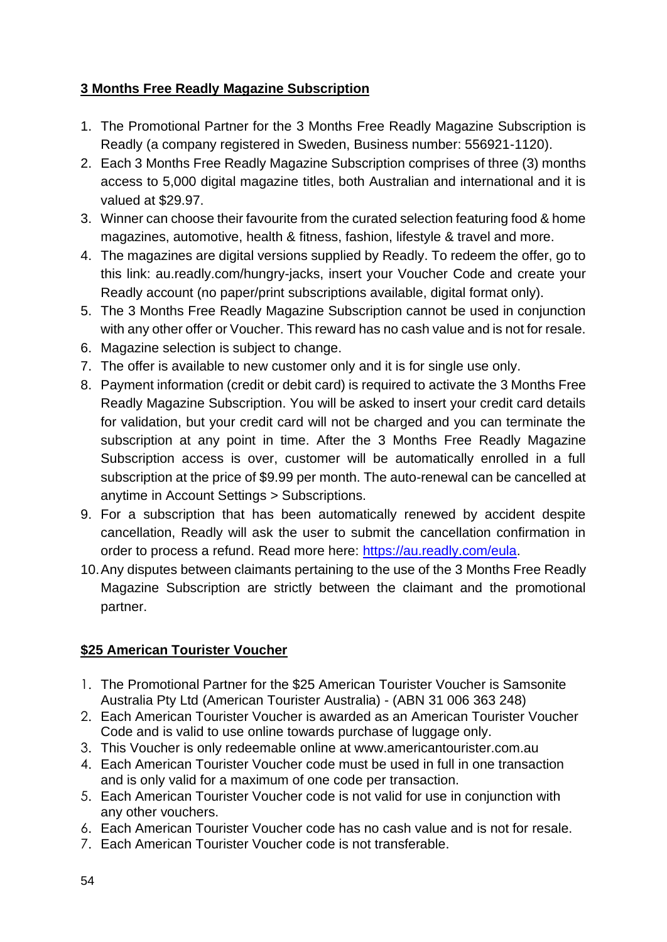# **3 Months Free Readly Magazine Subscription**

- 1. The Promotional Partner for the 3 Months Free Readly Magazine Subscription is Readly (a company registered in Sweden, Business number: 556921-1120).
- 2. Each 3 Months Free Readly Magazine Subscription comprises of three (3) months access to 5,000 digital magazine titles, both Australian and international and it is valued at \$29.97.
- 3. Winner can choose their favourite from the curated selection featuring food & home magazines, automotive, health & fitness, fashion, lifestyle & travel and more.
- 4. The magazines are digital versions supplied by Readly. To redeem the offer, go to this link: au.readly.com/hungry-jacks, insert your Voucher Code and create your Readly account (no paper/print subscriptions available, digital format only).
- 5. The 3 Months Free Readly Magazine Subscription cannot be used in conjunction with any other offer or Voucher. This reward has no cash value and is not for resale.
- 6. Magazine selection is subject to change.
- 7. The offer is available to new customer only and it is for single use only.
- 8. Payment information (credit or debit card) is required to activate the 3 Months Free Readly Magazine Subscription. You will be asked to insert your credit card details for validation, but your credit card will not be charged and you can terminate the subscription at any point in time. After the 3 Months Free Readly Magazine Subscription access is over, customer will be automatically enrolled in a full subscription at the price of \$9.99 per month. The auto-renewal can be cancelled at anytime in Account Settings > Subscriptions.
- 9. For a subscription that has been automatically renewed by accident despite cancellation, Readly will ask the user to submit the cancellation confirmation in order to process a refund. Read more here: [https://au.readly.com/eula.](https://web.archive.org/web/20201020170959/https:/au.readly.com/eula)
- 10.Any disputes between claimants pertaining to the use of the 3 Months Free Readly Magazine Subscription are strictly between the claimant and the promotional partner.

### **\$25 American Tourister Voucher**

- 1. The Promotional Partner for the \$25 American Tourister Voucher is Samsonite Australia Pty Ltd (American Tourister Australia) - (ABN 31 006 363 248)
- 2. Each American Tourister Voucher is awarded as an American Tourister Voucher Code and is valid to use online towards purchase of luggage only.
- 3. This Voucher is only redeemable online at www.americantourister.com.au
- 4. Each American Tourister Voucher code must be used in full in one transaction and is only valid for a maximum of one code per transaction.
- 5. Each American Tourister Voucher code is not valid for use in conjunction with any other vouchers.
- 6. Each American Tourister Voucher code has no cash value and is not for resale.
- 7. Each American Tourister Voucher code is not transferable.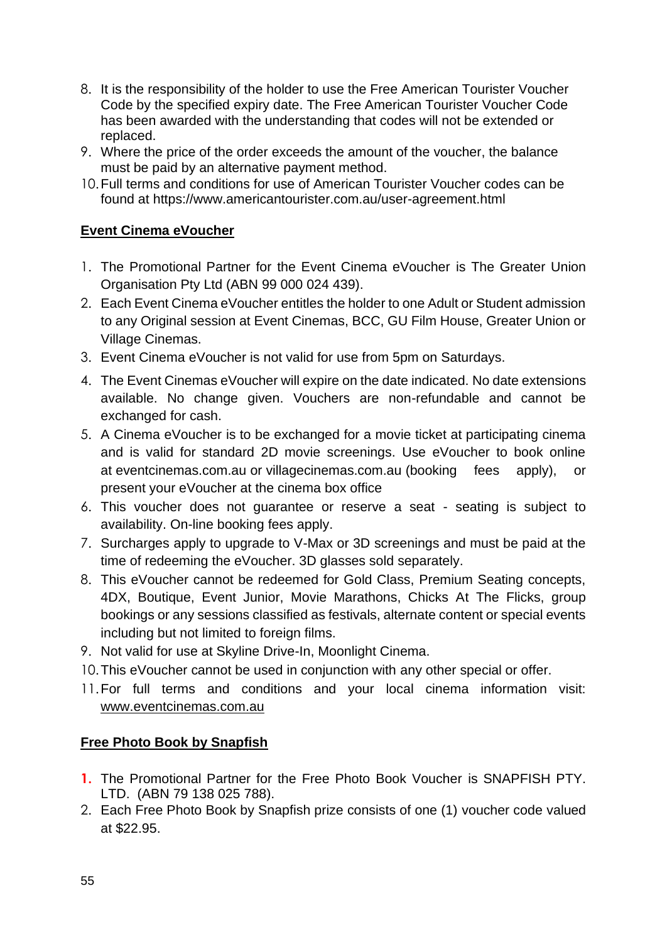- 8. It is the responsibility of the holder to use the Free American Tourister Voucher Code by the specified expiry date. The Free American Tourister Voucher Code has been awarded with the understanding that codes will not be extended or replaced.
- 9. Where the price of the order exceeds the amount of the voucher, the balance must be paid by an alternative payment method.
- 10.Full terms and conditions for use of American Tourister Voucher codes can be found at https://www.americantourister.com.au/user-agreement.html

### **Event Cinema eVoucher**

- 1. The Promotional Partner for the Event Cinema eVoucher is The Greater Union Organisation Pty Ltd (ABN 99 000 024 439).
- 2. Each Event Cinema eVoucher entitles the holder to one Adult or Student admission to any Original session at Event Cinemas, BCC, GU Film House, Greater Union or Village Cinemas.
- 3. Event Cinema eVoucher is not valid for use from 5pm on Saturdays.
- 4. The Event Cinemas eVoucher will expire on the date indicated. No date extensions available. No change given. Vouchers are non-refundable and cannot be exchanged for cash.
- 5. A Cinema eVoucher is to be exchanged for a movie ticket at participating cinema and is valid for standard 2D movie screenings. Use eVoucher to book online at [eventcinemas.com.au](https://eur02.safelinks.protection.outlook.com/?url=https%3A%2F%2Fwww.eventcinemas.com.au%2F&data=02%7C01%7Ccindy.tsang%40tlcmarketing.com%7C599b5ae2726148f27e9a08d86f33b443%7C8b7b3fe96adb47119dc68b15f551b872%7C1%7C0%7C637381615187224348&sdata=hbKhwbsDdzb%2FqVcq6pNvlnjyKlVXO4a5puY29u0sW9Y%3D&reserved=0) or [villagecinemas.com.au](https://eur02.safelinks.protection.outlook.com/?url=https%3A%2F%2Fvillagecinemas.com.au%2F&data=02%7C01%7Ccindy.tsang%40tlcmarketing.com%7C599b5ae2726148f27e9a08d86f33b443%7C8b7b3fe96adb47119dc68b15f551b872%7C1%7C0%7C637381615187224348&sdata=Ig97kXVRrMZoxN2qE7sApS%2F9twBgo7eIEaNQFhyw7ho%3D&reserved=0) (booking fees apply), or present your eVoucher at the cinema box office
- 6. This voucher does not guarantee or reserve a seat seating is subject to availability. On-line booking fees apply.
- 7. Surcharges apply to upgrade to V-Max or 3D screenings and must be paid at the time of redeeming the eVoucher. 3D glasses sold separately.
- 8. This eVoucher cannot be redeemed for Gold Class, Premium Seating concepts, 4DX, Boutique, Event Junior, Movie Marathons, Chicks At The Flicks, group bookings or any sessions classified as festivals, alternate content or special events including but not limited to foreign films.
- 9. Not valid for use at Skyline Drive-In, Moonlight Cinema.
- 10.This eVoucher cannot be used in conjunction with any other special or offer.
- 11.For full terms and conditions and your local cinema information visit: [www.eventcinemas.com.au](http://www.eventcinemas.com.au/)

#### **Free Photo Book by Snapfish**

- **1.** The Promotional Partner for the Free Photo Book Voucher is SNAPFISH PTY. LTD. (ABN 79 138 025 788).
- 2. Each Free Photo Book by Snapfish prize consists of one (1) voucher code valued at \$22.95.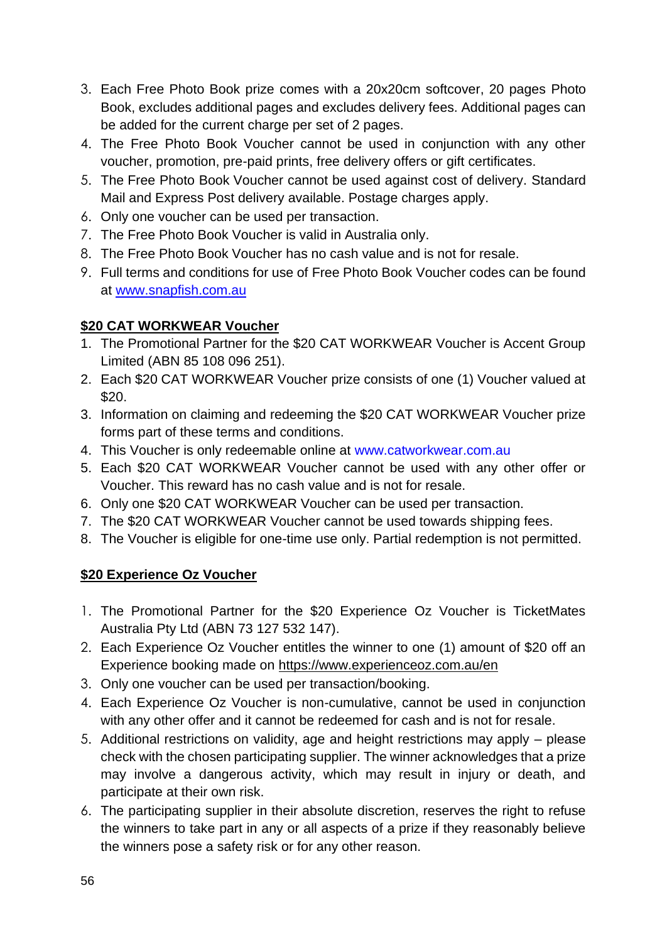- 3. Each Free Photo Book prize comes with a 20x20cm softcover, 20 pages Photo Book, excludes additional pages and excludes delivery fees. Additional pages can be added for the current charge per set of 2 pages.
- 4. The Free Photo Book Voucher cannot be used in conjunction with any other voucher, promotion, pre-paid prints, free delivery offers or gift certificates.
- 5. The Free Photo Book Voucher cannot be used against cost of delivery. Standard Mail and Express Post delivery available. Postage charges apply.
- 6. Only one voucher can be used per transaction.
- 7. The Free Photo Book Voucher is valid in Australia only.
- 8. The Free Photo Book Voucher has no cash value and is not for resale.
- 9. Full terms and conditions for use of Free Photo Book Voucher codes can be found at [www.snapfish.com.au](http://www.snapfish.com.au/)

### **\$20 CAT WORKWEAR Voucher**

- 1. The Promotional Partner for the \$20 CAT WORKWEAR Voucher is Accent Group Limited (ABN 85 108 096 251).
- 2. Each \$20 CAT WORKWEAR Voucher prize consists of one (1) Voucher valued at \$20.
- 3. Information on claiming and redeeming the \$20 CAT WORKWEAR Voucher prize forms part of these terms and conditions.
- 4. This Voucher is only redeemable online at [www.catworkwear.com.au](https://eur02.safelinks.protection.outlook.com/?url=http%3A%2F%2Fwww.catworkwear.com.au%2F&data=04%7C01%7Cjacob.kong%40tlcmarketing.com%7C711379b1aced479256dd08d9c4445a9e%7C8b7b3fe96adb47119dc68b15f551b872%7C1%7C0%7C637756620181177173%7CUnknown%7CTWFpbGZsb3d8eyJWIjoiMC4wLjAwMDAiLCJQIjoiV2luMzIiLCJBTiI6Ik1haWwiLCJXVCI6Mn0%3D%7C3000&sdata=PFZ2P8CMlc9zHWQiOVBxlNjjT8xQjOWbKo5ohvMwTo8%3D&reserved=0)
- 5. Each \$20 CAT WORKWEAR Voucher cannot be used with any other offer or Voucher. This reward has no cash value and is not for resale.
- 6. Only one \$20 CAT WORKWEAR Voucher can be used per transaction.
- 7. The \$20 CAT WORKWEAR Voucher cannot be used towards shipping fees.
- 8. The Voucher is eligible for one-time use only. Partial redemption is not permitted.

### **\$20 Experience Oz Voucher**

- 1. The Promotional Partner for the \$20 Experience Oz Voucher is TicketMates Australia Pty Ltd (ABN 73 127 532 147).
- 2. Each Experience Oz Voucher entitles the winner to one (1) amount of \$20 off an Experience booking made on<https://www.experienceoz.com.au/en>
- 3. Only one voucher can be used per transaction/booking.
- 4. Each Experience Oz Voucher is non-cumulative, cannot be used in conjunction with any other offer and it cannot be redeemed for cash and is not for resale.
- 5. Additional restrictions on validity, age and height restrictions may apply please check with the chosen participating supplier. The winner acknowledges that a prize may involve a dangerous activity, which may result in injury or death, and participate at their own risk.
- 6. The participating supplier in their absolute discretion, reserves the right to refuse the winners to take part in any or all aspects of a prize if they reasonably believe the winners pose a safety risk or for any other reason.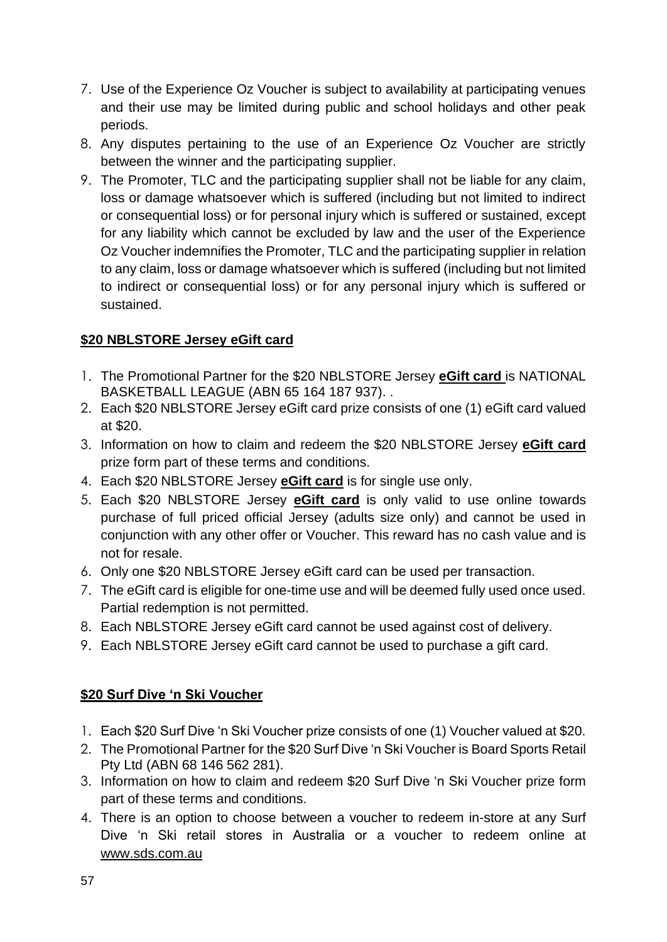- 7. Use of the Experience Oz Voucher is subject to availability at participating venues and their use may be limited during public and school holidays and other peak periods.
- 8. Any disputes pertaining to the use of an Experience Oz Voucher are strictly between the winner and the participating supplier.
- 9. The Promoter, TLC and the participating supplier shall not be liable for any claim, loss or damage whatsoever which is suffered (including but not limited to indirect or consequential loss) or for personal injury which is suffered or sustained, except for any liability which cannot be excluded by law and the user of the Experience Oz Voucher indemnifies the Promoter, TLC and the participating supplier in relation to any claim, loss or damage whatsoever which is suffered (including but not limited to indirect or consequential loss) or for any personal injury which is suffered or sustained.

### **\$20 NBLSTORE Jersey eGift card**

- 1. The Promotional Partner for the \$20 NBLSTORE Jersey **eGift card** is NATIONAL BASKETBALL LEAGUE (ABN 65 164 187 937). .
- 2. Each \$20 NBLSTORE Jersey eGift card prize consists of one (1) eGift card valued at \$20.
- 3. Information on how to claim and redeem the \$20 NBLSTORE Jersey **eGift card**  prize form part of these terms and conditions.
- 4. Each \$20 NBLSTORE Jersey **eGift card** is for single use only.
- 5. Each \$20 NBLSTORE Jersey **eGift card** is only valid to use online towards purchase of full priced official Jersey (adults size only) and cannot be used in conjunction with any other offer or Voucher. This reward has no cash value and is not for resale.
- 6. Only one \$20 NBLSTORE Jersey eGift card can be used per transaction.
- 7. The eGift card is eligible for one-time use and will be deemed fully used once used. Partial redemption is not permitted.
- 8. Each NBLSTORE Jersey eGift card cannot be used against cost of delivery.
- 9. Each NBLSTORE Jersey eGift card cannot be used to purchase a gift card.

### **\$20 Surf Dive 'n Ski Voucher**

- 1. Each \$20 Surf Dive 'n Ski Voucher prize consists of one (1) Voucher valued at \$20.
- 2. The Promotional Partner for the \$20 Surf Dive 'n Ski Voucher is Board Sports Retail Pty Ltd (ABN 68 146 562 281).
- 3. Information on how to claim and redeem \$20 Surf Dive 'n Ski Voucher prize form part of these terms and conditions.
- 4. There is an option to choose between a voucher to redeem in-store at any Surf Dive 'n Ski retail stores in Australia or a voucher to redeem online at [www.sds.com.au](http://www.sds.com.au/)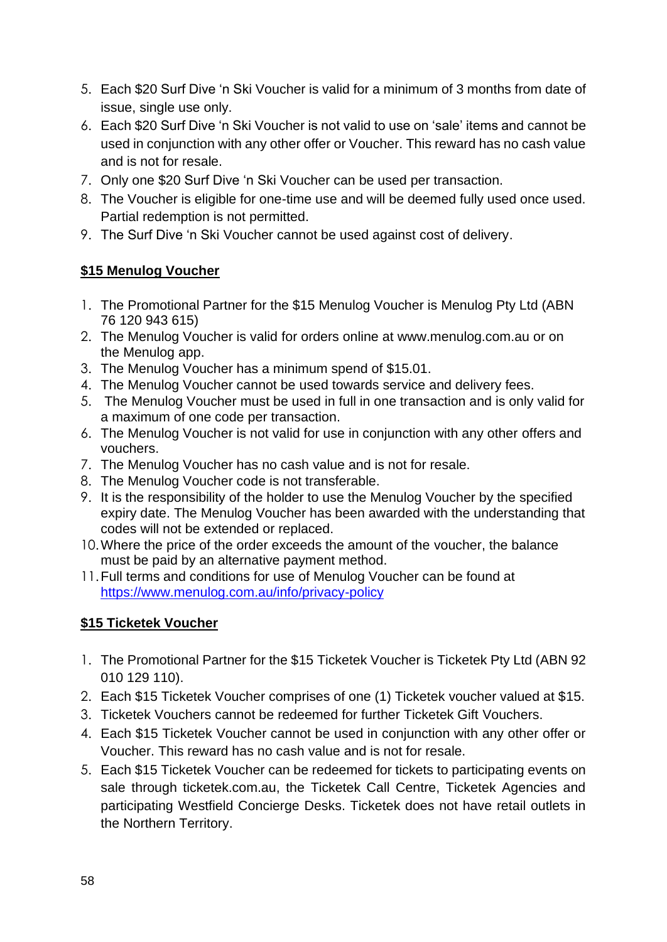- 5. Each \$20 Surf Dive 'n Ski Voucher is valid for a minimum of 3 months from date of issue, single use only.
- 6. Each \$20 Surf Dive 'n Ski Voucher is not valid to use on 'sale' items and cannot be used in conjunction with any other offer or Voucher. This reward has no cash value and is not for resale.
- 7. Only one \$20 Surf Dive 'n Ski Voucher can be used per transaction.
- 8. The Voucher is eligible for one-time use and will be deemed fully used once used. Partial redemption is not permitted.
- 9. The Surf Dive 'n Ski Voucher cannot be used against cost of delivery.

### **\$15 Menulog Voucher**

- 1. The Promotional Partner for the \$15 Menulog Voucher is Menulog Pty Ltd (ABN 76 120 943 615)
- 2. The Menulog Voucher is valid for orders online at [www.menulog.com.au](http://www.menulog.com.au/) or on the Menulog app.
- 3. The Menulog Voucher has a minimum spend of \$15.01.
- 4. The Menulog Voucher cannot be used towards service and delivery fees.
- 5. The Menulog Voucher must be used in full in one transaction and is only valid for a maximum of one code per transaction.
- 6. The Menulog Voucher is not valid for use in conjunction with any other offers and vouchers.
- 7. The Menulog Voucher has no cash value and is not for resale.
- 8. The Menulog Voucher code is not transferable.
- 9. It is the responsibility of the holder to use the Menulog Voucher by the specified expiry date. The Menulog Voucher has been awarded with the understanding that codes will not be extended or replaced.
- 10.Where the price of the order exceeds the amount of the voucher, the balance must be paid by an alternative payment method.
- 11.Full terms and conditions for use of Menulog Voucher can be found at <https://www.menulog.com.au/info/privacy-policy>

### **\$15 Ticketek Voucher**

- 1. The Promotional Partner for the \$15 Ticketek Voucher is Ticketek Pty Ltd (ABN 92 010 129 110).
- 2. Each \$15 Ticketek Voucher comprises of one (1) Ticketek voucher valued at \$15.
- 3. Ticketek Vouchers cannot be redeemed for further Ticketek Gift Vouchers.
- 4. Each \$15 Ticketek Voucher cannot be used in conjunction with any other offer or Voucher. This reward has no cash value and is not for resale.
- 5. Each \$15 Ticketek Voucher can be redeemed for tickets to participating events on sale through ticketek.com.au, the Ticketek Call Centre, Ticketek Agencies and participating Westfield Concierge Desks. Ticketek does not have retail outlets in the Northern Territory.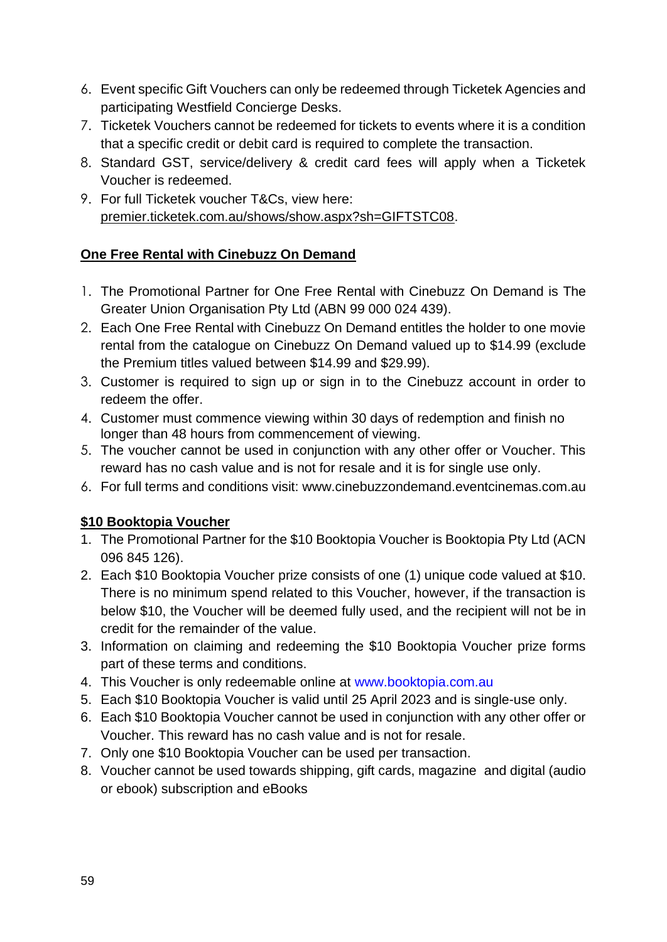- 6. Event specific Gift Vouchers can only be redeemed through Ticketek Agencies and participating Westfield Concierge Desks.
- 7. Ticketek Vouchers cannot be redeemed for tickets to events where it is a condition that a specific credit or debit card is required to complete the transaction.
- 8. Standard GST, service/delivery & credit card fees will apply when a Ticketek Voucher is redeemed.
- 9. For full Ticketek voucher T&Cs, view here: [premier.ticketek.com.au/shows/show.aspx?sh=GIFTSTC08.](file:///C:/NRPortbl/VICProduction1/JFL/premier.ticketek.com.au/shows/show.aspx%3fsh=GIFTSTC08)

### **One Free Rental with Cinebuzz On Demand**

- 1. The Promotional Partner for One Free Rental with Cinebuzz On Demand is The Greater Union Organisation Pty Ltd (ABN 99 000 024 439).
- 2. Each One Free Rental with Cinebuzz On Demand entitles the holder to one movie rental from the catalogue on Cinebuzz On Demand valued up to \$14.99 (exclude the Premium titles valued between \$14.99 and \$29.99).
- 3. Customer is required to sign up or sign in to the Cinebuzz account in order to redeem the offer.
- 4. Customer must commence viewing within 30 days of redemption and finish no longer than 48 hours from commencement of viewing.
- 5. The voucher cannot be used in conjunction with any other offer or Voucher. This reward has no cash value and is not for resale and it is for single use only.
- 6. For full terms and conditions visit: [www.cinebuzzondemand.eventcinemas.com.au](https://eur02.safelinks.protection.outlook.com/?url=https%3A%2F%2Fddec1-0-en-ctp.trendmicro.com%2Fwis%2Fclicktime%2Fv1%2Fquery%3Furl%3Dhttps%253a%252f%252feur02.safelinks.protection.outlook.com%252f%253furl%253dhttps%25253A%25252F%25252Fddec1-0-en-ctp.trendmicro.com%25252Fwis%25252Fclicktime%25252Fv1%25252Fquery%25253Furl%25253Dhttps%2525253a%2525252f%2525252feur02.safelinks.protection.outlook.com%2525252f%2525253furl%2525253dhttps%252525253A%252525252F%252525252Fddec1-0-en-ctp.trendmicro.com%252525252Fwis%252525252Fclicktime%252525252Fv1%252525252Fquery%252525253Furl%252525253Dhttp%25252525253a%25252525252f%25252525252fwww.cinebuzzondemand.eventcinemas.com.au%2525252526umid%252525253D86145817-7067-4ca6-8c8a-8b2009f511e6%2525252526auth%252525253D486c330cef49f0a3b8ded3d7cf84ee8aa2eaebad-d2bb28c1b561d15f87a461c27bac90aa059046da%25252526data%2525253d04%252525257C01%252525257Ccindy.tsang%2525252540tlcmarketing.com%252525257Cf16bb6140e3c4cdeec1108d9d6f18906%252525257C8b7b3fe96adb47119dc68b15f551b872%252525257C1%252525257C0%252525257C637777155212466111%252525257CUnknown%252525257CTWFpbGZsb3d8eyJWIjoiMC4wLjAwMDAiLCJQIjoiV2luMzIiLCJBTiI6Ik1haWwiLCJXVCI6Mn0%252525253D%252525257C3000%25252526sdata%2525253dPTvXN4Kin5wbvHdgkGNoAh6kkLTDlOa%252525252FniTl3FIGO2E%252525253D%25252526reserved%2525253d0%252526umid%25253D0b59f5fe-c046-420a-b507-504e7135c82c%252526auth%25253D486c330cef49f0a3b8ded3d7cf84ee8aa2eaebad-9ad7273862cb3dd99151a316028f6f24ff2d89d2%2526data%253d04%25257C01%25257Ccindy.tsang%252540tlcmarketing.com%25257C318c009f71e74cee215d08d9d6fa7adb%25257C8b7b3fe96adb47119dc68b15f551b872%25257C1%25257C0%25257C637777193614319746%25257CUnknown%25257CTWFpbGZsb3d8eyJWIjoiMC4wLjAwMDAiLCJQIjoiV2luMzIiLCJBTiI6Ik1haWwiLCJXVCI6Mn0%25253D%25257C3000%2526sdata%253dRz1yJaPlLIE6%25252B2NNmGFZL9tmC7IUuVxz21y%25252BXUKfBc4%25253D%2526reserved%253d0%26umid%3D8740ccb2-940e-4731-bb7f-f29954a01fb8%26auth%3D486c330cef49f0a3b8ded3d7cf84ee8aa2eaebad-b84ed69fe5b1f5ad72ebcc01ecf68af63dd781be&data=04%7C01%7Ccindy.tsang%40tlcmarketing.com%7C2d2593e1)

### **\$10 Booktopia Voucher**

- 1. The Promotional Partner for the \$10 Booktopia Voucher is Booktopia Pty Ltd (ACN 096 845 126).
- 2. Each \$10 Booktopia Voucher prize consists of one (1) unique code valued at \$10. There is no minimum spend related to this Voucher, however, if the transaction is below \$10, the Voucher will be deemed fully used, and the recipient will not be in credit for the remainder of the value.
- 3. Information on claiming and redeeming the \$10 Booktopia Voucher prize forms part of these terms and conditions.
- 4. This Voucher is only redeemable online at [www.booktopia.com.au](https://eur02.safelinks.protection.outlook.com/?url=https%3A%2F%2Fwww.booktopia.com.au%2F&data=04%7C01%7Cjacob.kong%40tlcmarketing.com%7Cd1ab630524d8473c470608d9c43c30aa%7C8b7b3fe96adb47119dc68b15f551b872%7C1%7C0%7C637756585084520101%7CUnknown%7CTWFpbGZsb3d8eyJWIjoiMC4wLjAwMDAiLCJQIjoiV2luMzIiLCJBTiI6Ik1haWwiLCJXVCI6Mn0%3D%7C3000&sdata=HVM6ACfKIlXT2OaZAWLKtS%2BYkV%2Bbo6yo80j6XQ%2FSxnA%3D&reserved=0)
- 5. Each \$10 Booktopia Voucher is valid until 25 April 2023 and is single-use only.
- 6. Each \$10 Booktopia Voucher cannot be used in conjunction with any other offer or Voucher. This reward has no cash value and is not for resale.
- 7. Only one \$10 Booktopia Voucher can be used per transaction.
- 8. Voucher cannot be used towards shipping, gift cards, magazine and digital (audio or ebook) subscription and eBooks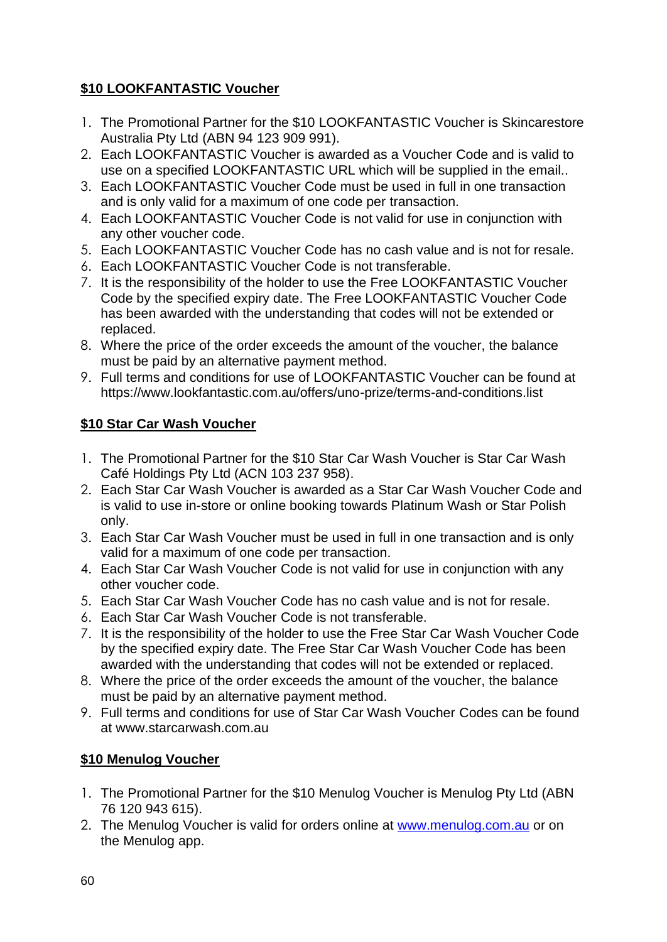# **\$10 LOOKFANTASTIC Voucher**

- 1. The Promotional Partner for the \$10 LOOKFANTASTIC Voucher is Skincarestore Australia Pty Ltd (ABN 94 123 909 991).
- 2. Each LOOKFANTASTIC Voucher is awarded as a Voucher Code and is valid to use on a specified LOOKFANTASTIC URL which will be supplied in the email..
- 3. Each LOOKFANTASTIC Voucher Code must be used in full in one transaction and is only valid for a maximum of one code per transaction.
- 4. Each LOOKFANTASTIC Voucher Code is not valid for use in conjunction with any other voucher code.
- 5. Each LOOKFANTASTIC Voucher Code has no cash value and is not for resale.
- 6. Each LOOKFANTASTIC Voucher Code is not transferable.
- 7. It is the responsibility of the holder to use the Free LOOKFANTASTIC Voucher Code by the specified expiry date. The Free LOOKFANTASTIC Voucher Code has been awarded with the understanding that codes will not be extended or replaced.
- 8. Where the price of the order exceeds the amount of the voucher, the balance must be paid by an alternative payment method.
- 9. Full terms and conditions for use of LOOKFANTASTIC Voucher can be found at [https://www.lookfantastic.com.au/offers/uno-prize/terms-and-conditions.list](https://eur02.safelinks.protection.outlook.com/?url=https%3A%2F%2Fwww.lookfantastic.com.au%2Foffers%2Funo-prize%2Fterms-and-conditions.list&data=04%7C01%7Ccindy.tsang%40tlcmarketing.com%7C2fad389d806a4933f85f08d9d94d2597%7C8b7b3fe96adb47119dc68b15f551b872%7C1%7C0%7C637779747673986396%7CUnknown%7CTWFpbGZsb3d8eyJWIjoiMC4wLjAwMDAiLCJQIjoiV2luMzIiLCJBTiI6Ik1haWwiLCJXVCI6Mn0%3D%7C3000&sdata=zKe24vYjs3%2F2UYh6wJUD5Gf8kZp76Mdq2S%2Bm%2FtlPWoE%3D&reserved=0)

### **\$10 Star Car Wash Voucher**

- 1. The Promotional Partner for the \$10 Star Car Wash Voucher is Star Car Wash Café Holdings Pty Ltd (ACN 103 237 958).
- 2. Each Star Car Wash Voucher is awarded as a Star Car Wash Voucher Code and is valid to use in-store or online booking towards Platinum Wash or Star Polish only.
- 3. Each Star Car Wash Voucher must be used in full in one transaction and is only valid for a maximum of one code per transaction.
- 4. Each Star Car Wash Voucher Code is not valid for use in conjunction with any other voucher code.
- 5. Each Star Car Wash Voucher Code has no cash value and is not for resale.
- 6. Each Star Car Wash Voucher Code is not transferable.
- 7. It is the responsibility of the holder to use the Free Star Car Wash Voucher Code by the specified expiry date. The Free Star Car Wash Voucher Code has been awarded with the understanding that codes will not be extended or replaced.
- 8. Where the price of the order exceeds the amount of the voucher, the balance must be paid by an alternative payment method.
- 9. Full terms and conditions for use of Star Car Wash Voucher Codes can be found at www.starcarwash.com.au

# **\$10 Menulog Voucher**

- 1. The Promotional Partner for the \$10 Menulog Voucher is Menulog Pty Ltd (ABN 76 120 943 615).
- 2. The Menulog Voucher is valid for orders online at [www.menulog.com.au](http://www.menulog.com.au/) or on the Menulog app.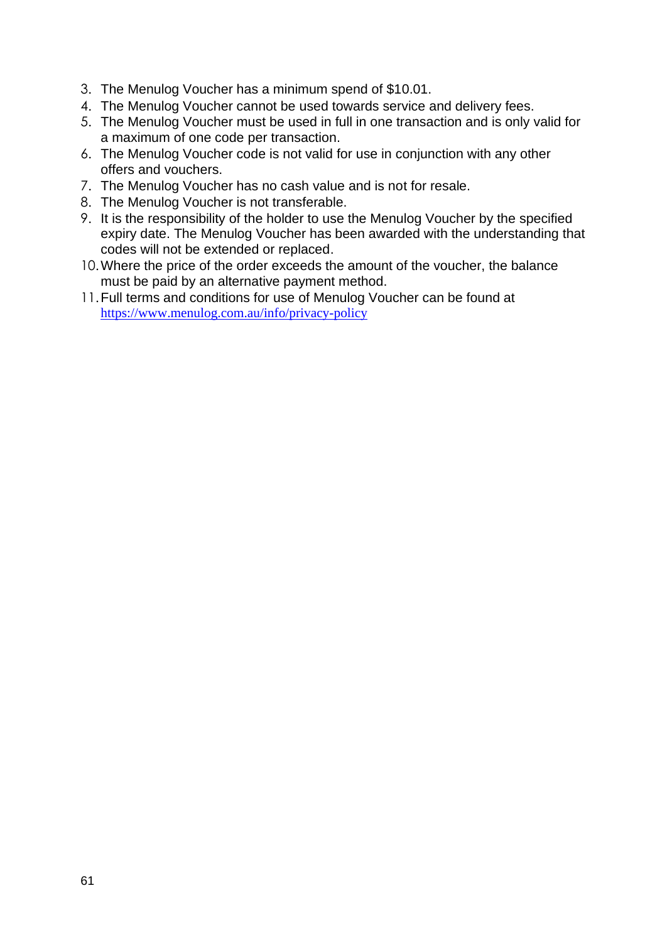- 3. The Menulog Voucher has a minimum spend of \$10.01.
- 4. The Menulog Voucher cannot be used towards service and delivery fees.
- 5. The Menulog Voucher must be used in full in one transaction and is only valid for a maximum of one code per transaction.
- 6. The Menulog Voucher code is not valid for use in conjunction with any other offers and vouchers.
- 7. The Menulog Voucher has no cash value and is not for resale.
- 8. The Menulog Voucher is not transferable.
- 9. It is the responsibility of the holder to use the Menulog Voucher by the specified expiry date. The Menulog Voucher has been awarded with the understanding that codes will not be extended or replaced.
- 10.Where the price of the order exceeds the amount of the voucher, the balance must be paid by an alternative payment method.
- 11.Full terms and conditions for use of Menulog Voucher can be found at <https://www.menulog.com.au/info/privacy-policy>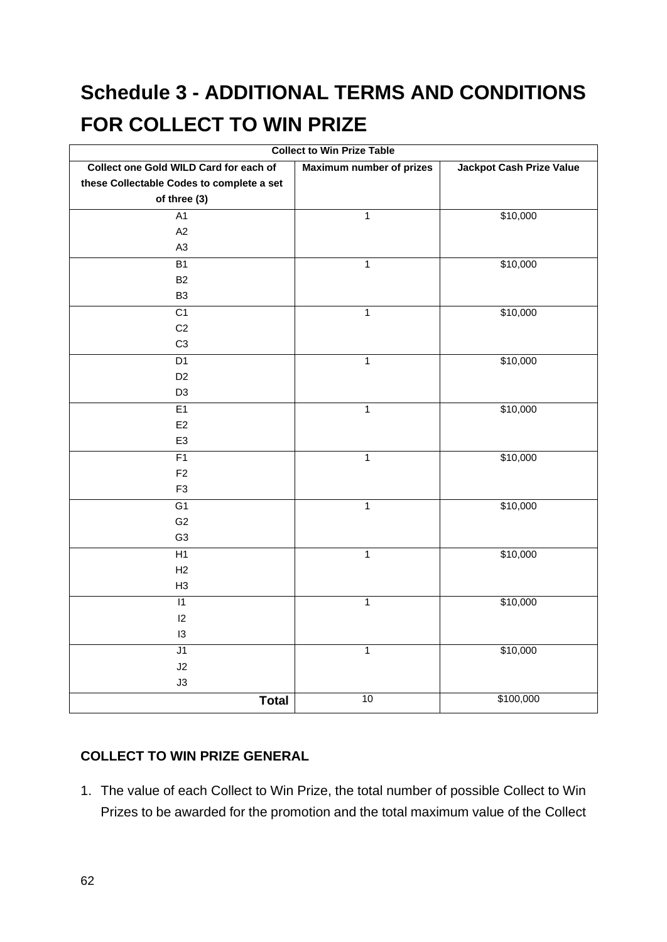# **Schedule 3 - ADDITIONAL TERMS AND CONDITIONS FOR COLLECT TO WIN PRIZE**

| <b>Collect to Win Prize Table</b>         |                                 |                                 |  |
|-------------------------------------------|---------------------------------|---------------------------------|--|
| Collect one Gold WILD Card for each of    | <b>Maximum number of prizes</b> | <b>Jackpot Cash Prize Value</b> |  |
| these Collectable Codes to complete a set |                                 |                                 |  |
| of three (3)                              |                                 |                                 |  |
| A1                                        | $\mathbf{1}$                    | \$10,000                        |  |
| A2                                        |                                 |                                 |  |
| A <sub>3</sub>                            |                                 |                                 |  |
| <b>B1</b>                                 | $\mathbf 1$                     | \$10,000                        |  |
| <b>B2</b>                                 |                                 |                                 |  |
| B <sub>3</sub>                            |                                 |                                 |  |
| $\overline{C1}$                           | $\mathbf{1}$                    | \$10,000                        |  |
| C <sub>2</sub>                            |                                 |                                 |  |
| C <sub>3</sub>                            |                                 |                                 |  |
| D1                                        | $\mathbf{1}$                    | \$10,000                        |  |
| D <sub>2</sub>                            |                                 |                                 |  |
| D <sub>3</sub>                            |                                 |                                 |  |
| E1                                        | $\overline{1}$                  | \$10,000                        |  |
| E2                                        |                                 |                                 |  |
| E <sub>3</sub>                            |                                 |                                 |  |
| F1                                        | $\mathbf 1$                     | \$10,000                        |  |
| F <sub>2</sub>                            |                                 |                                 |  |
| F <sub>3</sub>                            |                                 |                                 |  |
| $\overline{G1}$                           | $\mathbf{1}$                    | \$10,000                        |  |
| G <sub>2</sub>                            |                                 |                                 |  |
| G <sub>3</sub>                            |                                 |                                 |  |
| H1                                        | $\overline{1}$                  | \$10,000                        |  |
| H2                                        |                                 |                                 |  |
| H <sub>3</sub>                            |                                 |                                 |  |
| $\overline{11}$                           | $\mathbf{1}$                    | \$10,000                        |  |
| 12                                        |                                 |                                 |  |
| 13                                        |                                 |                                 |  |
| J1                                        | $\mathbf{1}$                    | \$10,000                        |  |
| J2                                        |                                 |                                 |  |
| J3                                        |                                 |                                 |  |
| <b>Total</b>                              | 10                              | \$100,000                       |  |

### **COLLECT TO WIN PRIZE GENERAL**

1. The value of each Collect to Win Prize, the total number of possible Collect to Win Prizes to be awarded for the promotion and the total maximum value of the Collect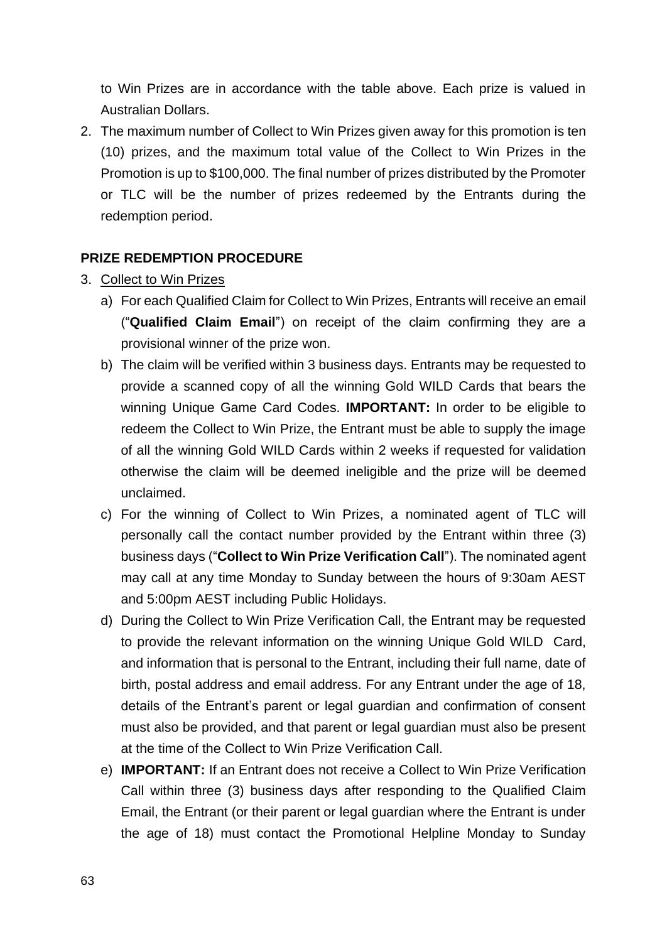to Win Prizes are in accordance with the table above. Each prize is valued in Australian Dollars.

2. The maximum number of Collect to Win Prizes given away for this promotion is ten (10) prizes, and the maximum total value of the Collect to Win Prizes in the Promotion is up to \$100,000. The final number of prizes distributed by the Promoter or TLC will be the number of prizes redeemed by the Entrants during the redemption period.

### **PRIZE REDEMPTION PROCEDURE**

- 3. Collect to Win Prizes
	- a) For each Qualified Claim for Collect to Win Prizes, Entrants will receive an email ("**Qualified Claim Email**") on receipt of the claim confirming they are a provisional winner of the prize won.
	- b) The claim will be verified within 3 business days. Entrants may be requested to provide a scanned copy of all the winning Gold WILD Cards that bears the winning Unique Game Card Codes. **IMPORTANT:** In order to be eligible to redeem the Collect to Win Prize, the Entrant must be able to supply the image of all the winning Gold WILD Cards within 2 weeks if requested for validation otherwise the claim will be deemed ineligible and the prize will be deemed unclaimed.
	- c) For the winning of Collect to Win Prizes, a nominated agent of TLC will personally call the contact number provided by the Entrant within three (3) business days ("**Collect to Win Prize Verification Call**"). The nominated agent may call at any time Monday to Sunday between the hours of 9:30am AEST and 5:00pm AEST including Public Holidays.
	- d) During the Collect to Win Prize Verification Call, the Entrant may be requested to provide the relevant information on the winning Unique Gold WILD Card, and information that is personal to the Entrant, including their full name, date of birth, postal address and email address. For any Entrant under the age of 18, details of the Entrant's parent or legal guardian and confirmation of consent must also be provided, and that parent or legal guardian must also be present at the time of the Collect to Win Prize Verification Call.
	- e) **IMPORTANT:** If an Entrant does not receive a Collect to Win Prize Verification Call within three (3) business days after responding to the Qualified Claim Email, the Entrant (or their parent or legal guardian where the Entrant is under the age of 18) must contact the Promotional Helpline Monday to Sunday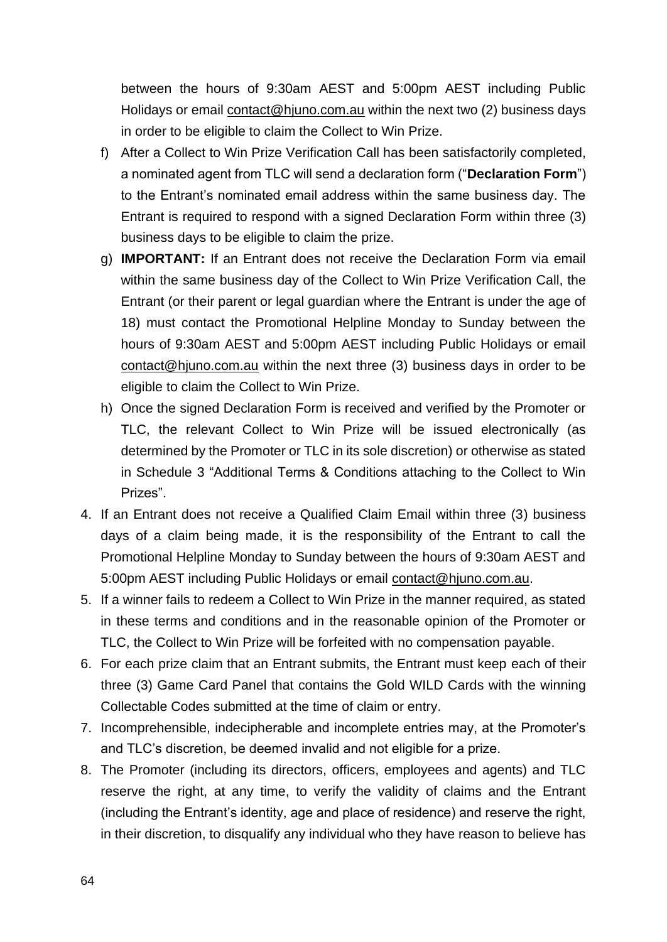between the hours of 9:30am AEST and 5:00pm AEST including Public Holidays or email [contact@hjuno.com.au](file:///C:/NRPortbl/VICProduction1/JFL/contact@hjuno.com.au) within the next two (2) business days in order to be eligible to claim the Collect to Win Prize.

- f) After a Collect to Win Prize Verification Call has been satisfactorily completed, a nominated agent from TLC will send a declaration form ("**Declaration Form**") to the Entrant's nominated email address within the same business day. The Entrant is required to respond with a signed Declaration Form within three (3) business days to be eligible to claim the prize.
- g) **IMPORTANT:** If an Entrant does not receive the Declaration Form via email within the same business day of the Collect to Win Prize Verification Call, the Entrant (or their parent or legal guardian where the Entrant is under the age of 18) must contact the Promotional Helpline Monday to Sunday between the hours of 9:30am AEST and 5:00pm AEST including Public Holidays or email [contact@hjuno.com.au](file:///C:/NRPortbl/VICProduction1/JFL/contact@hjuno.com.au) within the next three (3) business days in order to be eligible to claim the Collect to Win Prize.
- h) Once the signed Declaration Form is received and verified by the Promoter or TLC, the relevant Collect to Win Prize will be issued electronically (as determined by the Promoter or TLC in its sole discretion) or otherwise as stated in Schedule 3 "Additional Terms & Conditions attaching to the Collect to Win Prizes".
- 4. If an Entrant does not receive a Qualified Claim Email within three (3) business days of a claim being made, it is the responsibility of the Entrant to call the Promotional Helpline Monday to Sunday between the hours of 9:30am AEST and 5:00pm AEST including Public Holidays or email [contact@hjuno.com.au.](mailto:contact@hjuno.com.au)
- 5. If a winner fails to redeem a Collect to Win Prize in the manner required, as stated in these terms and conditions and in the reasonable opinion of the Promoter or TLC, the Collect to Win Prize will be forfeited with no compensation payable.
- 6. For each prize claim that an Entrant submits, the Entrant must keep each of their three (3) Game Card Panel that contains the Gold WILD Cards with the winning Collectable Codes submitted at the time of claim or entry.
- 7. Incomprehensible, indecipherable and incomplete entries may, at the Promoter's and TLC's discretion, be deemed invalid and not eligible for a prize.
- 8. The Promoter (including its directors, officers, employees and agents) and TLC reserve the right, at any time, to verify the validity of claims and the Entrant (including the Entrant's identity, age and place of residence) and reserve the right, in their discretion, to disqualify any individual who they have reason to believe has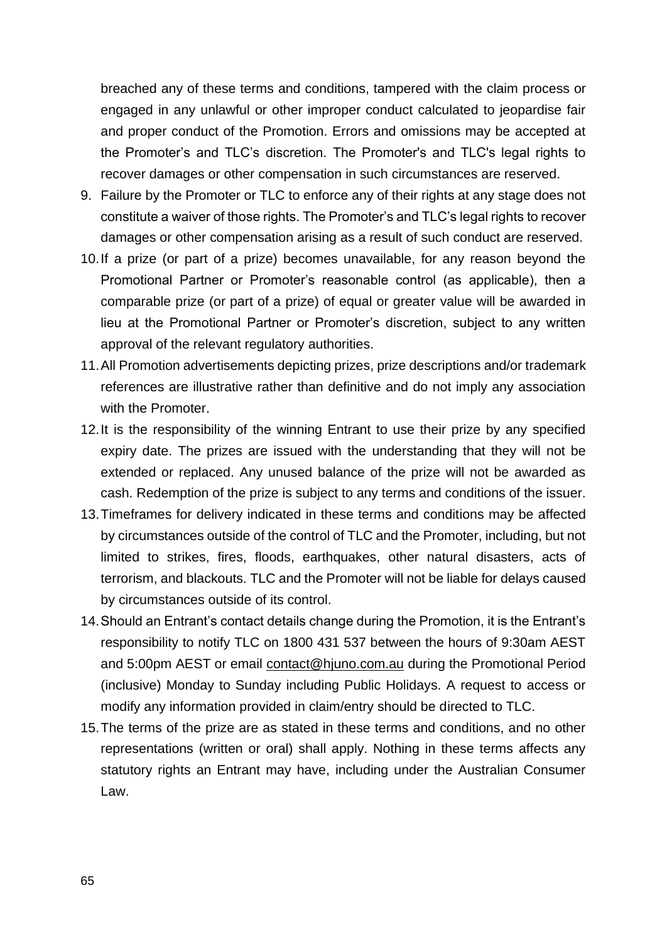breached any of these terms and conditions, tampered with the claim process or engaged in any unlawful or other improper conduct calculated to jeopardise fair and proper conduct of the Promotion. Errors and omissions may be accepted at the Promoter's and TLC's discretion. The Promoter's and TLC's legal rights to recover damages or other compensation in such circumstances are reserved.

- 9. Failure by the Promoter or TLC to enforce any of their rights at any stage does not constitute a waiver of those rights. The Promoter's and TLC's legal rights to recover damages or other compensation arising as a result of such conduct are reserved.
- 10.If a prize (or part of a prize) becomes unavailable, for any reason beyond the Promotional Partner or Promoter's reasonable control (as applicable), then a comparable prize (or part of a prize) of equal or greater value will be awarded in lieu at the Promotional Partner or Promoter's discretion, subject to any written approval of the relevant regulatory authorities.
- 11.All Promotion advertisements depicting prizes, prize descriptions and/or trademark references are illustrative rather than definitive and do not imply any association with the Promoter.
- 12.It is the responsibility of the winning Entrant to use their prize by any specified expiry date. The prizes are issued with the understanding that they will not be extended or replaced. Any unused balance of the prize will not be awarded as cash. Redemption of the prize is subject to any terms and conditions of the issuer.
- 13.Timeframes for delivery indicated in these terms and conditions may be affected by circumstances outside of the control of TLC and the Promoter, including, but not limited to strikes, fires, floods, earthquakes, other natural disasters, acts of terrorism, and blackouts. TLC and the Promoter will not be liable for delays caused by circumstances outside of its control.
- 14.Should an Entrant's contact details change during the Promotion, it is the Entrant's responsibility to notify TLC on 1800 431 537 between the hours of 9:30am AEST and 5:00pm AEST or email [contact@hjuno.com.au](file:///C:/NRPortbl/VICProduction1/JFL/contact@hjuno.com.au) during the Promotional Period (inclusive) Monday to Sunday including Public Holidays. A request to access or modify any information provided in claim/entry should be directed to TLC.
- 15.The terms of the prize are as stated in these terms and conditions, and no other representations (written or oral) shall apply. Nothing in these terms affects any statutory rights an Entrant may have, including under the Australian Consumer Law.